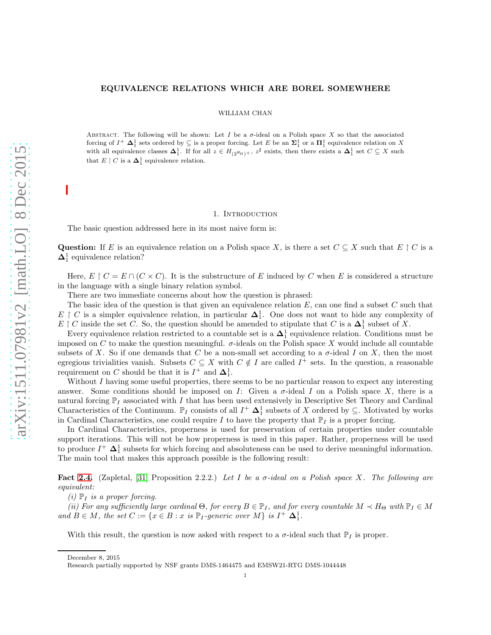#### EQUIVALENCE RELATIONS WHICH ARE BOREL SOMEWHERE

WILLIAM CHAN

ABSTRACT. The following will be shown: Let I be a  $\sigma$ -ideal on a Polish space X so that the associated forcing of  $I^+$   $\Delta_1^1$  sets ordered by  $\subseteq$  is a proper forcing. Let E be an  $\Sigma_1^1$  or a  $\Pi_1^1$  equivalence relation on X with all equivalence classes  $\Delta_1^1$ . If for all  $z \in H_{(2^{\aleph_0})^+}$ ,  $z^{\sharp}$  exists, then there exists a  $\Delta_1^1$  set  $C \subseteq X$  such that  $E \restriction C$  is a  $\mathbf{\Delta}^1_1$  equivalence relation.

#### 1. INTRODUCTION

The basic question addressed here in its most naive form is:

Question: If E is an equivalence relation on a Polish space X, is there a set  $C \subseteq X$  such that  $E \restriction C$  is a  $\Delta_1^1$  equivalence relation?

Here,  $E \restriction C = E \cap (C \times C)$ . It is the substructure of E induced by C when E is considered a structure in the language with a single binary relation symbol.

There are two immediate concerns about how the question is phrased:

The basic idea of the question is that given an equivalence relation  $E$ , can one find a subset  $C$  such that  $E \upharpoonright C$  is a simpler equivalence relation, in particular  $\Delta_1^1$ . One does not want to hide any complexity of E | C inside the set C. So, the question should be amended to stipulate that C is a  $\Delta_1^1$  subset of X.

Every equivalence relation restricted to a countable set is a  $\Delta_1^1$  equivalence relation. Conditions must be imposed on C to make the question meaningful.  $\sigma$ -ideals on the Polish space X would include all countable subsets of X. So if one demands that C be a non-small set according to a  $\sigma$ -ideal I on X, then the most egregious trivialities vanish. Subsets  $C \subseteq X$  with  $C \notin I$  are called  $I^+$  sets. In the question, a reasonable requirement on C should be that it is  $I^+$  and  $\Delta_1^1$ .

Without I having some useful properties, there seems to be no particular reason to expect any interesting answer. Some conditions should be imposed on I: Given a  $\sigma$ -ideal I on a Polish space X, there is a natural forcing  $\mathbb{P}_I$  associated with I that has been used extensively in Descriptive Set Theory and Cardinal Characteristics of the Continuum.  $\mathbb{P}_I$  consists of all  $I^+$   $\Delta_1^1$  subsets of X ordered by  $\subseteq$ . Motivated by works in Cardinal Characteristics, one could require I to have the property that  $\mathbb{P}_I$  is a proper forcing.

In Cardinal Characteristics, properness is used for preservation of certain properties under countable support iterations. This will not be how properness is used in this paper. Rather, properness will be used to produce  $I^+$   $\Delta_1^1$  subsets for which forcing and absoluteness can be used to derive meaningful information. The main tool that makes this approach possible is the following result:

Fact [2.4.](#page-3-0) (Zapletal, [\[31\]](#page-28-0) Proposition 2.2.2.) Let I be a  $\sigma$ -ideal on a Polish space X. The following are equivalent:

 $(i)$   $\mathbb{P}_I$  is a proper forcing.

(ii) For any sufficiently large cardinal  $\Theta$ , for every  $B \in \mathbb{P}_I$ , and for every countable  $M \prec H_\Theta$  with  $\mathbb{P}_I \in M$ and  $B \in M$ , the set  $C := \{x \in B : x \text{ is } \mathbb{P}_I\text{-}generic over M\}$  is  $I^+ \Delta_1^1$ .

With this result, the question is now asked with respect to a  $\sigma$ -ideal such that  $\mathbb{P}_I$  is proper.

December 8, 2015

Research partially supported by NSF grants DMS-1464475 and EMSW21-RTG DMS-1044448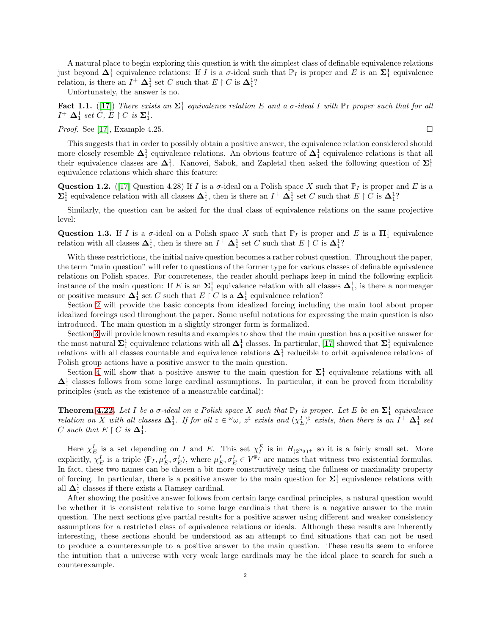A natural place to begin exploring this question is with the simplest class of definable equivalence relations just beyond  $\Delta_1^1$  equivalence relations: If I is a  $\sigma$ -ideal such that  $\mathbb{P}_I$  is proper and E is an  $\Sigma_1^1$  equivalence relation, is there an  $I^+$   $\mathbf{\Delta}^1_1$  set C such that  $E \restriction C$  is  $\mathbf{\Delta}^1_1$ ?

Unfortunately, the answer is no.

**Fact 1.1.** ([\[17\]](#page-27-0)) There exists an  $\Sigma_1^1$  equivalence relation E and a  $\sigma$ -ideal I with  $\mathbb{P}_I$  proper such that for all  $I^+ \Delta_1^1$  set C,  $E \restriction C$  is  $\Sigma_1^1$ .

*Proof.* See [\[17\]](#page-27-0), Example 4.25.

This suggests that in order to possibly obtain a positive answer, the equivalence relation considered should more closely resemble  $\Delta_1^1$  equivalence relations. An obvious feature of  $\Delta_1^1$  equivalence relations is that all their equivalence classes are  $\Delta_1^1$ . Kanovei, Sabok, and Zapletal then asked the following question of  $\Sigma_1^1$ equivalence relations which share this feature:

Question 1.2. ([\[17\]](#page-27-0) Question 4.28) If I is a  $\sigma$ -ideal on a Polish space X such that  $\mathbb{P}_I$  is proper and E is a  $\Sigma_1^1$  equivalence relation with all classes  $\Delta_1^1$ , then is there an  $I^+$   $\Delta_1^1$  set C such that  $E \restriction C$  is  $\Delta_1^1$ ?

Similarly, the question can be asked for the dual class of equivalence relations on the same projective level:

Question 1.3. If I is a  $\sigma$ -ideal on a Polish space X such that  $\mathbb{P}_I$  is proper and E is a  $\Pi_1^1$  equivalence relation with all classes  $\Delta_1^1$ , then is there an  $I^+$   $\Delta_1^1$  set C such that  $E \restriction C$  is  $\Delta_1^1$ ?

With these restrictions, the initial naive question becomes a rather robust question. Throughout the paper, the term "main question" will refer to questions of the former type for various classes of definable equivalence relations on Polish spaces. For concreteness, the reader should perhaps keep in mind the following explicit instance of the main question: If E is an  $\Sigma_1^1$  equivalence relation with all classes  $\Delta_1^1$ , is there a nonmeager or positive measure  $\mathbf{\Delta}^1_1$  set C such that  $E \restriction C$  is a  $\mathbf{\Delta}^1_1$  equivalence relation?

Section [2](#page-3-1) will provide the basic concepts from idealized forcing including the main tool about proper idealized forcings used throughout the paper. Some useful notations for expressing the main question is also introduced. The main question in a slightly stronger form is formalized.

Section [3](#page-4-0) will provide known results and examples to show that the main question has a positive answer for the most natural  $\Sigma_1^1$  equivalence relations with all  $\Delta_1^1$  classes. In particular, [\[17\]](#page-27-0) showed that  $\Sigma_1^1$  equivalence relations with all classes countable and equivalence relations  $\Delta_1^1$  reducible to orbit equivalence relations of Polish group actions have a positive answer to the main question.

Section [4](#page-6-0) will show that a positive answer to the main question for  $\Sigma_1^1$  equivalence relations with all  $\Delta_1^1$  classes follows from some large cardinal assumptions. In particular, it can be proved from iterability principles (such as the existence of a measurable cardinal):

**Theorem [4.22.](#page-13-0)** Let I be a  $\sigma$ -ideal on a Polish space X such that  $\mathbb{P}_I$  is proper. Let E be an  $\Sigma_1^1$  equivalence relation on X with all classes  $\Delta_1^1$ . If for all  $z \in \omega$ ,  $z^{\sharp}$  exists and  $(\chi_E^I)^{\sharp}$  exists, then there is an  $I^+$   $\Delta_1^1$  set C such that  $E \restriction C$  is  $\Delta_1^1$ .

Here  $\chi_E^I$  is a set depending on I and E. This set  $\chi_I^E$  is in  $H_{(2^{\aleph_0})^+}$  so it is a fairly small set. More explicitly,  $\chi_E^I$  is a triple  $\langle \mathbb{P}_I, \mu_E^I, \sigma_E^I \rangle$ , where  $\mu_E^I, \sigma_E^I \in V^{\mathbb{P}_I}$  are names that witness two existential formulas. In fact, these two names can be chosen a bit more constructively using the fullness or maximality property of forcing. In particular, there is a positive answer to the main question for  $\Sigma_1^1$  equivalence relations with all  $\Delta_1^1$  classes if there exists a Ramsey cardinal.

After showing the positive answer follows from certain large cardinal principles, a natural question would be whether it is consistent relative to some large cardinals that there is a negative answer to the main question. The next sections give partial results for a positive answer using different and weaker consistency assumptions for a restricted class of equivalence relations or ideals. Although these results are inherently interesting, these sections should be understood as an attempt to find situations that can not be used to produce a counterexample to a positive answer to the main question. These results seem to enforce the intuition that a universe with very weak large cardinals may be the ideal place to search for such a counterexample.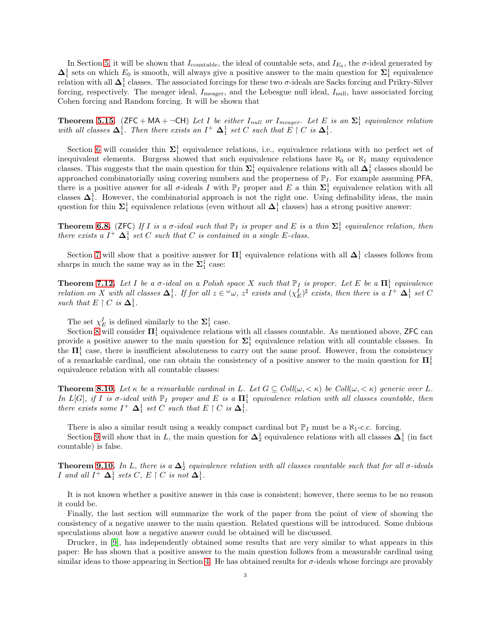In Section [5,](#page-13-1) it will be shown that  $I_{\text{countable}}$ , the ideal of countable sets, and  $I_{E_0}$ , the  $\sigma$ -ideal generated by  $\Delta_1^1$  sets on which  $E_0$  is smooth, will always give a positive answer to the main question for  $\Sigma_1^1$  equivalence relation with all  $\Delta^1_1$  classes. The associated forcings for these two  $\sigma$ -ideals are Sacks forcing and Prikry-Silver forcing, respectively. The meager ideal,  $I_{\text{meager}}$ , and the Lebesgue null ideal,  $I_{\text{null}}$ , have associated forcing Cohen forcing and Random forcing. It will be shown that

**Theorem [5.15.](#page-15-0)** (ZFC + MA +  $\neg$ CH) Let I be either  $I_{null}$  or  $I_{measure}$ . Let E is an  $\Sigma_1^1$  equivalence relation with all classes  $\Delta_1^1$ . Then there exists an  $I^+ \Delta_1^1$  set C such that  $E \restriction C$  is  $\Delta_1^1$ .

Section [6](#page-16-0) will consider thin  $\Sigma_1^1$  equivalence relations, i.e., equivalence relations with no perfect set of inequivalent elements. Burgess showed that such equivalence relations have  $\aleph_0$  or  $\aleph_1$  many equivalence classes. This suggests that the main question for thin  $\Sigma_1^1$  equivalence relations with all  $\Delta_1^1$  classes should be approached combinatorially using covering numbers and the properness of  $\mathbb{P}_I$ . For example assuming PFA, there is a positive answer for all  $\sigma$ -ideals I with  $\mathbb{P}_I$  proper and E a thin  $\Sigma_1^1$  equivalence relation with all classes  $\Delta_1^1$ . However, the combinatorial approach is not the right one. Using definability ideas, the main question for thin  $\Sigma_1^1$  equivalence relations (even without all  $\Delta_1^1$  classes) has a strong positive answer:

**Theorem [6.8.](#page-17-0)** (ZFC) If I is a  $\sigma$ -ideal such that  $\mathbb{P}_I$  is proper and E is a thin  $\Sigma_1^1$  equivalence relation, then there exists a  $I^+$   $\Delta_1^1$  set C such that C is contained in a single E-class.

Section [7](#page-17-1) will show that a positive answer for  $\Pi_1^1$  equivalence relations with all  $\Delta_1^1$  classes follows from sharps in much the same way as in the  $\Sigma^1_1$  case:

**Theorem [7.12.](#page-19-0)** Let I be a  $\sigma$ -ideal on a Polish space X such that  $\mathbb{P}_I$  is proper. Let E be a  $\Pi_1^1$  equivalence relation on X with all classes  $\Delta_1^1$ . If for all  $z \in \omega$ ,  $z^{\sharp}$  exists and  $(\chi_E^I)^{\sharp}$  exists, then there is a  $I^+ \Delta_1^1$  set C such that  $E \restriction C$  is  $\Delta_1^1$ .

The set  $\chi_E^I$  is defined similarly to the  $\Sigma_1^1$  case.

Section [8](#page-19-1) will consider  $\Pi_1^1$  equivalence relations with all classes countable. As mentioned above, ZFC can provide a positive answer to the main question for  $\Sigma_1^1$  equivalence relation with all countable classes. In the  $\Pi_1^1$  case, there is insufficient absoluteness to carry out the same proof. However, from the consistency of a remarkable cardinal, one can obtain the consistency of a positive answer to the main question for  $\Pi_1^1$ equivalence relation with all countable classes:

**Theorem [8.10.](#page-21-0)** Let  $\kappa$  be a remarkable cardinal in L. Let  $G \subseteq Coll(\omega, \langle \kappa \rangle)$  be Coll $(\omega, \langle \kappa \rangle)$  generic over L. In  $L[G]$ , if I is  $\sigma$ -ideal with  $\mathbb{P}_I$  proper and E is a  $\Pi_1^1$  equivalence relation with all classes countable, then there exists some  $I^+ \Delta_1^1$  set C such that  $E \restriction C$  is  $\Delta_1^1$ .

There is also a similar result using a weakly compact cardinal but  $\mathbb{P}_I$  must be a  $\aleph_1$ -c.c. forcing.

Section [9](#page-22-0) will show that in L, the main question for  $\Delta_2^1$  equivalence relations with all classes  $\Delta_1^1$  (in fact countable) is false.

**Theorem [9.10.](#page-24-0)** In L, there is a  $\Delta^1_2$  equivalence relation with all classes countable such that for all  $\sigma$ -ideals *I* and all  $I^+$   $\Delta_1^1$  sets C,  $E \restriction C$  is not  $\Delta_1^1$ .

It is not known whether a positive answer in this case is consistent; however, there seems to be no reason it could be.

Finally, the last section will summarize the work of the paper from the point of view of showing the consistency of a negative answer to the main question. Related questions will be introduced. Some dubious speculations about how a negative answer could be obtained will be discussed.

Drucker, in [\[9\]](#page-27-1), has independently obtained some results that are very similar to what appears in this paper: He has shown that a positive answer to the main question follows from a measurable cardinal using similar ideas to those appearing in Section [4.](#page-6-0) He has obtained results for  $\sigma$ -ideals whose forcings are provably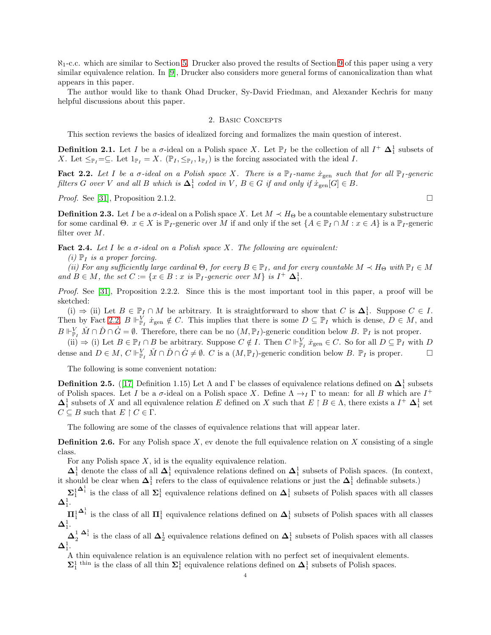$\aleph_1$ -c.c. which are similar to Section [5.](#page-13-1) Drucker also proved the results of Section [9](#page-22-0) of this paper using a very similar equivalence relation. In [\[9\]](#page-27-1), Drucker also considers more general forms of canonicalization than what appears in this paper.

<span id="page-3-1"></span>The author would like to thank Ohad Drucker, Sy-David Friedman, and Alexander Kechris for many helpful discussions about this paper.

#### 2. Basic Concepts

This section reviews the basics of idealized forcing and formalizes the main question of interest.

**Definition 2.1.** Let I be a  $\sigma$ -ideal on a Polish space X. Let  $\mathbb{P}_I$  be the collection of all  $I^+ \Delta_1^1$  subsets of X. Let  $\leq_{\mathbb{P}_I}=\subseteq$ . Let  $1_{\mathbb{P}_I}=X$ .  $(\mathbb{P}_I,\leq_{\mathbb{P}_I},1_{\mathbb{P}_I})$  is the forcing associated with the ideal I.

<span id="page-3-2"></span>**Fact 2.2.** Let I be a  $\sigma$ -ideal on a Polish space X. There is a  $\mathbb{P}_I$ -name  $\dot{x}_{gen}$  such that for all  $\mathbb{P}_I$ -generic filters G over V and all B which is  $\Delta_1^1$  coded in V,  $B \in G$  if and only if  $\dot{x}_{gen}[G] \in B$ .

*Proof.* See [\[31\]](#page-28-0), Proposition 2.1.2.

**Definition 2.3.** Let I be a  $\sigma$ -ideal on a Polish space X. Let  $M \prec H_{\Theta}$  be a countable elementary substructure for some cardinal  $\Theta$ .  $x \in X$  is  $\mathbb{P}_I$ -generic over M if and only if the set  $\{A \in \mathbb{P}_I \cap M : x \in A\}$  is a  $\mathbb{P}_I$ -generic filter over M.

<span id="page-3-0"></span>**Fact 2.4.** Let I be a  $\sigma$ -ideal on a Polish space X. The following are equivalent:

(i)  $\mathbb{P}_I$  is a proper forcing.

(ii) For any sufficiently large cardinal  $\Theta$ , for every  $B \in \mathbb{P}_I$ , and for every countable  $M \prec H_\Theta$  with  $\mathbb{P}_I \in M$ and  $B \in M$ , the set  $C := \{x \in B : x \text{ is } \mathbb{P}_I\text{-}generic over M\}$  is  $I^+ \Delta_1^1$ .

Proof. See [\[31\]](#page-28-0), Proposition 2.2.2. Since this is the most important tool in this paper, a proof will be sketched:

(i)  $\Rightarrow$  (ii) Let  $B \in \mathbb{P}_I \cap M$  be arbitrary. It is straightforward to show that C is  $\Delta_1^1$ . Suppose  $C \in I$ . Then by Fact [2.2,](#page-3-2)  $B \Vdash_{\mathbb{P}_I}^V \dot{x}_{gen} \notin C$ . This implies that there is some  $D \subseteq \mathbb{P}_I$  which is dense,  $D \in M$ , and  $B \Vdash_{\mathbb{P}_I}^V \check{M} \cap \check{D} \cap \dot{G} = \emptyset$ . Therefore, there can be no  $(M, \mathbb{P}_I)$ -generic condition below B.  $\mathbb{P}_I$  is not proper.

(ii)  $\Rightarrow$  (i) Let  $B \in \mathbb{P}_I \cap B$  be arbitrary. Suppose  $C \notin I$ . Then  $C \Vdash^V_{\mathbb{P}_I} \dot{x}_{\text{gen}} \in C$ . So for all  $D \subseteq \mathbb{P}_I$  with  $D$ dense and  $D \in M$ ,  $C \Vdash^V_{\mathbb{P}_I} \check{M} \cap \check{D} \cap \dot{G} \neq \emptyset$ .  $C$  is a  $(M, \mathbb{P}_I)$ -generic condition below  $B$ .  $\mathbb{P}_I$  is proper.

The following is some convenient notation:

**Definition 2.5.** ([\[17\]](#page-27-0) Definition 1.15) Let  $\Lambda$  and  $\Gamma$  be classes of equivalence relations defined on  $\Delta_1^1$  subsets of Polish spaces. Let I be a  $\sigma$ -ideal on a Polish space X. Define  $\Lambda \to_I \Gamma$  to mean: for all B which are  $I^+$  $\Delta_1^1$  subsets of X and all equivalence relation E defined on X such that  $E \upharpoonright B \in \Lambda$ , there exists a  $I^+ \Delta_1^1$  set  $C \subseteq B$  such that  $E \restriction C \in \Gamma$ .

The following are some of the classes of equivalence relations that will appear later.

**Definition 2.6.** For any Polish space  $X$ , ev denote the full equivalence relation on  $X$  consisting of a single class.

For any Polish space  $X$ , id is the equality equivalence relation.

 $\Delta_1^1$  denote the class of all  $\Delta_1^1$  equivalence relations defined on  $\Delta_1^1$  subsets of Polish spaces. (In context, it should be clear when  $\Delta_1^1$  refers to the class of equivalence relations or just the  $\Delta_1^1$  definable subsets.)

 $\mathbf{\Sigma}^1_1$  $\Delta_1^1$  is the class of all  $\Sigma_1^1$  equivalence relations defined on  $\Delta_1^1$  subsets of Polish spaces with all classes  ${\bf \Delta}^1_1.$ 

 $\Pi^1_1$  $\Delta_1^1$  is the class of all  $\mathbf{\Pi}_1^1$  equivalence relations defined on  $\Delta_1^1$  subsets of Polish spaces with all classes  ${\bf \Delta}^1_1.$ 

 $\Delta_1^1$   $\Delta_1^1$  is the class of all  $\Delta_2^1$  equivalence relations defined on  $\Delta_1^1$  subsets of Polish spaces with all classes  $\mathbf{\Delta}^1_1.$ 

A thin equivalence relation is an equivalence relation with no perfect set of inequivalent elements.

 $\Sigma_1^1$ <sup>thin</sup> is the class of all thin  $\Sigma_1^1$  equivalence relations defined on  $\Delta_1^1$  subsets of Polish spaces.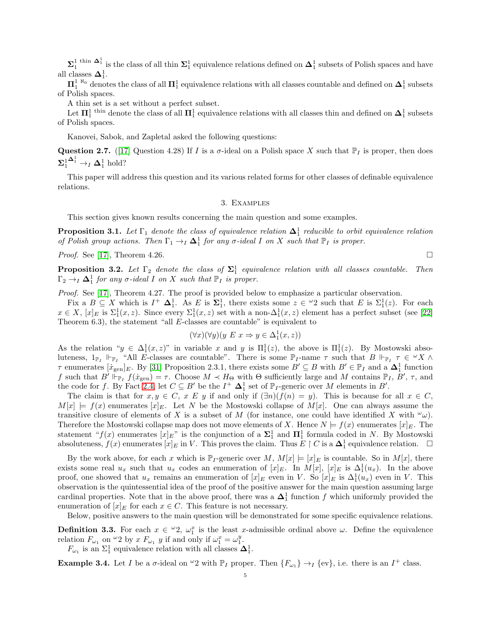$\Sigma_1^1$ <sup>thin</sup>  $\Delta_1^1$  is the class of all thin  $\Sigma_1^1$  equivalence relations defined on  $\Delta_1^1$  subsets of Polish spaces and have all classes  $\mathbf{\Delta}^1_1$ .

 $\Pi^{1~\aleph_0}_1$  denotes the class of all  $\Pi^1_1$  equivalence relations with all classes countable and defined on  $\Delta^1_1$  subsets of Polish spaces.

A thin set is a set without a perfect subset.

Let  $\Pi_1^1$ <sup>thin</sup> denote the class of all  $\Pi_1^1$  equivalence relations with all classes thin and defined on  $\Delta_1^1$  subsets of Polish spaces.

Kanovei, Sabok, and Zapletal asked the following questions:

<span id="page-4-3"></span>Question 2.7. ([\[17\]](#page-27-0) Question 4.28) If I is a  $\sigma$ -ideal on a Polish space X such that  $\mathbb{P}_I$  is proper, then does  $\mathbf{\Sigma}^1_1$  $\mathbf{\Delta}^1_1 \rightarrow_I \mathbf{\Delta}^1_1 \text{ hold?}$ 

<span id="page-4-0"></span>This paper will address this question and its various related forms for other classes of definable equivalence relations.

### 3. Examples

This section gives known results concerning the main question and some examples.

<span id="page-4-1"></span>**Proposition 3.1.** Let  $\Gamma_1$  denote the class of equivalence relation  $\Delta_1^1$  reducible to orbit equivalence relation of Polish group actions. Then  $\Gamma_1 \to_I \Delta^1$  for any  $\sigma$ -ideal I on X such that  $\mathbb{P}_I$  is proper.

*Proof.* See [\[17\]](#page-27-0), Theorem 4.26.

<span id="page-4-2"></span>**Proposition 3.2.** Let  $\Gamma_2$  denote the class of  $\Sigma_1^1$  equivalence relation with all classes countable. Then  $\Gamma_2 \rightarrow_I \Delta^1_1$  for any  $\sigma$ -ideal I on X such that  $\mathbb{P}_I$  is proper.

Proof. See [\[17\]](#page-27-0), Theorem 4.27. The proof is provided below to emphasize a particular observation.

Fix a  $B \subseteq X$  which is  $I^+ \Delta_1^1$ . As E is  $\Sigma_1^1$ , there exists some  $z \in {}^{\omega}2$  such that E is  $\Sigma_1^1(z)$ . For each  $x \in X$ ,  $[x]_E$  is  $\Sigma_1^1(x, z)$ . Since every  $\Sigma_1^1(x, z)$  set with a non- $\Delta_1^1(x, z)$  element has a perfect subset (see [\[22\]](#page-27-2) Theorem 6.3), the statement "all  $E$ -classes are countable" is equivalent to

$$
(\forall x)(\forall y)(y \ E \ x \Rightarrow y \in \Delta_1^1(x, z))
$$

As the relation " $y \in \Delta_1^1(x, z)$ " in variable x and y is  $\Pi_1^1(z)$ , the above is  $\Pi_1^1(z)$ . By Mostowski absoluteness,  $1_{\mathbb{P}_I}$   $\vdash_{\mathbb{P}_I}$  "All E-classes are countable". There is some  $\mathbb{P}_I$ -name  $\tau$  such that  $B \Vdash_{\mathbb{P}_I} \tau \in {}^{\omega}X \wedge {}^{\omega}Y$  $\tau$  enumerates  $[\dot{x}_{gen}]_E$ . By [\[31\]](#page-28-0) Proposition 2.3.1, there exists some  $B' \subseteq B$  with  $B' \in \mathbb{P}_I$  and a  $\Delta_1^1$  function f such that  $B' \Vdash_{\mathbb{P}_I} f(\dot{x}_{gen}) = \tau$ . Choose  $M \prec H_{\Theta}$  with  $\Theta$  sufficiently large and M contains  $\mathbb{P}_I, B', \tau$ , and the code for f. By Fact [2.4,](#page-3-0) let  $C \subseteq B'$  be the  $I^+ \Delta_1^1$  set of  $\mathbb{P}_I$ -generic over M elements in  $B'$ .

The claim is that for  $x, y \in C$ ,  $x \in y$  if and only if  $(\exists n)(f(n) = y)$ . This is because for all  $x \in C$ ,  $M[x] \models f(x)$  enumerates  $[x]_E$ . Let N be the Mostowski collapse of  $M[x]$ . One can always assume the transitive closure of elements of X is a subset of M (for instance, one could have identified X with  $\omega_{\mu}$ ). Therefore the Mostowski collapse map does not move elements of X. Hence  $N \models f(x)$  enumerates  $[x]_E$ . The statement " $f(x)$  enumerates  $[x]_E$ " is the conjunction of a  $\Sigma_1^1$  and  $\Pi_1^1$  formula coded in N. By Mostowski absoluteness,  $f(x)$  enumerates  $[x]_E$  in V. This proves the claim. Thus  $E \restriction C$  is a  $\Delta_1^1$  equivalence relation.  $\Box$ 

By the work above, for each x which is  $\mathbb{P}_I$ -generic over  $M, M[x] \models [x]_E$  is countable. So in  $M[x]$ , there exists some real  $u_x$  such that  $u_x$  codes an enumeration of  $[x]_E$ . In  $M[x]$ ,  $[x]_E$  is  $\Delta_1^1(u_x)$ . In the above proof, one showed that  $u_x$  remains an enumeration of  $[x]_E$  even in V. So  $[x]_E$  is  $\Delta_1^1(u_x)$  even in V. This observation is the quintessential idea of the proof of the positive answer for the main question assuming large cardinal properties. Note that in the above proof, there was a  $\Delta_1^1$  function f which uniformly provided the enumeration of  $[x]_E$  for each  $x \in C$ . This feature is not necessary.

Below, positive answers to the main question will be demonstrated for some specific equivalence relations.

**Definition 3.3.** For each  $x \in \omega_2$ ,  $\omega_1^x$  is the least x-admissible ordinal above  $\omega$ . Define the equivalence relation  $F_{\omega_1}$  on  $\omega_2$  by  $x F_{\omega_1} y$  if and only if  $\omega_1^x = \omega_1^y$ .

 $F_{\omega_1}$  is an  $\Sigma_1^1$  equivalence relation with all classes  $\mathbf{\Delta}_1^1$ .

**Example 3.4.** Let I be a  $\sigma$ -ideal on  $\omega_2$  with  $\mathbb{P}_I$  proper. Then  $\{F_{\omega_1}\}\to_I \{\text{ev}\}\$ , i.e. there is an  $I^+$  class.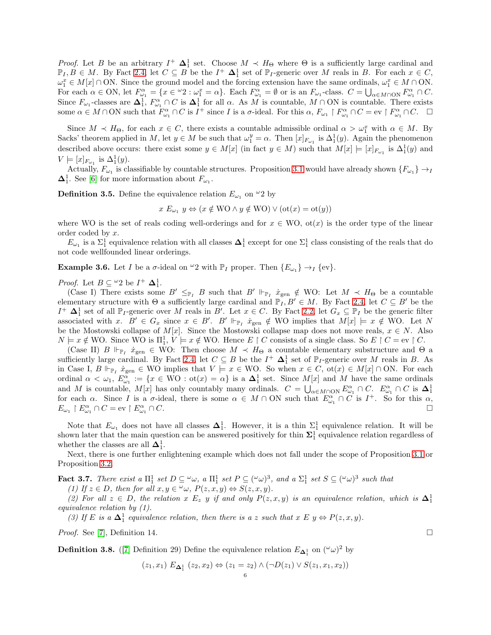*Proof.* Let B be an arbitrary  $I^+$   $\Delta_1^1$  set. Choose  $M \prec H_{\Theta}$  where  $\Theta$  is a sufficiently large cardinal and  $\mathbb{P}_I, B \in M$ . By Fact [2.4,](#page-3-0) let  $C \subseteq B$  be the  $I^+$   $\Delta_1^1$  set of  $\mathbb{P}_I$ -generic over M reals in B. For each  $x \in C$ ,  $\omega_1^x \in M[x] \cap ON$ . Since the ground model and the forcing extension have the same ordinals,  $\omega_1^x \in M \cap ON$ . For each  $\alpha \in \text{ON}$ , let  $F^{\alpha}_{\omega_1} = \{x \in {}^{\omega}2 : \omega_1^x = \alpha\}$ . Each  $F^{\alpha}_{\omega_1} = \emptyset$  or is an  $F_{\omega_1}$ -class.  $C = \bigcup_{\alpha \in M \cap \text{ON}} F^{\alpha}_{\omega_1} \cap C$ . Since  $F_{\omega_1}$ -classes are  $\Delta_1^1$ ,  $F_{\omega_1}^{\alpha} \cap C$  is  $\Delta_1^1$  for all  $\alpha$ . As M is countable,  $M \cap ON$  is countable. There exists some  $\alpha \in M \cap ON$  such that  $F^{\alpha}_{\omega_1} \cap C$  is  $I^+$  since I is a  $\sigma$ -ideal. For this  $\alpha$ ,  $F_{\omega_1} \cap F^{\alpha}_{\omega_1} \cap C = \text{ev} \restriction F^{\alpha}_{\omega_1} \cap C$ .  $\Box$ 

Since  $M \prec H_{\Theta}$ , for each  $x \in C$ , there exists a countable admissible ordinal  $\alpha > \omega_1^x$  with  $\alpha \in M$ . By Sacks' theorem applied in M, let  $y \in M$  be such that  $\omega_1^y = \alpha$ . Then  $[x]_{F_{\omega_1}}$  is  $\Delta_1^1(y)$ . Again the phenomenon described above occurs: there exist some  $y \in M[x]$  (in fact  $y \in M$ ) such that  $M[x] \models [x]_{F_{\omega_1}}$  is  $\Delta_1^1(y)$  and  $V \models [x]_{F_{\omega_1}}$  is  $\Delta_1^1(y)$ .

Actually,  $F_{\omega_1}$  is classifiable by countable structures. Proposition [3.1](#page-4-1) would have already shown  $\{F_{\omega_1}\}\to_I$  $\Delta_1^1$ . See [\[6\]](#page-27-3) for more information about  $F_{\omega_1}$ .

**Definition 3.5.** Define the equivalence relation  $E_{\omega_1}$  on  $\omega_2$  by

$$
x E_{\omega_1} y \Leftrightarrow (x \notin \text{WO} \land y \notin \text{WO}) \lor (\text{ot}(x) = \text{ot}(y))
$$

where WO is the set of reals coding well-orderings and for  $x \in WO$ ,  $ot(x)$  is the order type of the linear order coded by x.

 $E_{\omega_1}$  is a  $\Sigma_1^1$  equivalence relation with all classes  $\Delta_1^1$  except for one  $\Sigma_1^1$  class consisting of the reals that do not code wellfounded linear orderings.

**Example 3.6.** Let I be a  $\sigma$ -ideal on  $\omega_2$  with  $\mathbb{P}_I$  proper. Then  $\{E_{\omega_1}\}\to_I \{\text{ev}\}.$ 

# *Proof.* Let  $B \subseteq {}^{\omega}2$  be  $I^+ \Delta_1^1$ .

(Case I) There exists some  $B' \leq_{\mathbb{P}_I} B$  such that  $B' \Vdash_{\mathbb{P}_I} \dot{x}_{\text{gen}} \notin WO$ : Let  $M \prec H_{\Theta}$  be a countable elementary structure with  $\Theta$  a sufficiently large cardinal and  $\overline{P}_I, B' \in M$ . By Fact [2.4,](#page-3-0) let  $C \subseteq B'$  be the  $I^+$   $\Delta_1^1$  set of all  $\mathbb{P}_I$ -generic over M reals in B'. Let  $x \in C$ . By Fact [2.2,](#page-3-2) let  $G_x \subseteq \mathbb{P}_I$  be the generic filter associated with x.  $B' \in G_x$  since  $x \in B'$ .  $B' \Vdash_{\mathbb{P}_I} \dot{x}_{\text{gen}} \notin WO$  implies that  $M[x] \models x \notin WO$ . Let N be the Mostowski collapse of  $M[x]$ . Since the Mostowski collapse map does not move reals,  $x \in N$ . Also  $N \models x \notin \mathbb{W}$ O. Since WO is  $\Pi_1^1$ ,  $V \models x \notin \mathbb{W}$ O. Hence  $E \restriction C$  consists of a single class. So  $E \restriction C = \text{ev} \restriction C$ .

(Case II)  $B \Vdash_{\mathbb{P}_I} \dot{x}_{gen} \in \mathbb{W}$ O: Then choose  $M \prec H_{\Theta}$  a countable elementary substructure and  $\Theta$  a sufficiently large cardinal. By Fact [2.4,](#page-3-0) let  $C \subseteq B$  be the  $I^+$   $\Delta_1^1$  set of  $\mathbb{P}_I$ -generic over M reals in B. As in Case I,  $B \Vdash_{\mathbb{P}_I} \dot{x}_{\text{gen}} \in WO$  implies that  $V \models x \in WO$ . So when  $x \in C$ ,  $\text{ot}(x) \in M[x] \cap ON$ . For each ordinal  $\alpha < \omega_1$ ,  $E_{\omega_1}^{\alpha} := \{x \in WO : \text{ot}(x) = \alpha\}$  is a  $\Delta_1^1$  set. Since  $M[x]$  and M have the same ordinals and M is countable,  $M[x]$  has only countably many ordinals.  $C = \bigcup_{\alpha \in M \cap \text{ON}} E^{\alpha}_{\omega_1} \cap C$ .  $E^{\alpha}_{\omega_1} \cap C$  is  $\Delta_1^1$  for each  $\alpha$ . Since I is a  $\sigma$ -ideal, there is some  $\alpha \in M \cap \text{ON}$  such that  $E^{\alpha}_{\omega_1} \cap C$  is  $E_{\omega_1} \restriction E_{\omega_1}^{\alpha} \cap C = \text{ev} \restriction E_{\omega_1}^{\alpha}$  $\cap$  C.

Note that  $E_{\omega_1}$  does not have all classes  $\Delta_1^1$ . However, it is a thin  $\Sigma_1^1$  equivalence relation. It will be shown later that the main question can be answered positively for thin  $\Sigma_1^1$  equivalence relation regardless of whether the classes are all  $\Delta_1^1$ .

Next, there is one further enlightening example which does not fall under the scope of Proposition [3.1](#page-4-1) or Proposition [3.2.](#page-4-2)

**Fact 3.7.** There exist a  $\Pi_1^1$  set  $D \subseteq \omega$ , a  $\Pi_1^1$  set  $P \subseteq (\omega \omega)^3$ , and a  $\Sigma_1^1$  set  $S \subseteq (\omega \omega)^3$  such that

(1) If  $z \in D$ , then for all  $x, y \in \omega$ ,  $P(z, x, y) \Leftrightarrow S(z, x, y)$ .

(2) For all  $z \in D$ , the relation x  $E_z$  y if and only  $P(z, x, y)$  is an equivalence relation, which is  $\Delta_1^1$ equivalence relation by (1).

(3) If E is a  $\Delta_1^1$  equivalence relation, then there is a z such that  $x \to y \Leftrightarrow P(z, x, y)$ .

*Proof.* See [\[7\]](#page-27-4), Definition 14.

**Definition 3.8.** ([\[7\]](#page-27-4) Definition 29) Define the equivalence relation  $E_{\Delta_1^1}$  on  $({}^{\omega}\omega)^2$  by

$$
(z_1, x_1) E_{\Delta_1^1} (z_2, x_2) \Leftrightarrow (z_1 = z_2) \wedge (\neg D(z_1) \vee S(z_1, x_1, x_2))
$$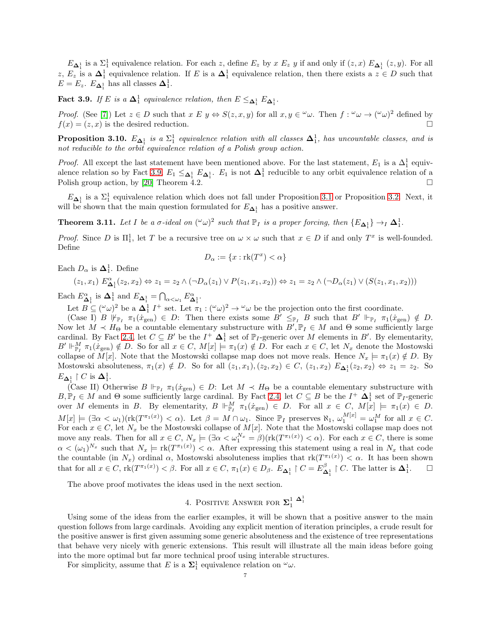$E_{\Delta_1^1}$  is a  $\Sigma_1^1$  equivalence relation. For each z, define  $E_z$  by  $x E_z y$  if and only if  $(z, x) E_{\Delta_1^1}(z, y)$ . For all z,  $E_z$  is a  $\Delta_1^1$  equivalence relation. If E is a  $\Delta_1^1$  equivalence relation, then there exists a  $z \in D$  such that  $E = E_z$ .  $E_{\mathbf{\Delta}_1^1}$  has all classes  $\mathbf{\Delta}_1^1$ .

<span id="page-6-1"></span>**Fact 3.9.** If E is a  $\Delta_1^1$  equivalence relation, then  $E \leq_{\Delta_1^1} E_{\Delta_1^1}$ .

*Proof.* (See [\[7\]](#page-27-4)) Let  $z \in D$  such that  $x \in y \Leftrightarrow S(z, x, y)$  for all  $x, y \in \omega$ . Then  $f: \omega \to (\omega \omega)^2$  defined by  $f(x) = (z, x)$  is the desired reduction.

**Proposition 3.10.**  $E_{\Delta_1^1}$  is a  $\Sigma_1^1$  equivalence relation with all classes  $\Delta_1^1$ , has uncountable classes, and is not reducible to the orbit equivalence relation of a Polish group action.

*Proof.* All except the last statement have been mentioned above. For the last statement,  $E_1$  is a  $\Delta_1^1$  equiv-alence relation so by Fact [3.9,](#page-6-1)  $E_1 \leq_{\Delta_1^1} E_{\Delta_1^1}$ .  $E_1$  is not  $\Delta_1^1$  reducible to any orbit equivalence relation of a Polish group action, by [\[20\]](#page-27-5) Theorem 4.2.

 $E_{\Delta_1^1}$  is a  $\Sigma_1^1$  equivalence relation which does not fall under Proposition [3.1](#page-4-1) or Proposition [3.2.](#page-4-2) Next, it will be shown that the main question formulated for  $E_{\mathbf{\Delta}_1^1}$  has a positive answer.

**Theorem 3.11.** Let I be a  $\sigma$ -ideal on  $({}^{\omega}\omega)^2$  such that  $\mathbb{P}_I$  is a proper forcing, then  $\{E_{\mathbf{\Delta}_1^1}\}\rightarrow_I\mathbf{\Delta}_1^1$ .

*Proof.* Since D is  $\Pi_1^1$ , let T be a recursive tree on  $\omega \times \omega$  such that  $x \in D$  if and only  $T^x$  is well-founded. Define

$$
D_{\alpha} := \{x : \text{rk}(T^x) < \alpha\}
$$

Each  $D_{\alpha}$  is  $\Delta_1^1$ . Define

$$
(z_1, x_1) E^{\alpha}_{\Delta_1^1}(z_2, x_2) \Leftrightarrow z_1 = z_2 \wedge (\neg D_{\alpha}(z_1) \vee P(z_1, x_1, x_2)) \Leftrightarrow z_1 = z_2 \wedge (\neg D_{\alpha}(z_1) \vee (S(z_1, x_1, x_2)))
$$

Each  $E^{\alpha}_{\Delta_1^1}$  is  $\Delta_1^1$  and  $E_{\Delta_1^1} = \bigcap_{\alpha < \omega_1} E^{\alpha}_{\Delta_1^1}$ .

Let  $B \subseteq (\omega \omega)^2$  be a  $\Delta_1^1$   $I^+$  set. Let  $\pi_1 : (\omega \omega)^2 \to \omega \omega$  be the projection onto the first coordinate.

(Case I) B  $\mathbb{F}_{p_1}$   $\pi_1(\dot{x}_{gen}) \in D$ : Then there exists some  $B' \leq_{\mathbb{F}_p} B$  such that  $B' \Vdash_{\mathbb{F}_p} \pi_1(\dot{x}_{gen}) \notin D$ . Now let  $M \prec H_{\Theta}$  be a countable elementary substructure with  $B', \mathbb{P}_I \in M$  and  $\Theta$  some sufficiently large cardinal. By Fact [2.4,](#page-3-0) let  $C \subseteq B'$  be the  $I^+ \Delta_1^1$  set of  $\mathbb{P}_I$ -generic over M elements in B'. By elementarity,  $B' \Vdash^M_{\mathbb{P}_I} \pi_1(\dot{x}_{gen}) \notin D$ . So for all  $x \in C$ ,  $M[x] \models \pi_1(x) \notin D$ . For each  $x \in C$ , let  $N_x$  denote the Mostowski collapse of  $M[x]$ . Note that the Mostowski collapse map does not move reals. Hence  $N_x \models \pi_1(x) \notin D$ . By Mostowski absoluteness,  $\pi_1(x) \notin D$ . So for all  $(z_1, x_1), (z_2, x_2) \in C$ ,  $(z_1, x_2)$   $E_{\mathbf{\Delta}_1^1}(z_2, x_2) \Leftrightarrow z_1 = z_2$ . So  $E_{\mathbf{\Delta}_1^1} \restriction C$  is  $\mathbf{\Delta}_1^1$ .

(Case II) Otherwise  $B \Vdash_{\mathbb{P}_I} \pi_1(\dot{x}_{gen}) \in D:$  Let  $M \prec H_{\Theta}$  be a countable elementary substructure with  $B, \mathbb{P}_I \in M$  and  $\Theta$  some sufficiently large cardinal. By Fact [2.4,](#page-3-0) let  $C \subseteq B$  be the  $I^+ \Delta_1^1$  set of  $\mathbb{P}_I$ -generic over M elements in B. By elementarity,  $B \Vdash^M_{\mathbb{P}_I} \pi_1(\dot{x}_{\text{gen}}) \in D$ . For all  $x \in C$ ,  $M[x] \models \pi_1(x) \in D$ .  $M[x] \models (\exists \alpha < \omega_1)(\text{rk}(T^{\pi_1(x)}) < \alpha)$ . Let  $\beta = M \cap \omega_1$ . Since  $\mathbb{P}_I$  preserves  $\aleph_1$ ,  $\omega_1^{M[x]} = \omega_1^M$  for all  $x \in C$ . For each  $x \in C$ , let  $N_x$  be the Mostowski collapse of  $M[x]$ . Note that the Mostowski collapse map does not move any reals. Then for all  $x \in C$ ,  $N_x \models (\exists \alpha < \omega_1^{N_x} = \beta)(\text{rk}(T^{\pi_1(x)}) < \alpha)$ . For each  $x \in C$ , there is some  $\alpha < (\omega_1)^{N_x}$  such that  $N_x \models \text{rk}(T^{\pi_1(x)}) < \alpha$ . After expressing this statement using a real in  $N_x$  that code the countable (in  $N_x$ ) ordinal  $\alpha$ , Mostowski absoluteness implies that  $rk(T^{\pi_1(x)}) < \alpha$ . It has been shown that for all  $x \in C$ ,  $\mathrm{rk}(T^{\pi_1(x)}) < \beta$ . For all  $x \in C$ ,  $\pi_1(x) \in D_\beta$ .  $E_{\mathbf{\Delta}_1^1} \upharpoonright C = E_{\mathbf{\Delta}_1^1}^\beta \upharpoonright C$ . The latter is  $\mathbf{\Delta}_1^1$  $\Box$ 

<span id="page-6-0"></span>The above proof motivates the ideas used in the next section.

# 4. POSITIVE ANSWER FOR  $\mathbf{\Sigma}_1^1$   $\mathbf{\Delta}_1^1$

Using some of the ideas from the earlier examples, it will be shown that a positive answer to the main question follows from large cardinals. Avoiding any explicit mention of iteration principles, a crude result for the positive answer is first given assuming some generic absoluteness and the existence of tree representations that behave very nicely with generic extensions. This result will illustrate all the main ideas before going into the more optimal but far more technical proof using interable structures.

For simplicity, assume that E is a  $\Sigma_1^1$  equivalence relation on  $\omega_{\omega}$ .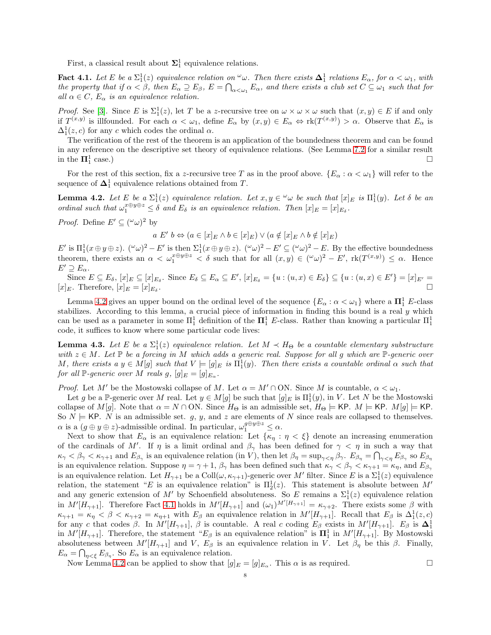First, a classical result about  $\Sigma_1^1$  equivalence relations.

<span id="page-7-1"></span>**Fact 4.1.** Let E be a  $\Sigma_1^1(z)$  equivalence relation on  $\omega$ . Then there exists  $\Delta_1^1$  relations  $E_\alpha$ , for  $\alpha < \omega_1$ , with the property that if  $\alpha < \beta$ , then  $E_{\alpha} \supseteq E_{\beta}$ ,  $E = \bigcap_{\alpha < \omega_1} E_{\alpha}$ , and there exists a club set  $C \subseteq \omega_1$  such that for all  $\alpha \in C$ ,  $E_{\alpha}$  is an equivalence relation.

*Proof.* See [\[3\]](#page-27-6). Since E is  $\Sigma_1^1(z)$ , let T be a z-recursive tree on  $\omega \times \omega \times \omega$  such that  $(x, y) \in E$  if and only if  $T^{(x,y)}$  is illfounded. For each  $\alpha < \omega_1$ , define  $E_\alpha$  by  $(x,y) \in E_\alpha \Leftrightarrow \text{rk}(T^{(x,y)}) > \alpha$ . Observe that  $E_\alpha$  is  $\Delta_1^1(z, c)$  for any c which codes the ordinal  $\alpha$ .

The verification of the rest of the theorem is an application of the boundedness theorem and can be found in any reference on the descriptive set theory of equivalence relations. (See Lemma [7.2](#page-17-2) for a similar result in the  $\Pi^1_1$  $\Box$ 

For the rest of this section, fix a z-recursive tree T as in the proof above.  $\{E_\alpha : \alpha < \omega_1\}$  will refer to the sequence of  $\Delta_1^1$  equivalence relations obtained from T.

<span id="page-7-0"></span>**Lemma 4.2.** Let  $E$  be a  $\Sigma_1^1(z)$  equivalence relation. Let  $x, y \in \omega$  be such that  $[x]_E$  is  $\Pi_1^1(y)$ . Let  $\delta$  be an ordinal such that  $\omega_1^{x \oplus y \oplus z} \leq \delta$  and  $E_{\delta}$  is an equivalence relation. Then  $[x]_E = [x]_{E_{\delta}}$ .

*Proof.* Define  $E' \subseteq (\omega \omega)^2$  by

 $a E' b \Leftrightarrow (a \in [x]_E \wedge b \in [x]_E) \vee (a \notin [x]_E \wedge b \notin [x]_E)$ 

 $E'$  is  $\Pi_1^1(x \oplus y \oplus z)$ .  $({}^{\omega}\omega)^2 - E'$  is then  $\Sigma_1^1(x \oplus y \oplus z)$ .  $({}^{\omega}\omega)^2 - E' \subseteq ({}^{\omega}\omega)^2 - E$ . By the effective boundedness theorem, there exists an  $\alpha < \omega_1^{x \oplus y \oplus z} < \delta$  such that for all  $(x, y) \in (\omega \omega)^2 - E'$ ,  $rk(T^{(x,y)}) \leq \alpha$ . Hence  $E' \supseteq E_{\alpha}$ .

Since  $E \subseteq E_{\delta}$ ,  $[x]_E \subseteq [x]_{E_{\delta}}$ . Since  $E_{\delta} \subseteq E_{\alpha} \subseteq E'$ ,  $[x]_{E_{\delta}} = \{u : (u, x) \in E_{\delta}\} \subseteq \{u : (u, x) \in E'\} = [x]_{E'} =$  $[x]_E$ . Therefore,  $[x]_E = [x]_{E_\delta}$ . .

Lemma [4.2](#page-7-0) gives an upper bound on the ordinal level of the sequence  $\{E_\alpha : \alpha < \omega_1\}$  where a  $\Pi_1^1$  E-class stabilizes. According to this lemma, a crucial piece of information in finding this bound is a real y which can be used as a parameter in some  $\Pi_1^1$  definition of the  $\Pi_1^1$  E-class. Rather than knowing a particular  $\Pi_1^1$ code, it suffices to know where some particular code lives:

<span id="page-7-2"></span>**Lemma 4.3.** Let E be a  $\Sigma_1^1(z)$  equivalence relation. Let  $M \prec H_{\Theta}$  be a countable elementary substructure with  $z \in M$ . Let  $\mathbb P$  be a forcing in M which adds a generic real. Suppose for all g which are  $\mathbb P$ -generic over M, there exists a  $y \in M[g]$  such that  $V \models [g]_E$  is  $\Pi_1^1(y)$ . Then there exists a countable ordinal  $\alpha$  such that for all  $\mathbb{P}\text{-}generic over M$  reals  $g, [g]_E = [g]_{E_{\alpha}}$ .

*Proof.* Let M' be the Mostowski collapse of M. Let  $\alpha = M' \cap ON$ . Since M is countable,  $\alpha < \omega_1$ .

Let g be a P-generic over M real. Let  $y \in M[g]$  be such that  $[g]_E$  is  $\Pi_1^1(y)$ , in V. Let N be the Mostowski collapse of  $M[g]$ . Note that  $\alpha = N \cap ON$ . Since  $H_{\Theta}$  is an admissible set,  $H_{\Theta} \models \mathsf{KP}$ .  $M \models \mathsf{KP}$ .  $M[g] \models \mathsf{KP}$ . So  $N \models$  KP. N is an admissible set. g, y, and z are elements of N since reals are collapsed to themselves.  $\alpha$  is a  $(g \oplus y \oplus z)$ -admissible ordinal. In particular,  $\omega_1^{g \oplus y \oplus z} \leq \alpha$ .

Next to show that  $E_{\alpha}$  is an equivalence relation: Let  $\{\kappa_{\eta} : \eta < \xi\}$  denote an increasing enumeration of the cardinals of M'. If  $\eta$  is a limit ordinal and  $\beta_{\gamma}$  has been defined for  $\gamma < \eta$  in such a way that  $\kappa_{\gamma} < \beta_{\gamma} < \kappa_{\gamma+1}$  and  $E_{\beta_{\gamma}}$  is an equivalence relation (in V), then let  $\beta_{\eta} = \sup_{\gamma \leq \eta} \beta_{\gamma}$ .  $E_{\beta_{\eta}} = \bigcap_{\gamma \leq \eta} E_{\beta_{\gamma}}$  so  $E_{\beta_{\eta}}$ is an equivalence relation. Suppose  $\eta = \gamma + 1$ ,  $\beta_{\gamma}$  has been defined such that  $\kappa_{\gamma} < \beta_{\gamma} < \kappa_{\gamma+1} = \kappa_{\eta}$ , and  $E_{\beta_{\gamma}}$ is an equivalence relation. Let  $H_{\gamma+1}$  be a  $\text{Coll}(\omega,\kappa_{\gamma+1})$ -generic over  $M'$  filter. Since E is a  $\Sigma_1^1(z)$  equivalence relation, the statement "E is an equivalence relation" is  $\Pi_2^1(z)$ . This statement is absolute between M' and any generic extension of M' by Schoenfield absoluteness. So E remains a  $\Sigma_1^1(z)$  equivalence relation in  $M'[H_{\gamma+1}]$ . Therefore Fact [4.1](#page-7-1) holds in  $M'[H_{\gamma+1}]$  and  $(\omega_1)^{M'[H_{\gamma+1}]} = \kappa_{\gamma+2}$ . There exists some  $\beta$  with  $\kappa_{\gamma+1} = \kappa_{\eta} < \beta < \kappa_{\gamma+2} = \kappa_{\eta+1}$  with  $E_{\beta}$  an equivalence relation in  $M'[H_{\gamma+1}]$ . Recall that  $E_{\beta}$  is  $\Delta_1^1(z, c)$ for any c that codes  $\beta$ . In  $M'[H_{\gamma+1}]$ ,  $\beta$  is countable. A real c coding  $E_{\beta}$  exists in  $M'[H_{\gamma+1}]$ .  $E_{\beta}$  is  $\Delta_1^1$ in  $M'[H_{\gamma+1}]$ . Therefore, the statement " $E_\beta$  is an equivalence relation" is  $\Pi_1^1$  in  $M'[H_{\gamma+1}]$ . By Mostowski absoluteness between  $M'[H_{\gamma+1}]$  and V,  $E_\beta$  is an equivalence relation in V. Let  $\beta_\eta$  be this  $\beta$ . Finally,  $E_{\alpha} = \bigcap_{\eta < \xi} E_{\beta_{\eta}}$ . So  $E_{\alpha}$  is an equivalence relation.

Now Lemma [4.2](#page-7-0) can be applied to show that  $[g]_E = [g]_{E_\alpha}$ . This  $\alpha$  is as required.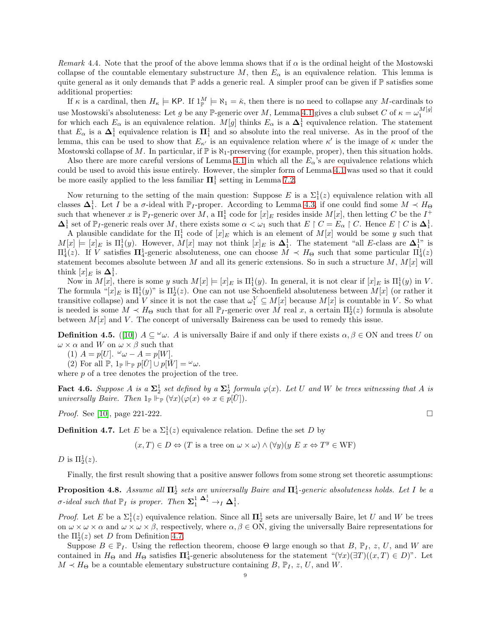Remark 4.4. Note that the proof of the above lemma shows that if  $\alpha$  is the ordinal height of the Mostowski collapse of the countable elementary substructure  $M$ , then  $E_{\alpha}$  is an equivalence relation. This lemma is quite general as it only demands that  $\mathbb P$  adds a generic real. A simpler proof can be given if  $\mathbb P$  satisfies some additional properties:

If  $\kappa$  is a cardinal, then  $H_{\kappa} \models$  KP. If  $1_{\mathbb{P}}^M \models \aleph_1 = \check{\kappa}$ , then there is no need to collapse any M-cardinals to use Mostowski's absoluteness: Let g be any P-generic over M, Lemma [4.1](#page-7-1) gives a club subset C of  $\kappa = \omega_1^{M[g]}$ for which each  $E_{\alpha}$  is an equivalence relation.  $M[g]$  thinks  $E_{\alpha}$  is a  $\Delta_1^1$  equivalence relation. The statement that  $E_{\alpha}$  is a  $\Delta_1^1$  equivalence relation is  $\Pi_1^1$  and so absolute into the real universe. As in the proof of the lemma, this can be used to show that  $E_{\kappa'}$  is an equivalence relation where  $\kappa'$  is the image of  $\kappa$  under the Mostowski collapse of M. In particular, if  $\mathbb P$  is  $\aleph_1$ -preserving (for example, proper), then this situation holds.

Also there are more careful versions of Lemma [4.1](#page-7-1) in which all the  $E_{\alpha}$ 's are equivalence relations which could be used to avoid this issue entirely. However, the simpler form of Lemma [4.1](#page-7-1) was used so that it could be more easily applied to the less familiar  $\mathbf{\Pi}^1_1$  setting in Lemma [7.2.](#page-17-2)

Now returning to the setting of the main question: Suppose E is a  $\Sigma_1^1(z)$  equivalence relation with all classes  $\Delta_1^1$ . Let I be a  $\sigma$ -ideal with  $\mathbb{P}_I$ -proper. According to Lemma [4.3,](#page-7-2) if one could find some  $M \prec H_{\Theta}$ such that whenever x is  $\mathbb{P}_I$ -generic over M, a  $\Pi_1^1$  code for  $[x]_E$  resides inside  $M[x]$ , then letting C be the  $I^+$  $\Delta_1^1$  set of  $\mathbb{P}_I$ -generic reals over M, there exists some  $\alpha < \omega_1$  such that  $E \upharpoonright C = E_\alpha \upharpoonright C$ . Hence  $E \upharpoonright C$  is  $\Delta_1^1$ .

A plausible candidate for the  $\Pi_1^1$  code of  $[x]_E$  which is an element of  $M[x]$  would be some y such that  $M[x] \models [x]_E$  is  $\Pi_1^1(y)$ . However,  $M[x]$  may not think  $[x]_E$  is  $\Delta_1^1$ . The statement "all E-class are  $\Delta_1^{1}$ " is  $\Pi_4^1(z)$ . If V satisfies  $\Pi_4^1$ -generic absoluteness, one can choose  $M \prec H_\Theta$  such that some particular  $\Pi_4^1(z)$ statement becomes absolute between M and all its generic extensions. So in such a structure  $M$ ,  $M[x]$  will think  $[x]_E$  is  $\mathbf{\Delta}_1^1$ .

Now in  $M[x]$ , there is some y such  $M[x] \models [x]_E$  is  $\Pi_1^1(y)$ . In general, it is not clear if  $[x]_E$  is  $\Pi_1^1(y)$  in V. The formula " $[x]_E$  is  $\Pi_1^1(y)$ " is  $\Pi_2^1(z)$ . One can not use Schoenfield absoluteness between  $M[x]$  (or rather it transitive collapse) and V since it is not the case that  $\omega_1^V \subseteq M[x]$  because  $M[x]$  is countable in V. So what is needed is some  $M \prec H_{\Theta}$  such that for all  $\mathbb{P}_I$ -generic over M real x, a certain  $\Pi_2^1(z)$  formula is absolute between  $M[x]$  and V. The concept of universally Baireness can be used to remedy this issue.

**Definition 4.5.** ([\[10\]](#page-27-7))  $A \subseteq \omega_{\omega}$ . A is universally Baire if and only if there exists  $\alpha, \beta \in ON$  and trees U on  $\omega \times \alpha$  and W on  $\omega \times \beta$  such that

(1)  $A = p[U]$ .  $\omega_{\omega} - A = p[W]$ .

(2) For all  $\mathbb{P}, 1_{\mathbb{P}} \Vdash_{\mathbb{P}} p[\check{U}] \cup p[\check{W}] = \omega_{\omega}$ .

where  $p$  of a tree denotes the projection of the tree.

<span id="page-8-1"></span>Fact 4.6. Suppose A is a  $\Sigma^1_2$  set defined by a  $\Sigma^1_2$  formula  $\varphi(x)$ . Let U and W be trees witnessing that A is universally Baire. Then  $1_{\mathbb{P}} \Vdash_{\mathbb{P}} (\forall x)(\varphi(x) \Leftrightarrow x \in p[\check{U}]).$ 

*Proof.* See [\[10\]](#page-27-7), page 221-222.

<span id="page-8-0"></span>**Definition 4.7.** Let E be a  $\Sigma_1^1(z)$  equivalence relation. Define the set D by

 $(x, T) \in D \Leftrightarrow (T \text{ is a tree on } \omega \times \omega) \wedge (\forall y)(y \ E \ x \Leftrightarrow T^y \in \text{WF})$ 

D is  $\Pi_2^1(z)$ .

Finally, the first result showing that a positive answer follows from some strong set theoretic assumptions:

<span id="page-8-2"></span>**Proposition 4.8.** Assume all  $\Pi_2^1$  sets are universally Baire and  $\Pi_4^1$ -generic absoluteness holds. Let I be a *σ*-ideal such that  $\mathbb{P}_I$  is proper. Then  $\mathbf{\Sigma}_1^1 \xrightarrow{\Delta_1^1} \mathbf{\Delta}_1^1$ .

*Proof.* Let E be a  $\Sigma_1^1(z)$  equivalence relation. Since all  $\Pi_2^1$  sets are universally Baire, let U and W be trees on  $\omega \times \omega \times \alpha$  and  $\omega \times \omega \times \beta$ , respectively, where  $\alpha, \beta \in \mathbb{N}$ , giving the universally Baire representations for the  $\Pi_2^1(z)$  set D from Definition [4.7.](#page-8-0)

Suppose  $B \in \mathbb{P}_I$ . Using the reflection theorem, choose  $\Theta$  large enough so that  $B, \mathbb{P}_I, z, U$ , and W are contained in  $H_{\Theta}$  and  $H_{\Theta}$  satisfies  $\Pi_4^1$ -generic absoluteness for the statement " $(\forall x)(\exists T)((x,T) \in D)$ ". Let  $M \prec H_{\Theta}$  be a countable elementary substructure containing B,  $\mathbb{P}_I$ , z, U, and W.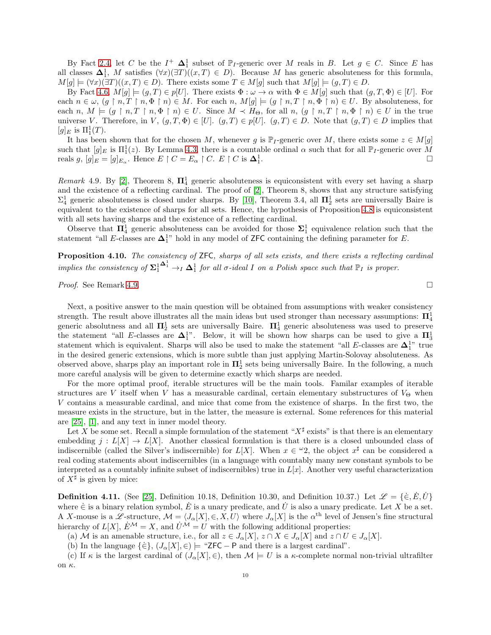By Fact [2.4,](#page-3-0) let C be the  $I^+$   $\Delta_1^1$  subset of  $\mathbb{P}_I$ -generic over M reals in B. Let  $g \in C$ . Since E has all classes  $\Delta_1^1$ , M satisfies  $(\forall x)(\exists T)((x,T) \in D)$ . Because M has generic absoluteness for this formula,  $M[g] \models (\forall x)(\exists T)((x,T) \in D)$ . There exists some  $T \in M[g]$  such that  $M[g] \models (g,T) \in D$ .

By Fact [4.6,](#page-8-1)  $M[g] \models (g, T) \in p[U]$ . There exists  $\Phi : \omega \to \alpha$  with  $\Phi \in M[g]$  such that  $(g, T, \Phi) \in [U]$ . For each  $n \in \omega$ ,  $(g \restriction n, T \restriction n, \Phi \restriction n) \in M$ . For each  $n, M[g] \models (g \restriction n, T \restriction n, \Phi \restriction n) \in U$ . By absoluteness, for each n,  $M \models (g \restriction n, T \restriction n, \Phi \restriction n) \in U$ . Since  $M \prec H_{\Theta}$ , for all n,  $(g \restriction n, T \restriction n, \Phi \restriction n) \in U$  in the true universe V. Therefore, in V,  $(g, T, \Phi) \in [U]$ .  $(g, T) \in p[U]$ .  $(g, T) \in D$ . Note that  $(g, T) \in D$  implies that  $[g]_E$  is  $\Pi_1^1(T)$ .

It has been shown that for the chosen M, whenever g is  $\mathbb{P}_I$ -generic over M, there exists some  $z \in M[g]$ such that  $[g]_E$  is  $\Pi_1^1(z)$ . By Lemma [4.3,](#page-7-2) there is a countable ordinal  $\alpha$  such that for all  $\mathbb{P}_I$ -generic over M reals  $g, [g]_E = [g]_{E_{\alpha}}$ . Hence  $E \upharpoonright C = E_{\alpha} \upharpoonright C$ .  $E \upharpoonright C$  is  $\Delta_1^1$ . В последните поставите на производите на селото на селото на селото на селото на селото на селото на селото<br>В селото на селото на селото на селото на селото на селото на селото на селото на селото на селото на селото н

<span id="page-9-0"></span>Remark 4.9. By [\[2\]](#page-27-8), Theorem 8,  $\Pi_4^1$  generic absoluteness is equiconsistent with every set having a sharp and the existence of a reflecting cardinal. The proof of [\[2\]](#page-27-8), Theorem 8, shows that any structure satisfying  $\Sigma_4^1$  generic absoluteness is closed under sharps. By [\[10\]](#page-27-7), Theorem 3.4, all  $\Pi_2^1$  sets are universally Baire is equivalent to the existence of sharps for all sets. Hence, the hypothesis of Proposition [4.8](#page-8-2) is equiconsistent with all sets having sharps and the existence of a reflecting cardinal.

Observe that  $\Pi_4^1$  generic absoluteness can be avoided for those  $\Sigma_1^1$  equivalence relation such that the statement "all E-classes are  $\Delta_1^{1}$ " hold in any model of ZFC containing the defining parameter for E.

Proposition 4.10. The consistency of ZFC, sharps of all sets exists, and there exists a reflecting cardinal implies the consistency of  $\Sigma^1_1$  $\mathbf{\Delta}_1^1 \rightarrow_I \mathbf{\Delta}_1^1$  for all  $\sigma$ -ideal I on a Polish space such that  $\mathbb{P}_I$  is proper.

Proof. See Remark [4.9.](#page-9-0) □

Next, a positive answer to the main question will be obtained from assumptions with weaker consistency strength. The result above illustrates all the main ideas but used stronger than necessary assumptions:  $\Pi^1_4$ generic absolutness and all  $\Pi_2^1$  sets are universally Baire.  $\Pi_4^1$  generic absoluteness was used to preserve the statement "all E-classes are  $\Delta_1^{1}$ ". Below, it will be shown how sharps can be used to give a  $\Pi_3^1$ statement which is equivalent. Sharps will also be used to make the statement "all E-classes are  $\Delta_1^{1}$ " true in the desired generic extensions, which is more subtle than just applying Martin-Solovay absoluteness. As observed above, sharps play an important role in  $\mathbf{\Pi}^1_2$  sets being universally Baire. In the following, a much more careful analysis will be given to determine exactly which sharps are needed.

For the more optimal proof, iterable structures will be the main tools. Familar examples of iterable structures are V itself when V has a measurable cardinal, certain elementary substructures of  $V_{\Theta}$  when V contains a measurable cardinal, and mice that come from the existence of sharps. In the first two, the measure exists in the structure, but in the latter, the measure is external. Some references for this material are [\[25\]](#page-28-1), [\[1\]](#page-27-9), and any text in inner model theory.

Let X be some set. Recall a simple formulation of the statement " $X^{\sharp}$  exists" is that there is an elementary embedding  $j : L[X] \to L[X]$ . Another classical formulation is that there is a closed unbounded class of indiscernible (called the Silver's indiscernible) for  $L[X]$ . When  $x \in \mathcal{L}_2$ , the object  $x^{\sharp}$  can be considered a real coding statements about indiscernibles (in a language with countably many new constant symbols to be interpreted as a countably infinite subset of indiscernibles) true in  $L[x]$ . Another very useful characterization of  $X^{\sharp}$  is given by mice:

<span id="page-9-1"></span>**Definition 4.11.** (See [\[25\]](#page-28-1), Definition 10.18, Definition 10.30, and Definition 10.37.) Let  $\mathcal{L} = {\hat{\in}, E, U}$ where  $\dot{\in}$  is a binary relation symbol,  $\dot{E}$  is a unary predicate, and  $\dot{U}$  is also a unary predicate. Let X be a set. A X-mouse is a L-structure,  $\mathcal{M} = \langle J_\alpha[X], \in, X, U \rangle$  where  $J_\alpha[X]$  is the  $\alpha^{\text{th}}$  level of Jensen's fine structural hierarchy of  $L[X], \dot{E}^{\mathcal{M}} = X$ , and  $\dot{U}^{\mathcal{M}} = U$  with the following additional properties:

(a) M is an amenable structure, i.e., for all  $z \in J_\alpha[X]$ ,  $z \cap X \in J_\alpha[X]$  and  $z \cap U \in J_\alpha[X]$ .

(b) In the language  $\{\dot{\in}\}, (J_{\alpha}[X], \in) \models$  "ZFC – P and there is a largest cardinal".

(c) If  $\kappa$  is the largest cardinal of  $(J_{\alpha}[X], \in)$ , then  $\mathcal{M} \models U$  is a  $\kappa$ -complete normal non-trivial ultrafilter on κ.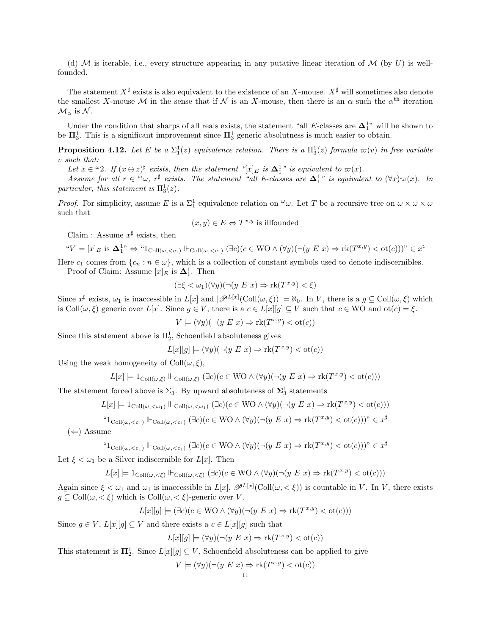(d) M is iterable, i.e., every structure appearing in any putative linear iteration of M (by U) is wellfounded.

The statement  $X^{\sharp}$  exists is also equivalent to the existence of an X-mouse.  $X^{\sharp}$  will sometimes also denote the smallest X-mouse M in the sense that if N is an X-mouse, then there is an  $\alpha$  such the  $\alpha^{\text{th}}$  iteration  $\mathcal{M}_{\alpha}$  is  $\mathcal{N}$ .

Under the condition that sharps of all reals exists, the statement "all E-classes are  $\Delta_1^{1}$ " will be shown to be  $\Pi_3^1$ . This is a significant improvement since  $\Pi_3^1$  generic absolutness is much easier to obtain.

<span id="page-10-0"></span>**Proposition 4.12.** Let E be a  $\Sigma_1^1(z)$  equivalence relation. There is a  $\Pi_3^1(z)$  formula  $\varpi(v)$  in free variable v such that:

Let  $x \in \omega$ ?. If  $(x \oplus z)^{\sharp}$  exists, then the statement "[x] E is  $\Delta_1^1$ " is equivalent to  $\varpi(x)$ .

Assume for all  $r \in \omega$ ,  $r^{\sharp}$  exists. The statement "all E-classes are  $\Delta_1^1$ " is equivalent to  $(\forall x)\varpi(x)$ . In particular, this statement is  $\Pi_3^1(z)$ .

*Proof.* For simplicity, assume E is a  $\Sigma_1^1$  equivalence relation on  $\omega \omega$ . Let T be a recursive tree on  $\omega \times \omega \times \omega$ such that

$$
(x, y) \in E \Leftrightarrow T^{x,y}
$$
 is illfounded

Claim : Assume  $x^{\sharp}$  exists, then

$$
``V \models [x]_E \text{ is } \Delta_1^{1} \Leftrightarrow "1_{\text{Coll}(\omega, < c_1)} \Vdash_{\text{Coll}(\omega, < c_1)} (\exists c)(c \in \text{WO} \land (\forall y)(\neg (y \ E \ x) \Rightarrow \text{rk}(T^{x,y}) < \text{ot}(c))) \text{''} \in x^{\sharp}
$$

Here  $c_1$  comes from  $\{c_n : n \in \omega\}$ , which is a collection of constant symbols used to denote indiscernibles. Proof of Claim: Assume  $[x]_E$  is  $\Delta_1^1$ . Then

$$
(\exists \xi < \omega_1)(\forall y)(\neg (y \ E \ x) \Rightarrow \text{rk}(T^{x,y}) < \xi)
$$

Since  $x^{\sharp}$  exists,  $\omega_1$  is inaccessible in  $L[x]$  and  $|\mathscr{P}^{L[x]}(\text{Coll}(\omega,\xi))| = \aleph_0$ . In V, there is a  $g \subseteq \text{Coll}(\omega,\xi)$  which is Coll $(\omega, \xi)$  generic over  $L[x]$ . Since  $g \in V$ , there is a  $c \in L[x][g] \subseteq V$  such that  $c \in WO$  and  $ot(c) = \xi$ .

$$
V \models (\forall y)(\neg (y \ E \ x) \Rightarrow \text{rk}(T^{x,y}) < \text{ot}(c))
$$

Since this statement above is  $\Pi_2^1$ , Schoenfield absoluteness gives

$$
L[x][g] \models (\forall y)(\neg (y \ E \ x) \Rightarrow \text{rk}(T^{x,y}) < \text{ot}(c))
$$

Using the weak homogeneity of  $Coll(\omega, \xi)$ ,

$$
L[x]\models 1_{\mathrm{Coll}(\omega,\xi)}\Vdash_{\mathrm{Coll}(\omega,\xi)}(\exists c)(c\in\mathrm{WO}\wedge(\forall y)(\neg(y\mathrel{E}x)\Rightarrow\mathrm{rk}(T^{x,y})<\mathrm{ot}(c)))
$$

The statement forced above is  $\Sigma_3^1$ . By upward absoluteness of  $\Sigma_3^1$  statements

$$
L[x] \models 1_{\text{Coll}(\omega, < \omega_1)} \Vdash_{\text{Coll}(\omega, < \omega_1)} (\exists c)(c \in \text{WO} \land (\forall y)(\neg(y \ E \ x) \Rightarrow \text{rk}(T^{x,y}) < \text{ot}(c)))
$$

$$
``1_{\mathrm{Coll}(\omega,
$$

 $(\Leftarrow)$  Assume

$$
``1_{\mathrm{Coll}(\omega,
$$

Let  $\xi < \omega_1$  be a Silver indiscernible for  $L[x]$ . Then

$$
L[x] \models 1_{\text{Coll}(\omega,<\xi)} \Vdash_{\text{Coll}(\omega,<\xi)} (\exists c)(c \in \text{WO} \land (\forall y)(\neg(y \ E \ x) \Rightarrow \text{rk}(T^{x,y}) < \text{ot}(c)))
$$

Again since  $\xi < \omega_1$  and  $\omega_1$  is inaccessible in  $L[x]$ ,  $\mathscr{P}^{L[x]}(\text{Coll}(\omega,<\xi))$  is countable in V. In V, there exists  $g \subseteq \text{Coll}(\omega, < \xi)$  which is  $\text{Coll}(\omega, < \xi)$ -generic over V.

$$
L[x][g] \models (\exists c)(c \in \mathcal{WO} \land (\forall y)(\neg(y \ E \ x) \Rightarrow \text{rk}(T^{x,y}) < \text{ot}(c)))
$$

Since  $g \in V$ ,  $L[x][g] \subseteq V$  and there exists a  $c \in L[x][g]$  such that

$$
L[x][g] \models (\forall y)(\neg(y \ E \ x) \Rightarrow \text{rk}(T^{x,y}) < \text{ot}(c))
$$

This statement is  $\mathbf{\Pi}_2^1$ . Since  $L[x][g] \subseteq V$ , Schoenfield absoluteness can be applied to give

$$
V \models (\forall y)(\neg(y \ E \ x) \Rightarrow \operatorname{rk}(T^{x,y}) < \operatorname{ot}(c))
$$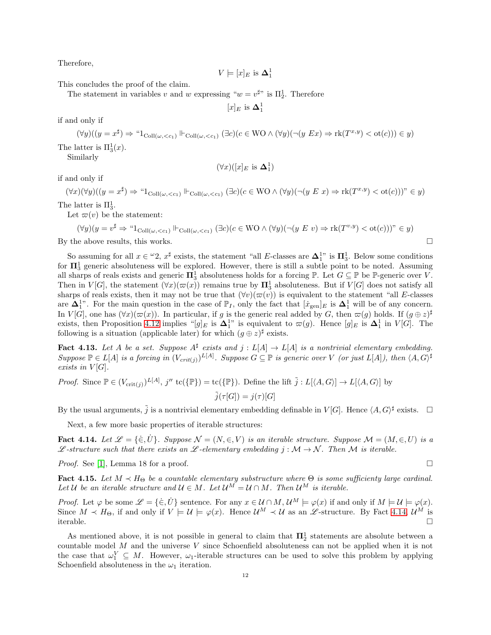Therefore,

$$
V \models [x]_E \text{ is } \Delta_1^1
$$

This concludes the proof of the claim.

The statement in variables v and w expressing " $w = v^{\sharp}$ " is  $\Pi_2^1$ . Therefore

$$
[x]_E \text{ is } \Delta_1^1
$$

if and only if

$$
(\forall y)((y = x^{\sharp}) \Rightarrow \text{``1}_{\text{Coll}(\omega, < c_1)} \Vdash_{\text{Coll}(\omega, < c_1)} (\exists c)(c \in \text{WO} \land (\forall y)(\neg(y \ Ex) \Rightarrow \text{rk}(T^{x,y}) < \text{ot}(c))) \in y)
$$

The latter is  $\Pi_3^1(x)$ .

Similarly

$$
(\forall x)([x]_E \text{ is } \Delta_1^1)
$$

if and only if

 $(\forall x)(\forall y)((y = x^{\sharp}) \Rightarrow \text{``1}_{\text{Coll}(\omega, < c_1)} \Vdash_{\text{Coll}(\omega, < c_1)} (\exists c)(c \in \text{WO} \land (\forall y)(\neg(y \ E \ x) \Rightarrow \text{rk}(T^{x,y}) < \text{ot}(c)))$ " $\in y$ )

The latter is  $\Pi_3^1$ .

Let  $\varpi(v)$  be the statement:

$$
(\forall y)(y = v^{\sharp} \Rightarrow "1_{\text{Coll}(\omega, < c_1)} \Vdash_{\text{Coll}(\omega, < c_1)} (\exists c)(c \in \text{WO} \land (\forall y)(\neg(y \ E \ v) \Rightarrow \text{rk}(T^{v,y}) < \text{ot}(c)))^{\circ} \in y)
$$
\nBy the above results, this works.

So assuming for all  $x \in \omega_2$ ,  $x^{\sharp}$  exists, the statement "all E-classes are  $\Delta_1^{1}$ " is  $\Pi_3^1$ . Below some conditions for  $\Pi^1_3$  generic absoluteness will be explored. However, there is still a subtle point to be noted. Assuming all sharps of reals exists and generic  $\mathbf{\Pi}^1_3$  absoluteness holds for a forcing  $\mathbb{P}$ . Let  $G \subseteq \mathbb{P}$  be  $\mathbb{P}$ -generic over V. Then in  $V[G]$ , the statement  $(\forall x)(\varpi(x))$  remains true by  $\mathbf{\Pi}^1_3$  absoluteness. But if  $V[G]$  does not satisfy all sharps of reals exists, then it may not be true that  $(\forall v)(\varpi(v))$  is equivalent to the statement "all E-classes" are  $\Delta_1^{1}$ ". For the main question in the case of  $\mathbb{P}_I$ , only the fact that  $[\dot{x}_{gen}]_E$  is  $\Delta_1^1$  will be of any concern. In  $V[G]$ , one has  $(\forall x)(\varpi(x))$ . In particular, if g is the generic real added by G, then  $\varpi(g)$  holds. If  $(g \oplus z)^{\sharp}$ exists, then Proposition [4.12](#page-10-0) implies " $[g]_E$  is  $\Delta_1^{1}$ " is equivalent to  $\varpi(g)$ . Hence  $[g]_E$  is  $\Delta_1^1$  in  $V[G]$ . The following is a situation (applicable later) for which  $(g \oplus z)^{\sharp}$  exists.

<span id="page-11-1"></span>Fact 4.13. Let A be a set. Suppose  $A^{\sharp}$  exists and  $j: L[A] \to L[A]$  is a nontrivial elementary embedding. Suppose  $\mathbb{P} \in L[A]$  is a forcing in  $(V_{crit(j)})^{L[A]}$ . Suppose  $G \subseteq \mathbb{P}$  is generic over V (or just  $L[A]$ ), then  $\langle A, G \rangle^{\sharp}$ exists in  $V[G]$ .

*Proof.* Since  $\mathbb{P} \in (V_{\text{crit}(j)})^{L[A]}, j'' \text{tc}(\{\mathbb{P}\}) = \text{tc}(\{\mathbb{P}\}).$  Define the lift  $\tilde{j}: L[\langle A, G \rangle] \to L[\langle A, G \rangle]$  by  $\tilde{j}(\tau[G]) = j(\tau)[G]$ 

By the usual arguments,  $\tilde{j}$  is a nontrivial elementary embedding definable in  $V[G]$ . Hence  $\langle A, G \rangle^{\sharp}$  exists.  $\Box$ 

Next, a few more basic properties of iterable structures:

<span id="page-11-0"></span>Fact 4.14. Let  $\mathcal{L} = \{\dot{\in}, \dot{U}\}\$ . Suppose  $\mathcal{N} = (N, \in, V)$  is an iterable structure. Suppose  $\mathcal{M} = (M, \in, U)$  is a L-structure such that there exists an L-elementary embedding  $j : \mathcal{M} \to \mathcal{N}$ . Then M is iterable.

*Proof.* See [\[1\]](#page-27-9), Lemma 18 for a proof.  $\square$ 

<span id="page-11-2"></span>Fact 4.15. Let  $M \prec H_{\Theta}$  be a countable elementary substructure where  $\Theta$  is some sufficienty large cardinal. Let U be an iterable structure and  $U \in M$ . Let  $\mathcal{U}^M = \mathcal{U} \cap M$ . Then  $\mathcal{U}^M$  is iterable.

*Proof.* Let  $\varphi$  be some  $\mathscr{L} = {\{\dot{\in}, \dot{U}\}}$  sentence. For any  $x \in \mathcal{U} \cap M$ ,  $\mathcal{U}^M \models \varphi(x)$  if and only if  $M \models \mathcal{U} \models \varphi(x)$ . Since  $M \prec H_{\Theta}$ , if and only if  $V \models U \models \varphi(x)$ . Hence  $\mathcal{U}^M \prec \mathcal{U}$  as an  $\mathscr{L}$ -structure. By Fact [4.14,](#page-11-0)  $\mathcal{U}^M$  is iterable.  $\square$ 

As mentioned above, it is not possible in general to claim that  $\Pi_2^1$  statements are absolute between a countable model  $M$  and the universe  $V$  since Schoenfield absoluteness can not be applied when it is not the case that  $\omega_1^V \subseteq M$ . However,  $\omega_1$ -iterable structures can be used to solve this problem by applying Schoenfield absoluteness in the  $\omega_1$  iteration.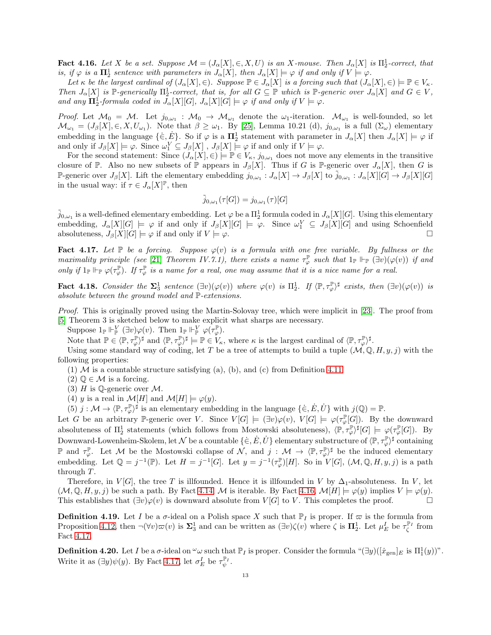<span id="page-12-0"></span>**Fact 4.16.** Let X be a set. Suppose  $\mathcal{M} = (J_{\alpha}[X], \in, X, U)$  is an X-mouse. Then  $J_{\alpha}[X]$  is  $\Pi_2^1$ -correct, that is, if  $\varphi$  is a  $\Pi_2^1$  sentence with parameters in  $J_\alpha[X]$ , then  $J_\alpha[X] \models \varphi$  if and only if  $V \models \varphi$ .

Let  $\kappa$  be the largest cardinal of  $(J_{\alpha}[X], \in)$ . Suppose  $\mathbb{P} \in J_{\alpha}[X]$  is a forcing such that  $(J_{\alpha}[X], \in) \models \mathbb{P} \in V_{\kappa}$ . Then  $J_{\alpha}[X]$  is P-generically  $\Pi_2^1$ -correct, that is, for all  $G \subseteq \mathbb{P}$  which is P-generic over  $J_{\alpha}[X]$  and  $G \in V$ , and any  $\Pi_2^1$ -formula coded in  $J_\alpha[X][G], J_\alpha[X][G] \models \varphi$  if and only if  $V \models \varphi$ .

*Proof.* Let  $\mathcal{M}_0 = \mathcal{M}$ . Let  $j_{0,\omega_1} : \mathcal{M}_0 \to \mathcal{M}_{\omega_1}$  denote the  $\omega_1$ -iteration.  $\mathcal{M}_{\omega_1}$  is well-founded, so let  $\mathcal{M}_{\omega_1} = (J_\beta[X], \in, X, U_{\omega_1})$ . Note that  $\beta \geq \omega_1$ . By [\[25\]](#page-28-1), Lemma 10.21 (d),  $j_{0,\omega_1}$  is a full  $(\Sigma_\omega)$  elementary embedding in the language  $\{\dot{\in}, E\}$ . So if  $\varphi$  is a  $\Pi_2^1$  statement with parameter in  $J_\alpha[X]$  then  $J_\alpha[X] \models \varphi$  if and only if  $J_{\beta}[X] \models \varphi$ . Since  $\omega_1^V \subseteq J_{\beta}[X]$ ,  $J_{\beta}[X] \models \varphi$  if and only if  $V \models \varphi$ .

For the second statement: Since  $(J_{\alpha}[X], \in) \models \mathbb{P} \in V_{\kappa}, j_{0,\omega_1}$  does not move any elements in the transitive closure of P. Also no new subsets of P appears in  $J_\beta[X]$ . Thus if G is P-generic over  $J_\alpha[X]$ , then G is P-generic over  $J_{\beta}[X]$ . Lift the elementary embedding  $j_{0,\omega_1}: J_{\alpha}[X] \to J_{\beta}[X]$  to  $\tilde{j}_{0,\omega_1}: J_{\alpha}[X][G] \to J_{\beta}[X][G]$ in the usual way: if  $\tau \in J_{\alpha}[X]^{\mathbb{P}},$  then

$$
\tilde{j}_{0,\omega_1}(\tau[G]) = j_{0,\omega_1}(\tau)[G]
$$

 $\tilde{j}_{0,\omega_1}$  is a well-defined elementary embedding. Let  $\varphi$  be a  $\Pi^1_2$  formula coded in  $J_\alpha[X][G]$ . Using this elementary embedding,  $J_{\alpha}[X][G] \models \varphi$  if and only if  $J_{\beta}[X][G] \models \varphi$ . Since  $\omega_1^V \subseteq J_{\beta}[X][G]$  and using Schoenfield absoluteness,  $J_{\beta}[X][G] \models \varphi$  if and only if  $V \models \varphi$ .

<span id="page-12-1"></span>Fact 4.17. Let  $\mathbb P$  be a forcing. Suppose  $\varphi(v)$  is a formula with one free variable. By fullness or the maximality principle (see [\[21\]](#page-27-10) Theorem IV.7.1), there exists a name  $\tau_{\varphi}^{\mathbb{P}}$  such that  $1_{\mathbb{P}} \Vdash_{\mathbb{P}} (\exists v)(\varphi(v))$  if and only if  $1_{\mathbb{P}} \Vdash_{\mathbb{P}} \varphi(\tau_{\varphi}^{\mathbb{P}})$ . If  $\tau_{\varphi}^{\mathbb{P}}$  is a name for a real, one may assume that it is a nice name for a real.

<span id="page-12-2"></span>**Fact 4.18.** Consider the  $\Sigma_3^1$  sentence  $(\exists v)(\varphi(v))$  where  $\varphi(v)$  is  $\Pi_2^1$ . If  $\langle \mathbb{P}, \tau_{\varphi}^{\mathbb{P}} \rangle^{\sharp}$  exists, then  $(\exists v)(\varphi(v))$  is absolute between the ground model and P-extensions.

Proof. This is originally proved using the Martin-Solovay tree, which were implicit in [\[23\]](#page-28-2). The proof from [\[5\]](#page-27-11) Theorem 3 is sketched below to make explicit what sharps are necessary.

Suppose  $1_{\mathbb{P}} \Vdash_{\mathbb{P}}^V (\exists v) \varphi(v)$ . Then  $1_{\mathbb{P}} \Vdash_{\mathbb{P}}^V \varphi(\tau_{\varphi}^{\mathbb{P}})$ .

Note that  $\mathbb{P} \in \langle \mathbb{P}, \tau_{\varphi}^{\mathbb{P}} \rangle^{\sharp}$  and  $\langle \mathbb{P}, \tau_{\varphi}^{\mathbb{P}} \rangle^{\sharp} \models \mathbb{P} \in V_{\kappa}$ , where  $\kappa$  is the largest cardinal of  $\langle \mathbb{P}, \tau_{\varphi}^{\mathbb{P}} \rangle^{\sharp}$ .

Using some standard way of coding, let T be a tree of attempts to build a tuple  $(\mathcal{M}, \mathbb{Q}, H, y, j)$  with the following properties:

(1)  $M$  is a countable structure satisfying (a), (b), and (c) from Definition [4.11.](#page-9-1)

 $(2)$  Q  $\in \mathcal{M}$  is a forcing.

(3) H is  $\mathbb{Q}$ -generic over M.

(4) y is a real in  $\mathcal{M}[H]$  and  $\mathcal{M}[H] \models \varphi(y)$ .

(5)  $j: \mathcal{M} \to \langle \mathbb{P}, \tau_{\varphi}^{\mathbb{P}} \rangle^{\sharp}$  is an elementary embedding in the language  $\{\dot{\in}, E, \dot{U}\}$  with  $j(\mathbb{Q}) = \mathbb{P}$ .

Let G be an arbitrary P-generic over V. Since  $V[G] \models (\exists v)\varphi(v), V[G] \models \varphi(\tau_{\varphi}^{\mathbb{P}}[G])$ . By the downward absoluteness of  $\Pi_2^1$  statements (which follows from Mostowski absoluteness),  $\langle \mathbb{P}, \tau_{\varphi}^{\mathbb{P}} \rangle^{\sharp}[G] \models \varphi(\tau_{\varphi}^{\mathbb{P}}[G])$ . By Downward-Lowenheim-Skolem, let  $\mathcal N$  be a countable  $\{\dot{\in}, \dot{E}, \dot{U}\}$  elementary substructure of  $\langle \mathbb P, \tau_\varphi^{\mathbb P}\rangle^\sharp$  containing **P** and  $\tau_{\varphi}^{\mathbb{P}}$ . Let M be the Mostowski collapse of N, and  $j : \mathcal{M} \to \langle \mathbb{P}, \tau_{\varphi}^{\mathbb{P}} \rangle^{\sharp}$  be the induced elementary embedding. Let  $\mathbb{Q} = j^{-1}(\mathbb{P})$ . Let  $H = j^{-1}[G]$ . Let  $y = j^{-1}(\tau^{\mathbb{P}}_{\varphi})[H]$ . So in  $V[G]$ ,  $(\mathcal{M}, \mathbb{Q}, H, y, j)$  is a path through  $T$ .

Therefore, in  $V[G]$ , the tree T is illfounded. Hence it is illfounded in V by  $\Delta_1$ -absoluteness. In V, let  $(M, \mathbb{Q}, H, y, j)$  be such a path. By Fact [4.14,](#page-11-0) M is iterable. By Fact [4.16,](#page-12-0)  $\mathcal{M}[H] \models \varphi(y)$  implies  $V \models \varphi(y)$ . This establishes that  $(\exists v)\varphi(v)$  is downward absolute from  $V[G]$  to V. This completes the proof.

**Definition 4.19.** Let I be a  $\sigma$ -ideal on a Polish space X such that  $\mathbb{P}_I$  is proper. If  $\sigma$  is the formula from Proposition [4.12,](#page-10-0) then  $\neg(\forall v)\varpi(v)$  is  $\Sigma_3^1$  and can be written as  $(\exists v)\zeta(v)$  where  $\zeta$  is  $\Pi_2^1$ . Let  $\mu_E^I$  be  $\tau_{\zeta}^{\mathbb{P}_I}$  from Fact [4.17.](#page-12-1)

<span id="page-12-3"></span>**Definition 4.20.** Let I be a  $\sigma$ -ideal on  $\omega$  such that  $\mathbb{P}_I$  is proper. Consider the formula " $(\exists y)([\dot{x}_{gen}]_E$  is  $\Pi_1^1(y)$ ". Write it as  $(\exists y)\psi(y)$ . By Fact [4.17,](#page-12-1) let  $\sigma_E^I$  be  $\tau_{\psi}^{\mathbb{P}_I}$ .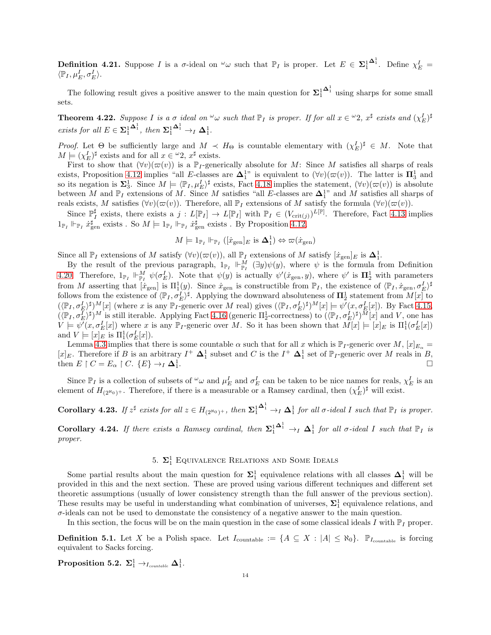**Definition 4.21.** Suppose I is a  $\sigma$ -ideal on  $\omega$  such that  $\mathbb{P}_I$  is proper. Let  $E \in \Sigma_1^1$  $\Delta_1^1$ . Define  $\chi_E^I$  =  $\langle \mathbb{P}_I, \mu_E^I, \sigma_E^I \rangle.$ 

The following result gives a positive answer to the main question for  $\Sigma^1_1$  $\mathbf{\Delta}^1$  using sharps for some small sets.

<span id="page-13-0"></span>**Theorem 4.22.** Suppose I is a  $\sigma$  ideal on  $\omega$  such that  $\mathbb{P}_I$  is proper. If for all  $x \in \omega_2$ ,  $x^{\sharp}$  exists and  $(\chi_E^I)^{\sharp}$ exists for all  $E \in \Sigma_1^1$  $\mathbf{\Delta}^1_1$ , then  $\mathbf{\Sigma}^1_1$  $\mathbf{\Delta}^1_1 \to_I \mathbf{\Delta}^1_1.$ 

*Proof.* Let  $\Theta$  be sufficiently large and  $M \prec H_{\Theta}$  is countable elementary with  $(\chi_E^I)^{\sharp} \in M$ . Note that  $M \models (\chi_E^I)^\sharp$  exists and for all  $x \in {}^{\omega}2$ ,  $x^\sharp$  exists.

First to show that  $(\forall v)(\varpi(v))$  is a  $\mathbb{P}_I$ -generically absolute for M: Since M satisfies all sharps of reals exists, Proposition [4.12](#page-10-0) implies "all E-classes are  $\Delta_1^{1}$ " is equivalent to  $(\forall v)(\varpi(v))$ . The latter is  $\Pi_3^1$  and so its negation is  $\Sigma_3^1$ . Since  $M \models \langle \mathbb{P}_I, \mu_E^I \rangle^{\sharp}$  exists, Fact [4.18](#page-12-2) implies the statement,  $(\forall v)(\varpi(v))$  is absolute between M and  $\mathbb{P}_I$  extensions of M. Since M satisfies "all E-classes are  $\Delta_1^{1}$ " and M satisfies all sharps of reals exists, M satisfies  $(\forall v)(\varpi(v))$ . Therefore, all  $\mathbb{P}_I$  extensions of M satisfy the formula  $(\forall v)(\varpi(v))$ .

Since  $\mathbb{P}_I^{\sharp}$  exists, there exists a  $j: L[\mathbb{P}_I] \to L[\mathbb{P}_I]$  with  $\mathbb{P}_I \in (V_{\text{crit}(j)})^{L[\mathbb{P}]}$ . Therefore, Fact [4.13](#page-11-1) implies  $1_{\mathbb{P}_I} \Vdash_{\mathbb{P}_I} \dot{x}_{\text{gen}}^{\sharp}$  exists . So  $M \models 1_{\mathbb{P}_I} \Vdash_{\mathbb{P}_I} \dot{x}_{\text{gen}}^{\sharp}$  exists . By Proposition [4.12,](#page-10-0)

$$
M \models 1_{\mathbb{P}_I} \Vdash_{\mathbb{P}_I} ([\dot{x}_{\text{gen}}]_E \text{ is } \Delta_1^1) \Leftrightarrow \varpi(\dot{x}_{\text{gen}})
$$

Since all  $\mathbb{P}_I$  extensions of M satisfy  $(\forall v)(\varpi(v))$ , all  $\mathbb{P}_I$  extensions of M satisfy  $[\dot{x}_{gen}]_E$  is  $\Delta_1^1$ .

By the result of the previous paragraph,  $1_{\mathbb{P}_I}$   $\mathbb{H}_{\mathbb{P}_I}^M$   $(\exists y)\psi(y)$ , where  $\psi$  is the formula from Definition [4.20.](#page-12-3) Therefore,  $1_{\mathbb{P}_I} \Vdash_{\mathbb{P}_I}^M \psi(\sigma_E^I)$ . Note that  $\psi(y)$  is actually  $\psi'(x_{\text{gen}}, y)$ , where  $\psi'$  is  $\mathbf{\Pi}_2^1$  with parameters from M asserting that  $[\dot{x}_{gen}]$  is  $\Pi_1^1(y)$ . Since  $\dot{x}_{gen}$  is constructible from  $\mathbb{P}_I$ , the existence of  $\langle \mathbb{P}_I, \dot{x}_{gen}, \sigma_E^I \rangle^{\sharp}$ follows from the existence of  $\langle \mathbb{P}_I, \sigma_E^I \rangle^{\sharp}$ . Applying the downward absoluteness of  $\mathbf{\Pi}_2^1$  statement from  $M[x]$  to  $(\langle \mathbb{P}_I, \sigma_E^I \rangle^{\sharp})^M[x]$  (where x is any  $\mathbb{P}_I$ -generic over M real) gives  $(\langle \mathbb{P}_I, \sigma_E^I \rangle^{\sharp})^M[x] \models \psi'(x, \sigma_E^I[x])$ . By Fact [4.15,](#page-11-2)  $(\langle \mathbb{P}_I, \sigma_E^I \rangle^{\sharp})^M$  is still iterable. Applying Fact [4.16](#page-12-0) (generic  $\Pi_2^1$ -correctness) to  $(\langle \mathbb{P}_I, \sigma_E^I \rangle^{\sharp})^M[x]$  and V, one has  $V \models \psi'(x, \sigma_E^I[x])$  where x is any  $\mathbb{P}_I$ -generic over M. So it has been shown that  $M[x] \models [x]_E$  is  $\Pi_1^1(\sigma_E^I[x])$ and  $V \models [x]_E$  is  $\Pi_1^1(\sigma_E^I[x])$ .

Lemma [4.3](#page-7-2) implies that there is some countable  $\alpha$  such that for all x which is  $\mathbb{P}_I$ -generic over M,  $[x]_{E_{\alpha}} =$  $[x]_E$ . Therefore if B is an arbitrary  $I^+ \Delta_1^1$  subset and C is the  $I^+ \Delta_1^1$  set of  $\mathbb{P}_I$ -generic over M reals in B, then  $E \upharpoonright C = E_{\alpha} \upharpoonright C$ .  $\{E\} \rightarrow_I \Delta_1^1$ .

Since  $\mathbb{P}_I$  is a collection of subsets of  $\omega \omega$  and  $\mu_E^I$  and  $\sigma_E^I$  can be taken to be nice names for reals,  $\chi_E^I$  is an element of  $H_{(2^{\aleph_0})^+}$ . Therefore, if there is a measurable or a Ramsey cardinal, then  $(\chi_E^I)^{\sharp}$  will exist.

**Corollary 4.23.** If  $z^{\sharp}$  exists for all  $z \in H_{(2^{\aleph_0})^+}$ , then  $\Sigma_1^1$  $\mathbf{\Delta}^1_1 \rightarrow_I \mathbf{\Delta}^1_1$  for all  $\sigma$ -ideal I such that  $\mathbb{P}_I$  is proper.

**Corollary 4.24.** If there exists a Ramsey cardinal, then  $\Sigma_1^1$  $\mathbf{\Delta}_1^1 \rightarrow_I \mathbf{\Delta}_1^1$  for all  $\sigma$ -ideal I such that  $\mathbb{P}_I$  is proper.

# 5.  $\Sigma_1^1$  Equivalence Relations and Some Ideals

<span id="page-13-1"></span>Some partial results about the main question for  $\Sigma_1^1$  equivalence relations with all classes  $\Delta_1^1$  will be provided in this and the next section. These are proved using various different techniques and different set theoretic assumptions (usually of lower consistency strength than the full answer of the previous section). These results may be useful in understanding what combination of universes,  $\Sigma_1^1$  equivalence relations, and  $\sigma$ -ideals can not be used to demonstate the consistency of a negative answer to the main question.

In this section, the focus will be on the main question in the case of some classical ideals I with  $\mathbb{P}_I$  proper.

**Definition 5.1.** Let X be a Polish space. Let  $I_{\text{countable}} := \{A \subseteq X : |A| \leq \aleph_0\}$ .  $\mathbb{P}_{I_{\text{countable}}}$  is forcing equivalent to Sacks forcing.

<span id="page-13-2"></span> $\textbf{Proposition 5.2.} \ \boldsymbol{\Sigma}_1^1 \rightarrow_{I_{countable}} \boldsymbol{\Delta}_1^1.$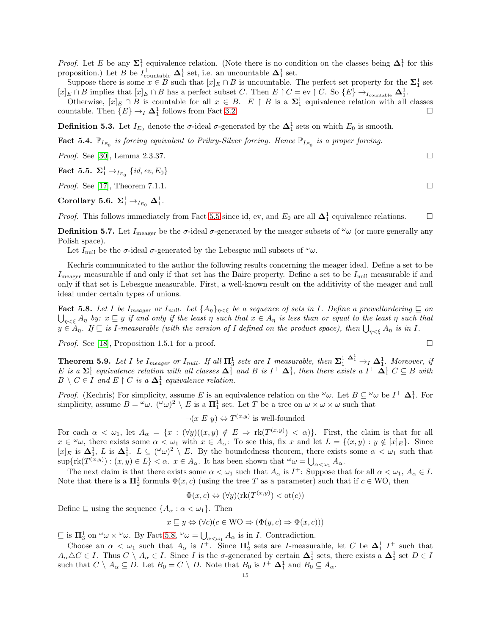*Proof.* Let E be any  $\Sigma_1^1$  equivalence relation. (Note there is no condition on the classes being  $\Delta_1^1$  for this proposition.) Let B be  $I^+_{\text{countable}} \Delta_1^1$  set, i.e. an uncountable  $\Delta_1^1$  set.

Suppose there is some  $x \in B$  such that  $[x]_E \cap B$  is uncountable. The perfect set property for the  $\Sigma_1^1$  set  $[x]_E \cap B$  implies that  $[x]_E \cap B$  has a perfect subset C. Then  $E \upharpoonright C = \text{ev} \upharpoonright C$ . So  $\{E\} \rightarrow_{I_{\text{countable}}} \Delta_1^1$ .

Otherwise,  $[x]_E \cap B$  is countable for all  $x \in B$ .  $E \upharpoonright B$  is a  $\Sigma_1^1$  equivalence relation with all classes countable. Then  $\{E\} \rightarrow_I \mathbf{\Delta}_1^1$  follows from Fact [3.2.](#page-4-2)

**Definition 5.3.** Let  $I_{E_0}$  denote the  $\sigma$ -ideal  $\sigma$ -generated by the  $\Delta_1^1$  sets on which  $E_0$  is smooth.

<span id="page-14-3"></span>**Fact 5.4.**  $\mathbb{P}_{I_{E_0}}$  is forcing equivalent to Prikry-Silver forcing. Hence  $\mathbb{P}_{I_{E_0}}$  is a proper forcing.

*Proof.* See [\[30\]](#page-28-3), Lemma 2.3.37.

<span id="page-14-0"></span>Fact 5.5.  $\Sigma^1_1 \rightarrow_{I_{E_0}} \{id, ev, E_0\}$ 

*Proof.* See [\[17\]](#page-27-0), Theorem 7.1.1.

Corollary 5.6.  $\Sigma^1_1 \rightarrow_{I_{E_0}} \Delta^1_1$ .

*Proof.* This follows immediately from Fact [5.5](#page-14-0) since id, ev, and  $E_0$  are all  $\Delta_1^1$  equivalence relations.  $\Box$ 

**Definition 5.7.** Let  $I_{\text{measure}}$  be the  $\sigma$ -ideal  $\sigma$ -generated by the meager subsets of  $\omega$  (or more generally any Polish space).

Let  $I_{\text{null}}$  be the  $\sigma$ -ideal  $\sigma$ -generated by the Lebesgue null subsets of  $\omega$ .

Kechris communicated to the author the following results concerning the meager ideal. Define a set to be  $I_{\text{measure}}$  measurable if and only if that set has the Baire property. Define a set to be  $I_{\text{null}}$  measurable if and only if that set is Lebesgue measurable. First, a well-known result on the additivity of the meager and null ideal under certain types of unions.

<span id="page-14-1"></span>**Fact 5.8.** Let I be  $I_{meager}$  or  $I_{null}$ . Let  $\{A_{\eta}\}_{\eta<\xi}$  be a sequence of sets in I. Define a prewellordering  $\subseteq$  on  $\bigcup_{\eta<\xi}A_\eta$  by:  $x\sqsubseteq y$  if and only if the least  $\eta$  such that  $x\in A_\eta$  is less than or equal to the least  $\eta$  such that  $y \in A_\eta$ . If  $\subseteq$  is I-measurable (with the version of I defined on the product space), then  $\bigcup_{\eta<\xi}A_\eta$  is in I.

*Proof.* See [\[18\]](#page-27-12), Proposition 1.5.1 for a proof.  $\square$ 

<span id="page-14-2"></span>**Theorem 5.9.** Let I be I<sub>meager</sub> or I<sub>null</sub>. If all  $\Pi_3^1$  sets are I measurable, then  $\Sigma_1^1 \xrightarrow{\Delta_1^1} \Delta_1^1$ . Moreover, if E is a  $\Sigma_1^1$  equivalence relation with all classes  $\Delta_1^1$  and B is  $I^+$   $\Delta_1^1$ , then there exists a  $I^+$   $\Delta_1^1$   $C \subseteq B$  with  $B \setminus C \in I$  and  $E \restriction C$  is a  $\Delta_1^1$  equivalence relation.

*Proof.* (Kechris) For simplicity, assume E is an equivalence relation on the  $\omega\omega$ . Let  $B \subseteq \omega\omega$  be  $I^+ \Delta_1^1$ . For simplicity, assume  $B = \omega \omega$ .  $(\omega \omega)^2 \setminus E$  is a  $\Pi_1^1$  set. Let T be a tree on  $\omega \times \omega \times \omega$  such that

 $\neg(x \ E \ y) \Leftrightarrow T^{(x,y)}$  is well-founded

For each  $\alpha < \omega_1$ , let  $A_\alpha = \{x : (\forall y)((x, y) \notin E \Rightarrow \text{rk}(T^{(x,y)}) < \alpha)\}\.$  First, the claim is that for all  $x \in \omega$ , there exists some  $\alpha < \omega_1$  with  $x \in A_\alpha$ : To see this, fix x and let  $L = \{(x, y) : y \notin [x]_E\}$ . Since  $[x]_E$  is  $\Delta_1^1$ , L is  $\Delta_1^1$ .  $L \subseteq (^\omega \omega)^2 \setminus E$ . By the boundedness theorem, there exists some  $\alpha < \omega_1$  such that  $\sup\{\text{rk}(T^{(x,y)}):(x,y)\in L\}<\alpha.$   $x\in A_{\alpha}.$  It has been shown that  $\omega=\bigcup_{\alpha<\omega_1}A_{\alpha}.$ 

The next claim is that there exists some  $\alpha < \omega_1$  such that  $A_\alpha$  is  $I^+$ : Suppose that for all  $\alpha < \omega_1$ ,  $A_\alpha \in I$ . Note that there is a  $\Pi_2^1$  formula  $\Phi(x, c)$  (using the tree T as a parameter) such that if  $c \in WO$ , then

$$
\Phi(x, c) \Leftrightarrow (\forall y)(\text{rk}(T^{(x,y)}) < \text{ot}(c))
$$

Define  $\sqsubseteq$  using the sequence  $\{A_{\alpha} : \alpha < \omega_1\}$ . Then

$$
x \sqsubseteq y \Leftrightarrow (\forall c)(c \in \text{WO} \Rightarrow (\Phi(y, c) \Rightarrow \Phi(x, c)))
$$

 $\sqsubseteq$  is  $\Pi_3^1$  on  $\omega \times \omega$ . By Fact [5.8,](#page-14-1)  $\omega \omega = \bigcup_{\alpha < \omega_1} A_\alpha$  is in *I*. Contradiction.

Choose an  $\alpha < \omega_1$  such that  $A_\alpha$  is  $I^+$ . Since  $\Pi_2^1$  sets are I-measurable, let C be  $\Delta_1^1$  I<sup>+</sup> such that  $A_{\alpha} \triangle C \in I$ . Thus  $C \setminus A_{\alpha} \in I$ . Since I is the  $\sigma$ -generated by certain  $\Delta_1^1$  sets, there exists a  $\Delta_1^1$  set  $D \in I$ such that  $C \setminus A_\alpha \subseteq D$ . Let  $B_0 = C \setminus D$ . Note that  $B_0$  is  $I^+ \Delta_1^1$  and  $B_0 \subseteq A_\alpha$ .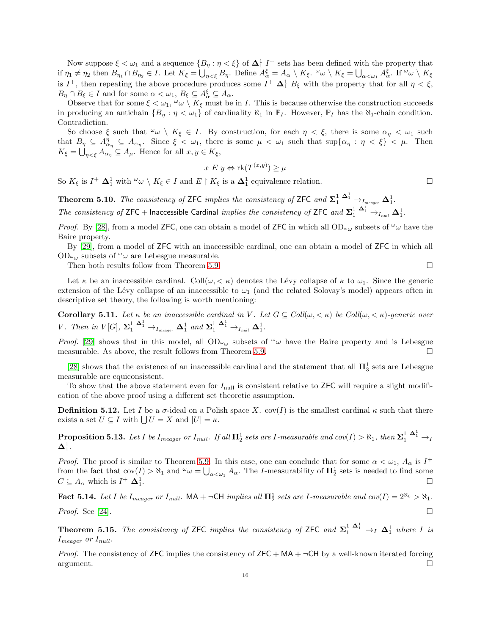Now suppose  $\xi < \omega_1$  and a sequence  $\{B_\eta : \eta < \xi\}$  of  $\Delta_1^1$   $I^+$  sets has been defined with the property that if  $\eta_1 \neq \eta_2$  then  $B_{\eta_1} \cap B_{\eta_2} \in I$ . Let  $K_{\xi} = \bigcup_{\eta < \xi} B_{\eta}$ . Define  $A_{\alpha}^{\xi} = A_{\alpha} \setminus K_{\xi}$ .  $\omega_{\omega} \setminus K_{\xi} = \bigcup_{\alpha < \omega_1} A_{\alpha}^{\xi}$ . If  $\omega_{\omega} \setminus K_{\xi}$ is  $I^+$ , then repeating the above procedure produces some  $I^+$   $\Delta_1^1$   $B_\xi$  with the property that for all  $\eta < \xi$ ,  $B_{\eta} \cap B_{\xi} \in I$  and for some  $\alpha < \omega_1, B_{\xi} \subseteq A_{\alpha}^{\xi} \subseteq A_{\alpha}$ .

Observe that for some  $\xi < \omega_1$ ,  $\omega \setminus K_{\xi}$  must be in I. This is because otherwise the construction succeeds in producing an antichain  $\{B_n : \eta < \omega_1\}$  of cardinality  $\aleph_1$  in  $\mathbb{P}_I$ . However,  $\mathbb{P}_I$  has the  $\aleph_1$ -chain condition. Contradiction.

So choose  $\xi$  such that  $\omega \setminus K_{\xi} \in I$ . By construction, for each  $\eta < \xi$ , there is some  $\alpha_{\eta} < \omega_1$  such that  $B_{\eta} \subseteq A_{\alpha_{\eta}}^{\eta} \subseteq A_{\alpha_{\eta}}$ . Since  $\xi < \omega_1$ , there is some  $\mu < \omega_1$  such that  $\sup\{\alpha_{\eta} : \eta < \xi\} < \mu$ . Then  $K_{\xi} = \bigcup_{\eta < \xi} A_{\alpha_{\eta}} \subseteq A_{\mu}$ . Hence for all  $x, y \in K_{\xi}$ ,

$$
x \ E \ y \Leftrightarrow \text{rk}(T^{(x,y)}) \ge \mu
$$

So  $K_{\xi}$  is  $I^{+} \Delta_{1}^{1}$  with  $\omega \setminus K_{\xi} \in I$  and  $E \upharpoonright K_{\xi}$  is a  $\Delta_{1}^{1}$  equivalence relation.

**Theorem 5.10.** The consistency of ZFC implies the consistency of ZFC and  $\Sigma_1^1$   $\rightarrow$   $I_{m{eager}}$   $\Delta_1^1$ . The consistency of ZFC + Inaccessible Cardinal implies the consistency of ZFC and  $\Sigma_1^1$ ,  $\Delta_1^1$ ,  $\Delta_1^1$ ,  $\Delta_1^1$ .

*Proof.* By [\[28\]](#page-28-4), from a model ZFC, one can obtain a model of ZFC in which all  $OD\omega_{\omega}$  subsets of  $\omega_{\omega}$  have the Baire property.

By [\[29\]](#page-28-5), from a model of ZFC with an inaccessible cardinal, one can obtain a model of ZFC in which all  $OD_{\omega_{\omega}}$  subsets of  $\omega_{\omega}$  are Lebesgue measurable.

Then both results follow from Theorem [5.9.](#page-14-2)

Let  $\kappa$  be an inaccessible cardinal. Coll $(\omega, < \kappa)$  denotes the Lévy collapse of  $\kappa$  to  $\omega_1$ . Since the generic extension of the Lévy collapse of an inaccessible to  $\omega_1$  (and the related Solovay's model) appears often in descriptive set theory, the following is worth mentioning:

<span id="page-15-1"></span>Corollary 5.11. Let  $\kappa$  be an inaccessible cardinal in V. Let  $G \subseteq Coll(\omega, \langle \kappa \rangle)$  be Coll $(\omega, \langle \kappa \rangle)$ -generic over V. Then in  $V[G], \Sigma_1^1 \stackrel{\Delta_1^1}{\rightarrow}_{I_{meager}} \Delta_1^1$  and  $\Sigma_1^1 \stackrel{\Delta_1^1}{\rightarrow}_{I_{null}} \Delta_1^1$ .

*Proof.* [\[29\]](#page-28-5) shows that in this model, all  $OD_{\omega_{\omega}}$  subsets of  $\omega_{\omega}$  have the Baire property and is Lebesgue measurable. As above, the result follows from Theorem [5.9.](#page-14-2)

[\[28\]](#page-28-4) shows that the existence of an inaccessible cardinal and the statement that all  $\Pi_3^1$  sets are Lebesgue measurable are equiconsistent.

To show that the above statement even for  $I_{\text{null}}$  is consistent relative to ZFC will require a slight modification of the above proof using a different set theoretic assumption.

**Definition 5.12.** Let I be a  $\sigma$ -ideal on a Polish space X. cov(I) is the smallest cardinal  $\kappa$  such that there exists a set  $U \subseteq I$  with  $\bigcup U = X$  and  $|U| = \kappa$ .

Proposition 5.13. Let I be  $I_{measure}$  or  $I_{null}$ . If all  $\Pi^1_2$  sets are I-measurable and  $cov(I) > \aleph_1$ , then  $\mathbf{\Sigma}_1^{1-\mathbf{\Delta}_1^1}\to_I$  ${\bf \Delta}^1_1.$ 

*Proof.* The proof is similar to Theorem [5.9.](#page-14-2) In this case, one can conclude that for some  $\alpha < \omega_1$ ,  $A_\alpha$  is  $I^+$ from the fact that  $cov(I) > \aleph_1$  and  $\omega \omega = \bigcup_{\alpha < \omega_1} A_\alpha$ . The *I*-measurability of  $\mathbf{\Pi}^1_2$  sets is needed to find some  $C \subseteq A_{\alpha}$  which is  $I^+ \Delta_1^1$ . The contract of the contract of the contract of the contract of the contract of  $\Box$ 

<span id="page-15-2"></span>Fact 5.14. Let I be  $I_{measure}$  or  $I_{null}$ . MA +  $\neg$ CH implies all  $\Pi_2^1$  sets are I-measurable and  $cov(I) = 2^{\aleph_0} > \aleph_1$ . *Proof.* See [\[24\]](#page-28-6).

<span id="page-15-0"></span>**Theorem 5.15.** The consistency of ZFC implies the consistency of ZFC and  $\Sigma_1^1$   $\longrightarrow_I$   $\Delta_1^1$  where I is  $I_{measure}$  or  $I_{null}$ .

*Proof.* The consistency of ZFC implies the consistency of ZFC +  $MA + \neg CH$  by a well-known iterated forcing  $\Box$  argument.  $\Box$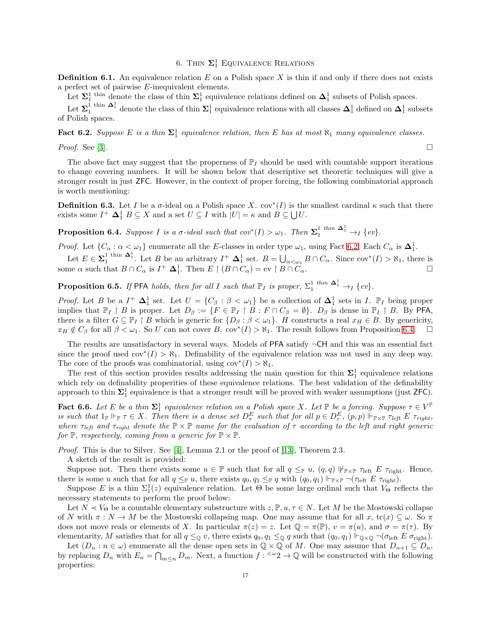# 6. Thin  $\Sigma^1_1$  Equivalence Relations

<span id="page-16-0"></span>**Definition 6.1.** An equivalence relation E on a Polish space X is thin if and only if there does not exists a perfect set of pairwise E-inequivalent elements.

Let  $\Sigma_1^1$ <sup>thin</sup> denote the class of thin  $\Sigma_1^1$  equivalence relations defined on  $\Delta_1^1$  subsets of Polish spaces.

Let  $\Sigma_1^1$ <sup>thin  $\Delta_1^1$ </sup> denote the class of thin  $\Sigma_1^1$  equivalence relations with all classes  $\Delta_1^1$  defined on  $\Delta_1^1$  subsets of Polish spaces.

<span id="page-16-1"></span>**Fact 6.2.** Suppose E is a thin  $\Sigma_1^1$  equivalence relation, then E has at most  $\aleph_1$  many equivalence classes.

*Proof.* See [\[3\]](#page-27-6).

The above fact may suggest that the properness of  $\mathbb{P}_I$  should be used with countable support iterations to change covering numbers. It will be shown below that descriptive set theoretic techniques will give a stronger result in just ZFC. However, in the context of proper forcing, the following combinatorial approach is worth mentioning:

**Definition 6.3.** Let I be a  $\sigma$ -ideal on a Polish space X. cov<sup>\*</sup>(I) is the smallest cardinal  $\kappa$  such that there exists some  $I^+ \Delta_1^1 B \subseteq X$  and a set  $U \subseteq I$  with  $|U| = \kappa$  and  $B \subseteq \bigcup U$ .

<span id="page-16-2"></span>**Proposition 6.4.** Suppose I is a  $\sigma$ -ideal such that  $cov^*(I) > \omega_1$ . Then  $\Sigma_1^1$  thin  $\Delta_1^1 \rightarrow_I \{ev\}$ .

*Proof.* Let  $\{C_{\alpha} : \alpha < \omega_1\}$  enumerate all the E-classes in order type  $\omega_1$ , using Fact [6.2.](#page-16-1) Each  $C_{\alpha}$  is  $\Delta_1^1$ .

Let  $E \in \Sigma_1^1$  <sup>thin</sup>  $\Delta_1^1$ . Let B be an arbitrary  $I^+$   $\Delta_1^1$  set.  $B = \bigcup_{\alpha < \omega_1} B \cap C_\alpha$ . Since  $cov^*(I) > \aleph_1$ , there is some  $\alpha$  such that  $B \cap C_{\alpha}$  is  $I^+ \Delta_1^1$ . Then  $E \upharpoonright (B \cap C_{\alpha}) = \text{ev} \upharpoonright B \cap C_{\alpha}$ .

**Proposition 6.5.** If PFA holds, then for all I such that  $\mathbb{P}_I$  is proper,  $\Sigma_1^1$  thin  $\Delta_1^1 \rightarrow_I \{ev\}$ .

*Proof.* Let B be a  $I^+$   $\Delta_1^1$  set. Let  $U = \{C_\beta : \beta < \omega_1\}$  be a collection of  $\Delta_1^1$  sets in I.  $\mathbb{P}_I$  being proper implies that  $\mathbb{P}_I \restriction B$  is proper. Let  $D_\beta := \{F \in \mathbb{P}_I \restriction B : F \cap C_\beta = \emptyset\}$ .  $D_\beta$  is dense in  $\mathbb{P}_I \restriction B$ . By PFA, there is a filter  $G \subseteq \mathbb{P}_I \upharpoonright B$  which is generic for  $\{D_\beta : \beta < \omega_1\}$ . H constructs a real  $x_H \in B$ . By genericity,  $x_H \notin C_\beta$  for all  $\beta < \omega_1$ . So U can not cover B. cov\* $(I) > \aleph_1$ . The result follows from Proposition [6.4.](#page-16-2)  $\Box$ 

The results are unsatisfactory in several ways. Models of  $PFA$  satisfy  $\neg CH$  and this was an essential fact since the proof used cov<sup>\*</sup> $(I) > \aleph_1$ . Definability of the equivalence relation was not used in any deep way. The core of the proofs was combinatorial, using  $cov^*(I) > \aleph_1$ .

The rest of this section provides results addressing the main question for thin  $\Sigma_1^1$  equivalence relations which rely on definability properities of these equivalence relations. The best validation of the definability approach to thin  $\Sigma_1^1$  equivalence is that a stronger result will be proved with weaker assumptions (just ZFC).

**Fact 6.6.** Let E be a thin  $\Sigma^1_1$  equivalence relation on a Polish space X. Let  $\mathbb P$  be a forcing. Suppose  $\tau \in V^{\mathbb P}$ is such that  $1_{\mathbb{P}} \Vdash_{\mathbb{P}} \tau \in X$ . Then there is a dense set  $D_{\tau}^{E}$  such that for all  $p \in D_{\tau}^{E}$ ,  $(p, p) \Vdash_{\mathbb{P} \times \mathbb{P}} \tau_{left}$  E  $\tau_{right}$ , where  $\tau_{left}$  and  $\tau_{right}$  denote the  $\mathbb{P} \times \mathbb{P}$  name for the evaluation of  $\tau$  according to the left and right generic for  $\mathbb{P}$ , respectively, coming from a generic for  $\mathbb{P} \times \mathbb{P}$ .

Proof. This is due to Silver. See [\[4\]](#page-27-13), Lemma 2.1 or the proof of [\[13\]](#page-27-14), Theorem 2.3.

A sketch of the result is provided:

Suppose not. Then there exists some  $u \in \mathbb{P}$  such that for all  $q \leq_{\mathbb{P}} u$ ,  $(q,q) \nvDash_{\mathbb{P} \times \mathbb{P}} \tau_{\text{left}}$ . Hence, there is some u such that for all  $q \leq_{\mathbb{P}} u$ , there exists  $q_0, q_1 \leq_{\mathbb{P}} q$  with  $(q_0, q_1) \Vdash_{\mathbb{P} \times \mathbb{P}} \neg(\tau_{\text{left}} E \tau_{\text{right}})$ .

Suppose E is a thin  $\Sigma_1^1(z)$  equivalence relation. Let  $\Theta$  be some large ordinal such that  $V_{\Theta}$  reflects the necessary statements to perform the proof below:

Let  $N \prec V_{\Theta}$  be a countable elementary substructure with  $z, \mathbb{P}, u, \tau \in N$ . Let M be the Mostowski collapse of N with  $\pi : N \to M$  be the Mostowski collapsing map. One may assume that for all x, tc(x)  $\subseteq \omega$ . So  $\pi$ does not move reals or elements of X. In particular  $\pi(z) = z$ . Let  $\mathbb{Q} = \pi(\mathbb{P})$ ,  $v = \pi(u)$ , and  $\sigma = \pi(\tau)$ . By elementarity, M satisfies that for all  $q \leq_{\mathbb{Q}} v$ , there exists  $q_0, q_1 \leq_{\mathbb{Q}} q$  such that  $(q_0, q_1) \Vdash_{\mathbb{Q} \times \mathbb{Q}} \neg(\sigma_{\text{left}} E \sigma_{\text{right}})$ .

Let  $(D_n : n \in \omega)$  enumerate all the dense open sets in  $\mathbb{Q} \times \mathbb{Q}$  of M. One may assume that  $D_{n+1} \subseteq D_n$ , by replacing  $D_n$  with  $E_n = \bigcap_{m \leq n} D_m$ . Next, a function  $f : \leq \omega_2 \to \mathbb{Q}$  will be constructed with the following properties: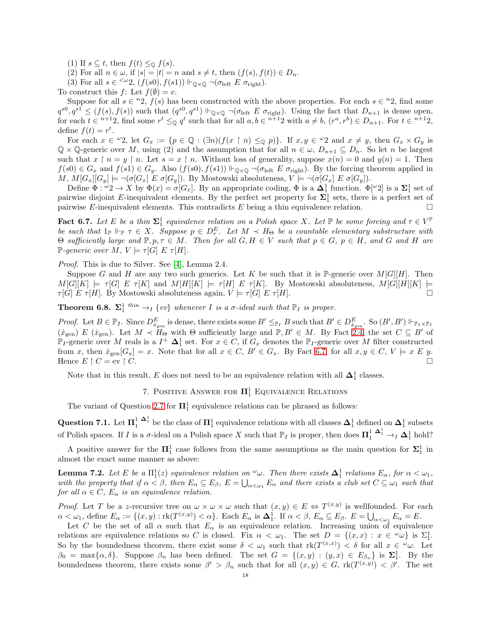(1) If  $s \subseteq t$ , then  $f(t) \leq_{\mathbb{Q}} f(s)$ .

(2) For all  $n \in \omega$ , if  $|s| = |t| = n$  and  $s \neq t$ , then  $(f(s), f(t)) \in D_n$ .

(3) For all  $s \in \langle \omega_2, (f(s0), f(s1)) \Vdash_{\mathbb{Q} \times \mathbb{Q}} \neg(\sigma_{\text{left}} E \sigma_{\text{right}}).$ 

To construct this  $f:$  Let  $f(\emptyset) = v$ .

Suppose for all  $s \in {}^{n}2$ ,  $f(s)$  has been constructed with the above properties. For each  $s \in {}^{n}2$ , find some  $q^{s0}, q^{s1} \leq (f(s), f(s))$  such that  $(q^{s0}, q^{s1}) \Vdash_{\mathbb{Q} \times \mathbb{Q}} \neg(\sigma_{\text{left}} E \sigma_{\text{right}})$ . Using the fact that  $D_{n+1}$  is dense open, for each  $t \in {}^{n+1}2$ , find some  $r^t \leq_{\mathbb{Q}} q^t$  such that for all  $a, b \in {}^{n+1}2$  with  $a \neq b$ ,  $(r^a, r^b) \in D_{n+1}$ . For  $t \in {}^{n+1}2$ , define  $f(t) = r^t$ .

For each  $x \in \omega_2$ , let  $G_x := \{p \in \mathbb{Q} : (\exists n)(f(x \restriction n) \leq_{\mathbb{Q}} p)\}\$ . If  $x, y \in \omega_2$  and  $x \neq y$ , then  $G_x \times G_y$  is  $\mathbb{Q} \times \mathbb{Q}$ -generic over M, using (2) and the assumption that for all  $n \in \omega$ ,  $D_{n+1} \subseteq D_n$ . So let n be largest such that  $x \restriction n = y \restriction n$ . Let  $s = x \restriction n$ . Without loss of generality, suppose  $x(n) = 0$  and  $y(n) = 1$ . Then  $f(s0) \in G_x$  and  $f(s1) \in G_y$ . Also  $(f(s0), f(s1)) \Vdash_{\mathbb{Q}\times\mathbb{Q}} \neg(\sigma_{\text{left}} E \sigma_{\text{right}})$ . By the forcing theorem applied in M,  $M[G_x][G_y] \models \neg(\sigma[G_x] \mathbb{E} \sigma[G_y])$ . By Mostowski absoluteness,  $V \models \neg(\sigma[G_x] \mathbb{E} \sigma[G_y])$ .

Define  $\Phi: {}^{\omega}2 \to X$  by  $\Phi(x) = \sigma[G_x]$ . By an appropriate coding,  $\Phi$  is a  $\Delta_1^1$  function.  $\Phi[{}^{\omega}2]$  is a  $\Sigma_1^1$  set of pairwise disjoint E-inequivalent elements. By the perfect set property for  $\Sigma_1^1$  sets, there is a perfect set of pairwise E-inequivalent elements. This contradicts  $E$  being a thin equivalence relation.  $\square$ 

<span id="page-17-3"></span>**Fact 6.7.** Let E be a thin  $\Sigma_1^1$  equivalence relation on a Polish space X. Let  $\mathbb P$  be some forcing and  $\tau \in V^{\mathbb P}$ be such that  $1_{\mathbb{P}} \Vdash_{\mathbb{P}} \tau \in X$ . Suppose  $p \in D_{\tau}^E$ . Let  $M \prec H_{\Theta}$  be a countable elementary substructure with  $\Theta$  sufficiently large and  $\mathbb{P}, p, \tau \in M$ . Then for all  $G, H \in V$  such that  $p \in G$ ,  $p \in H$ , and  $G$  and  $H$  are P-generic over  $M, V \models \tau[G] \mathop{E} \tau[H].$ 

Proof. This is due to Silver. See [\[4\]](#page-27-13), Lemma 2.4.

Suppose G and H are any two such generics. Let K be such that it is P-generic over  $M[G][H]$ . Then  $M[G][K] \models \tau[G] E \tau[K]$  and  $M[H][K] \models \tau[H] E \tau[K]$ . By Mostowski absoluteness,  $M[G][H][K] \models$  $\tau[G] \ E \ \tau[H]$ . By Mostowski absoluteness again,  $V \models \tau[G] \ E \ \tau[H]$ .

<span id="page-17-0"></span>**Theorem 6.8.**  $\Sigma_1^1$ <sup>thin</sup>  $\rightarrow_I$  {ev} whenever I is a  $\sigma$ -ideal such that  $\mathbb{P}_I$  is proper.

Proof. Let  $B \in \mathbb{P}_I$ . Since  $D_{\dot{x}_{\text{gen}}}^E$  is dense, there exists some  $B' \leq_{\mathbb{P}_I} B$  such that  $B' \in D_{\dot{x}_{\text{gen}}}^E$ . So  $(B', B') \Vdash_{\mathbb{P}_I \times \mathbb{P}_I}$  $({\dot x}_{gen}) E({\dot x}_{gen})$ . Let  $M \prec H_{\Theta}$  with  $\Theta$  sufficiently large and  $\mathbb{P}, B' \in M$ . By Fact [2.4,](#page-3-0) the set  $C \subseteq B'$  of P<sub>I</sub>-generic over M reals is a  $I^+$   $\Delta_1^1$  set. For  $x \in C$ , if  $G_x$  denotes the P<sub>I</sub>-generic over M filter constructed from x, then  $\dot{x}_{gen}[G_x] = x$ . Note that for all  $x \in C, B' \in G_x$ . By Fact [6.7,](#page-17-3) for all  $x, y \in C, V \models x E y$ . Hence  $E \restriction C = \text{ev} \restriction C$ .

<span id="page-17-1"></span>Note that in this result, E does not need to be an equivalence relation with all  $\Delta_1^1$  classes.

# 7. POSITIVE ANSWER FOR  $\Pi^1_1$  EQUIVALENCE RELATIONS

The variant of Question [2.7](#page-4-3) for  $\mathbf{\Pi}^1_1$  equivalence relations can be phrased as follows:

Question 7.1. Let  $\Pi_1^1 \xrightarrow{\Delta_1^1}$  be the class of  $\Pi_1^1$  equivalence relations with all classes  $\Delta_1^1$  defined on  $\Delta_1^1$  subsets of Polish spaces. If I is a  $\sigma$ -ideal on a Polish space X such that  $\mathbb{P}_I$  is proper, then does  $\prod_1^1 \frac{\Delta_1^1}{\sigma_1} \to_I \Delta_1^1$  hold?

A positive answer for the  $\Pi_1^1$  case follows from the same assumptions as the main question for  $\Sigma_1^1$  in almost the exact same manner as above:

<span id="page-17-2"></span>**Lemma 7.2.** Let E be a  $\Pi_1^1(z)$  equivalence relation on  $\omega$ . Then there exists  $\Delta_1^1$  relations  $E_\alpha$ , for  $\alpha < \omega_1$ , with the property that if  $\alpha < \beta$ , then  $E_{\alpha} \subseteq E_{\beta}$ ,  $E = \bigcup_{\alpha < \omega_1} E_{\alpha}$  and there exists a club set  $C \subseteq \omega_1$  such that for all  $\alpha \in C$ ,  $E_{\alpha}$  is an equivalence relation.

*Proof.* Let T be a z-recursive tree on  $\omega \times \omega \times \omega$  such that  $(x, y) \in E \Leftrightarrow T^{(x,y)}$  is wellfounded. For each  $\alpha < \omega_1$ , define  $E_\alpha := \{(x, y) : \text{rk}(T^{(x,y)}) < \alpha\}$ . Each  $E_\alpha$  is  $\Delta_1^1$ . If  $\alpha < \beta$ ,  $E_\alpha \subseteq E_\beta$ .  $E = \bigcup_{\alpha < \omega_1} E_\alpha = E$ .

Let C be the set of all  $\alpha$  such that  $E_{\alpha}$  is an equivalence relation. Increasing union of equivalence relations are equivalence relations so C is closed. Fix  $\alpha < \omega_1$ . The set  $D = \{(x, x) : x \in \infty\}$  is  $\Sigma_1^1$ . So by the boundedness theorem, there exist some  $\delta < \omega_1$  such that  $\text{rk}(T^{(x,x)}) < \delta$  for all  $x \in \omega$ . Let  $\beta_0 = \max\{\alpha, \delta\}$ . Suppose  $\beta_n$  has been defined. The set  $G = \{(x, y) : (y, x) \in E_{\beta_n}\}$  is  $\Sigma_1^1$ . By the boundedness theorem, there exists some  $\beta' > \beta_n$  such that for all  $(x, y) \in G$ ,  $rk(T^{(x,y)}) < \beta'$ . The set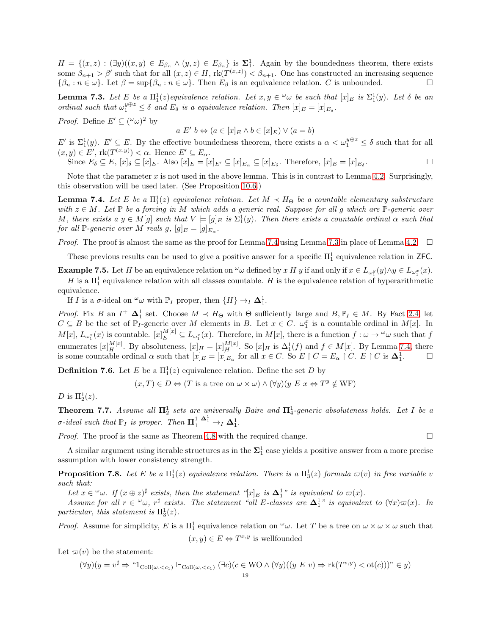$H = \{(x, z) : (\exists y)((x, y) \in E_{\beta_n} \land (y, z) \in E_{\beta_n}\}\$ is  $\Sigma_1^1$ . Again by the boundedness theorem, there exists some  $\beta_{n+1} > \beta'$  such that for all  $(x, z) \in H$ ,  $rk(T^{(x,z)}) < \beta_{n+1}$ . One has constructed an increasing sequence  $\{\beta_n : n \in \omega\}$ . Let  $\beta = \sup\{\beta_n : n \in \omega\}$ . Then  $E_\beta$  is an equivalence relation. C is unbounded.

<span id="page-18-1"></span>**Lemma 7.3.** Let  $E$  be a  $\Pi_1^1(z)$  equivalence relation. Let  $x, y \in \omega$  be such that  $[x]_E$  is  $\Sigma_1^1(y)$ . Let  $\delta$  be an ordinal such that  $\omega_1^{y \oplus z} \leq \delta$  and  $E_{\delta}$  is a equivalence relation. Then  $[x]_E = [x]_{E_{\delta}}$ .

*Proof.* Define  $E' \subseteq (\omega \omega)^2$  by

$$
a E' b \Leftrightarrow (a \in [x]_E \land b \in [x]_E) \lor (a = b)
$$

 $E'$  is  $\Sigma_1^1(y)$ .  $E' \subseteq E$ . By the effective boundedness theorem, there exists a  $\alpha < \omega_1^{y \oplus z} \le \delta$  such that for all  $(x, y) \in E'$ ,  $rk(T^{(x,y)}) < \alpha$ . Hence  $E' \subseteq E_{\alpha}$ .

Since  $E_{\delta} \subseteq E$ ,  $[x]_{\delta} \subseteq [x]_E$ . Also  $[x]_E = [x]_{E'} \subseteq [x]_{E_{\alpha}} \subseteq [x]_{E_{\delta}}$ . Therefore,  $[x]_E = [x]_{E_{\delta}}$ .

Note that the parameter  $x$  is not used in the above lemma. This is in contrast to Lemma [4.2.](#page-7-0) Surprisingly, this observation will be used later. (See Proposition [10.6.](#page-25-0))

<span id="page-18-0"></span>**Lemma 7.4.** Let E be a  $\Pi_1^1(z)$  equivalence relation. Let  $M \prec H_{\Theta}$  be a countable elementary substructure with  $z \in M$ . Let  $\mathbb P$  be a forcing in M which adds a generic real. Suppose for all g which are  $\mathbb P$ -generic over M, there exists a  $y \in M[g]$  such that  $V \models [g]_E$  is  $\Sigma_1^1(y)$ . Then there exists a countable ordinal  $\alpha$  such that for all  $\mathbb{P}\text{-}generic over M$  reals  $g, [g]_E = [g]_{E_{\alpha}}$ .

*Proof.* The proof is almost the same as the proof for Lemma [7.4](#page-18-0) using Lemma [7.3](#page-18-1) in place of Lemma [4.2.](#page-7-0)  $\Box$ 

These previous results can be used to give a positive answer for a specific  $\Pi_1^1$  equivalence relation in ZFC.

**Example 7.5.** Let H be an equivalence relation on  $\omega$  defined by x H y if and only if  $x \in L_{\omega_1^y}(y) \wedge y \in L_{\omega_1^x}(x)$ .

H is a  $\Pi_1^1$  equivalence relation with all classes countable. H is the equivalence relation of hyperarithmetic equivalence.

If I is a  $\sigma$ -ideal on  $^{\omega}\omega$  with  $\mathbb{P}_I$  proper, then  $\{H\} \to_I \Delta_1^1$ .

*Proof.* Fix B an  $I^+$   $\Delta_1^1$  set. Choose  $M \prec H_{\Theta}$  with  $\Theta$  sufficiently large and  $B, \mathbb{P}_I \in M$ . By Fact [2.4,](#page-3-0) let  $C \subseteq B$  be the set of  $\mathbb{P}_I$ -generic over M elements in B. Let  $x \in C$ .  $\omega_1^x$  is a countable ordinal in  $M[x]$ . In  $M[x], L_{\omega_1^x}(x)$  is countable.  $[x]_E^{M[x]} \subseteq L_{\omega_1^x}(x)$ . Therefore, in  $M[x]$ , there is a function  $f : \omega \to {}^{\omega} \omega$  such that  $f$ enumerates  $[x]_H^{M[x]}$ . By absoluteness,  $[x]_H = [x]_H^{M[x]}$ . So  $[x]_H$  is  $\Delta_1^1(f)$  and  $f \in M[x]$ . By Lemma [7.4,](#page-18-0) there is some countable ordinal  $\alpha$  such that  $[x]_E = [x]_{E_\alpha}$  for all  $x \in C$ . So  $E \upharpoonright C = E_\alpha \upharpoonright C$ .  $E \upharpoonright C$  is  $\Delta_1^1$ .

**Definition 7.6.** Let E be a  $\Pi_1^1(z)$  equivalence relation. Define the set D by

$$
(x,T) \in D \Leftrightarrow (T \text{ is a tree on } \omega \times \omega) \wedge (\forall y)(y \ E \ x \Leftrightarrow T^y \notin \text{WF})
$$

D is  $\Pi_2^1(z)$ .

**Theorem 7.7.** Assume all  $\Pi_2^1$  sets are universally Baire and  $\Pi_4^1$ -generic absoluteness holds. Let I be a *σ*-ideal such that  $\mathbb{P}_I$  is proper. Then  $\mathbf{\Pi}_1^1 \xrightarrow{\mathbf{\Delta}_1^1} \rightarrow_I \mathbf{\Delta}_1^1$ .

*Proof.* The proof is the same as Theorem [4.8](#page-8-2) with the required change.  $\square$ 

A similar argument using iterable structures as in the  $\Sigma_1^1$  case yields a positive answer from a more precise assumption with lower consistency strength.

**Proposition 7.8.** Let E be a  $\Pi_1^1(z)$  equivalence relation. There is a  $\Pi_3^1(z)$  formula  $\varpi(v)$  in free variable v such that:

Let  $x \in \omega$ . If  $(x \oplus z)^{\sharp}$  exists, then the statement "[x] E is  $\Delta_1^{1}$ " is equivalent to  $\varpi(x)$ .

Assume for all  $r \in \omega$ ,  $r^{\sharp}$  exists. The statement "all E-classes are  $\Delta_1^1$ " is equivalent to  $(\forall x)\varpi(x)$ . In particular, this statement is  $\Pi_3^1(z)$ .

*Proof.* Assume for simplicity, E is a  $\Pi_1^1$  equivalence relation on  $\omega \omega$ . Let T be a tree on  $\omega \times \omega \times \omega$  such that  $(x, y) \in E \Leftrightarrow T^{x,y}$  is wellfounded

Let  $\varpi(v)$  be the statement:

$$
(\forall y)(y = v^{\sharp} \Rightarrow \text{``1}_{\text{Coll}(\omega, < c_1)} \Vdash_{\text{Coll}(\omega, < c_1)} (\exists c)(c \in \text{WO} \land (\forall y)((y \ E \ v) \Rightarrow \text{rk}(T^{v,y}) < \text{ot}(c))) \text{''} \in y)
$$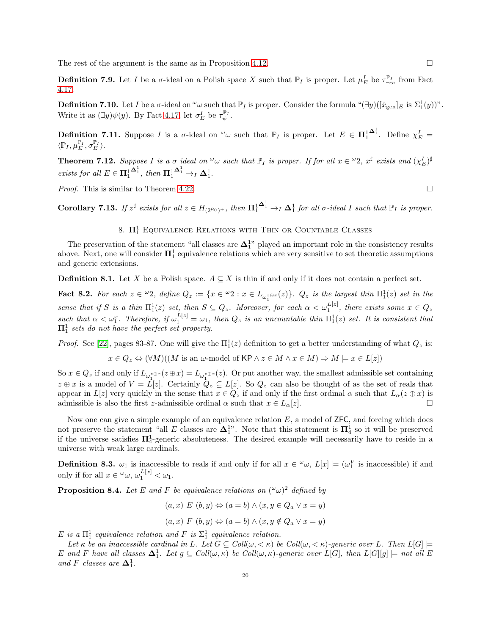The rest of the argument is the same as in Proposition [4.12.](#page-10-0)

**Definition 7.9.** Let I be a  $\sigma$ -ideal on a Polish space X such that  $\mathbb{P}_I$  is proper. Let  $\mu_E^I$  be  $\tau_{\neg \varpi}^{\mathbb{P}_I}$  from Fact [4.17.](#page-12-1)

**Definition 7.10.** Let I be a  $\sigma$ -ideal on  $\omega$  such that  $\mathbb{P}_I$  is proper. Consider the formula " $(\exists y)([x_{gen}]_E$  is  $\Sigma_1^1(y)$ ". Write it as  $(\exists y)\psi(y)$ . By Fact [4.17,](#page-12-1) let  $\sigma_E^I$  be  $\tau_{\psi}^{\mathbb{P}_I}$ .

**Definition 7.11.** Suppose I is a  $\sigma$ -ideal on  $\omega$  such that  $\mathbb{P}_I$  is proper. Let  $E \in \Pi_1^1$  $\mathbf{\Delta}^1$ . Define  $\chi^I_E =$  $\langle \mathbb{P}_I, \mu_E^{\mathbb{P}_I}, \sigma_E^{\mathbb{P}_I} \rangle.$ 

<span id="page-19-0"></span>**Theorem 7.12.** Suppose I is a  $\sigma$  ideal on  $\omega$  such that  $\mathbb{P}_I$  is proper. If for all  $x \in \omega_2$ ,  $x^{\sharp}$  exists and  $(\chi_E^I)^{\sharp}$ exists for all  $E \in \mathbf{\Pi}^1_1$  $\mathbf{\Delta}^1_1$ , then  $\mathbf{\Pi}^1_1$  $\mathbf{\Delta}^1_1 \rightarrow_I \mathbf{\Delta}^1_1.$ 

*Proof.* This is similar to Theorem [4.22.](#page-13-0)

<span id="page-19-1"></span>**Corollary 7.13.** If  $z^{\sharp}$  exists for all  $z \in H_{(2^{\aleph_0})^+}$ , then  $\mathbf{\Pi}_1^1$  $\mathbf{\Delta}^1_1 \rightarrow_I \mathbf{\Delta}^1_1$  for all  $\sigma$ -ideal I such that  $\mathbb{P}_I$  is proper.

# 8.  $\Pi^1_1$  Equivalence Relations with Thin or Countable Classes

The preservation of the statement "all classes are  $\Delta_1^{1}$ " played an important role in the consistency results above. Next, one will consider  $\mathbf{\Pi}^1_1$  equivalence relations which are very sensitive to set theoretic assumptions and generic extensions.

**Definition 8.1.** Let X be a Polish space.  $A \subseteq X$  is thin if and only if it does not contain a perfect set.

<span id="page-19-2"></span>**Fact 8.2.** For each  $z \in \omega_2$ , define  $Q_z := \{x \in \omega_2 : x \in L_{\omega_1^{z \oplus x}}(z)\}\$ .  $Q_z$  is the largest thin  $\Pi_1^1(z)$  set in the sense that if S is a thin  $\Pi_1^1(z)$  set, then  $S \subseteq Q_z$ . Moreover, for each  $\alpha < \omega_1^{L[z]}$ , there exists some  $x \in Q_z$ such that  $\alpha < \omega_1^x$ . Therefore, if  $\omega_1^{L[z]} = \omega_1$ , then  $Q_z$  is an uncountable thin  $\Pi_1^1(z)$  set. It is consistent that  $\Pi^1_1$  sets do not have the perfect set property.

*Proof.* See [\[22\]](#page-27-2), pages 83-87. One will give the  $\Pi_1^1(z)$  definition to get a better understanding of what  $Q_z$  is:

$$
x \in Q_z \Leftrightarrow (\forall M)((M \text{ is an } \omega \text{-model of KP} \land z \in M \land x \in M) \Rightarrow M \models x \in L[z])
$$

So  $x \in Q_z$  if and only if  $L_{\omega_1^{z\oplus x}}(z \oplus x) = L_{\omega_1^{z\oplus x}}(z)$ . Or put another way, the smallest admissible set containing  $z \oplus x$  is a model of  $V = L[z]$ . Certainly  $Q_z \subseteq L[z]$ . So  $Q_z$  can also be thought of as the set of reals that appear in  $L[z]$  very quickly in the sense that  $x \in Q_z$  if and only if the first ordinal  $\alpha$  such that  $L_{\alpha}(z \oplus x)$  is admissible is also the first z-admissible ordinal  $\alpha$  such that  $x \in L_{\alpha}[z]$ .

Now one can give a simple example of an equivalence relation  $E$ , a model of  $ZFC$ , and forcing which does not preserve the statement "all E classes are  $\Delta_1^{1}$ ". Note that this statement is  $\Pi_4^1$  so it will be preserved if the universe satisfies  $\Pi_4^1$ -generic absoluteness. The desired example will necessarily have to reside in a universe with weak large cardinals.

**Definition 8.3.**  $\omega_1$  is inaccessible to reals if and only if for all  $x \in \omega$ ,  $L[x] \models (\omega_1^V$  is inaccessible) if and only if for all  $x \in \omega$ ,  $\omega_1^{L[x]} < \omega_1$ .

**Proposition 8.4.** Let E and F be equivalence relations on  $({}^{\omega}\omega)^2$  defined by

$$
(a, x) \ E \ (b, y) \Leftrightarrow (a = b) \land (x, y \in Q_a \lor x = y)
$$

$$
(a, x) \ F \ (b, y) \Leftrightarrow (a = b) \land (x, y \notin Q_a \lor x = y)
$$

E is a  $\Pi_1^1$  equivalence relation and F is  $\Sigma_1^1$  equivalence relation.

Let  $\kappa$  be an inaccessible cardinal in L. Let  $G \subseteq Coll(\omega, < \kappa)$  be  $Coll(\omega, < \kappa)$ -generic over L. Then  $L[G] \models$ E and F have all classes  $\Delta_1^1$ . Let  $g \subseteq Coll(\omega, \kappa)$  be Coll $(\omega, \kappa)$ -generic over  $L[G],$  then  $L[G][g] \models not$  all E and F classes are  $\Delta_1^1$ .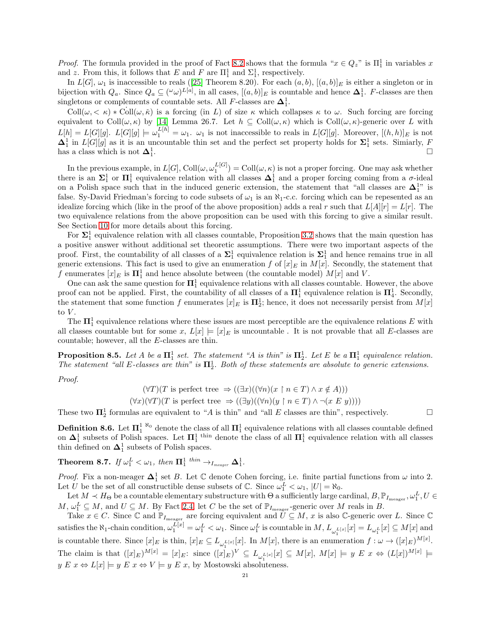*Proof.* The formula provided in the proof of Fact [8.2](#page-19-2) shows that the formula " $x \in Q_z$ " is  $\Pi_1^1$  in variables x and z. From this, it follows that E and F are  $\Pi_1^1$  and  $\Sigma_1^1$ , respectively.

In $L[G], \omega_1$  is inaccessible to reals ([\[25\]](#page-28-1) Theorem 8.20). For each  $(a, b), [(a, b)]_E$  is either a singleton or in bijection with  $Q_a$ . Since  $Q_a \subseteq (\omega \omega)^{L[a]}$ , in all cases,  $[(a, b)]_E$  is countable and hence  $\Delta_1^1$ . F-classes are then singletons or complements of countable sets. All F-classes are  $\Delta_1^1$ .

 $\text{Coll}(\omega, \langle \kappa \rangle)$  \* Coll $(\omega, \tilde{\kappa})$  is a forcing (in L) of size  $\kappa$  which collapses  $\kappa$  to  $\omega$ . Such forcing are forcing equivalent to Coll $(\omega, \kappa)$  by [\[14\]](#page-27-15) Lemma 26.7. Let  $h \subseteq Coll(\omega, \kappa)$  which is Coll $(\omega, \kappa)$ -generic over L with  $L[h] = L[G][g]$ .  $L[G][g] \models \omega_1^{L[h]} = \omega_1$ .  $\omega_1$  is not inaccessible to reals in  $L[G][g]$ . Moreover,  $[(h,h)]_E$  is not  $\Delta_1^1$  in  $L[G][g]$  as it is an uncountable thin set and the perfect set property holds for  $\Sigma_1^1$  sets. Simiarly, F has a class which is not  $\mathbf{\Delta}^1_1$ . The contract of the contract of the contract of the contract of the contract of  $\Box$ 

In the previous example, in  $L[G]$ ,  $\text{Coll}(\omega, \omega_1^{L[G]}) = \text{Coll}(\omega, \kappa)$  is not a proper forcing. One may ask whether there is an  $\Sigma_1^1$  or  $\Pi_1^1$  equivalence relation with all classes  $\Delta_1^1$  and a proper forcing coming from a  $\sigma$ -ideal on a Polish space such that in the induced generic extension, the statement that "all classes are  $\Delta_1^{1}$ " is false. Sy-David Friedman's forcing to code subsets of  $\omega_1$  is an  $\aleph_1$ -c.c. forcing which can be repesented as an idealize forcing which (like in the proof of the above proposition) adds a real r such that  $L[A][r] = L[r]$ . The two equivalence relations from the above proposition can be used with this forcing to give a similar result. See Section [10](#page-24-1) for more details about this forcing.

For  $\Sigma_1^1$  equivalence relation with all classes countable, Proposition [3.2](#page-4-2) shows that the main question has a positive answer without additional set theoretic assumptions. There were two important aspects of the proof. First, the countability of all classes of a  $\Sigma_1^1$  equivalence relation is  $\Sigma_1^1$  and hence remains true in all generic extensions. This fact is used to give an enumeration f of  $[x]_E$  in  $M[x]$ . Secondly, the statement that f enumerates  $[x]_E$  is  $\mathbf{\Pi}^1_1$  and hence absolute between (the countable model)  $M[x]$  and V.

One can ask the same question for  $\mathbf{\Pi}^1_1$  equivalence relations with all classes countable. However, the above proof can not be applied. First, the countability of all classes of a  $\Pi_1^1$  equivalence relation is  $\Pi_4^1$ . Secondly, the statement that some function f enumerates  $[x]_E$  is  $\mathbf{\Pi}^1_2$ ; hence, it does not necessarily persist from  $M[x]$ to  $V$ .

The  $\mathbf{\Pi}^1_1$  equivalence relations where these issues are most perceptible are the equivalence relations E with all classes countable but for some x,  $L[x] \models [x]_E$  is uncountable. It is not provable that all E-classes are countable; however, all the E-classes are thin.

**Proposition 8.5.** Let A be a  $\mathbf{\Pi}^1_1$  set. The statement "A is thin" is  $\mathbf{\Pi}^1_2$ . Let E be a  $\mathbf{\Pi}^1_1$  equivalence relation. The statement "all E-classes are thin" is  $\Pi_2^1$ . Both of these statements are absolute to generic extensions.

Proof.

$$
(\forall T)(T \text{ is perfect tree } \Rightarrow ((\exists x)((\forall n)(x \upharpoonright n \in T) \land x \notin A)))
$$

$$
(\forall x)(\forall T)(T \text{ is perfect tree } \Rightarrow ((\exists y)((\forall n)(y \upharpoonright n \in T) \land \neg(x \in y))))
$$

These two  $\Pi_2^1$  formulas are equivalent to "A is thin" and "all E classes are thin", respectively.

**Definition 8.6.** Let  $\Pi_1^{1 \text{ } \aleph_0}$  denote the class of all  $\Pi_1^1$  equivalence relations with all classes countable defined on  $\Delta_1^1$  subsets of Polish spaces. Let  $\Pi_1^1$ <sup>thin</sup> denote the class of all  $\Pi_1^1$  equivalence relation with all classes thin defined on  $\Delta_1^1$  subsets of Polish spaces.

**Theorem 8.7.** If  $\omega_1^L < \omega_1$ , then  $\mathbf{\Pi}_1^1$  <sup>thin</sup>  $\rightarrow_{I_{m eager}} \mathbf{\Delta}_1^1$ .

*Proof.* Fix a non-meager  $\Delta_1^1$  set B. Let  $\mathbb C$  denote Cohen forcing, i.e. finite partial functions from  $\omega$  into 2. Let U be the set of all constructible dense subsets of  $\mathbb{C}$ . Since  $\omega_1^L < \omega_1$ ,  $|U| = \aleph_0$ .

Let  $M \prec H_\Theta$  be a countable elementary substructure with  $\Theta$  a sufficiently large cardinal,  $B, \mathbb{P}_{I_\text{measure}}, \omega^L_1, U \in$  $M, \omega_1^L \subseteq M$ , and  $U \subseteq M$ . By Fact [2.4,](#page-3-0) let C be the set of  $\mathbb{P}_{I_{\text{meager}}}$ -generic over M reals in B.

Take  $x \in C$ . Since  $\mathbb{C}$  and  $\mathbb{P}_{I_{\text{meager}}}$  are forcing equivalent and  $U \subseteq M$ , x is also  $\mathbb{C}$ -generic over L. Since  $\mathbb{C}$ satisfies the  $\aleph_1$ -chain condition,  $\omega_1^{L[x]} = \omega_1^L < \omega_1$ . Since  $\omega_1^L$  is countable in  $M$ ,  $L_{\omega_1^{L[x]}}[x] = L_{\omega_1^L}[x] \subseteq M[x]$  and is countable there. Since  $[x]_E$  is thin,  $[x]_E \subseteq L_{\omega_1^{L[x]}}[x]$ . In  $M[x]$ , there is an enumeration  $f : \omega \to ([x]_E)^{M[x]}$ . The claim is that  $([x]_E)^{M[x]} = [x]_E$ : since  $([x]_E)^V \subseteq L_{\omega_1^{L[x]}}[x] \subseteq M[x]$ ,  $M[x] \models y \ E \ x \Leftrightarrow (L[x])^{M[x]} \models$  $y \mathrel{E} x \Leftrightarrow L[x] \models y \mathrel{E} x \Leftrightarrow V \models y \mathrel{E} x$ , by Mostowski absoluteness.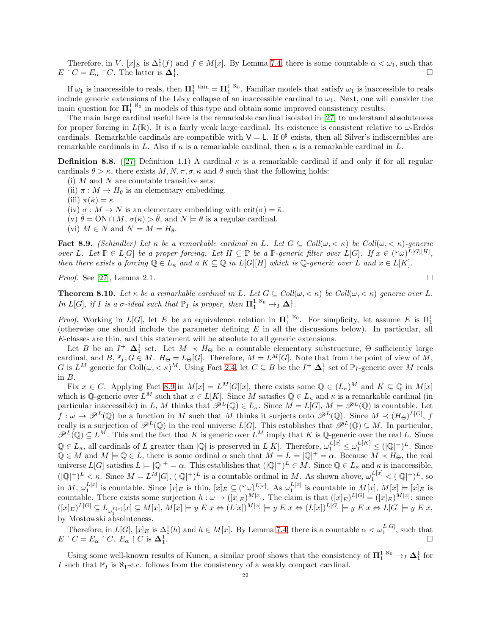Therefore, in V,  $[x]_E$  is  $\Delta_1^1(f)$  and  $f \in M[x]$ . By Lemma [7.4,](#page-18-0) there is some countable  $\alpha < \omega_1$ , such that  $E \restriction C = E_{\alpha} \restriction C$ . The latter is  $\Delta_1^1$ .

If  $\omega_1$  is inaccessible to reals, then  $\mathbf{\Pi}_1^1$ <sup>thin</sup> =  $\mathbf{\Pi}_1^1$ <sup>N<sub>0</sub></sup>. Familiar models that satisfy  $\omega_1$  is inaccessible to reals include generic extensions of the Lévy collapse of an inaccessible cardinal to  $\omega_1$ . Next, one will consider the main question for  $\Pi_1^{1 \aleph_0}$  in models of this type and obtain some improved consistency results.

The main large cardinal useful here is the remarkable cardinal isolated in [\[27\]](#page-28-7) to understand absoluteness for proper forcing in  $L(\mathbb{R})$ . It is a fairly weak large cardinal. Its existence is consistent relative to  $\omega$ -Erdös cardinals. Remarkable cardinals are compatible with  $V = L$ . If  $0^{\sharp}$  exists, then all Silver's indiscernibles are remarkable cardinals in L. Also if  $\kappa$  is a remarkable cardinal, then  $\kappa$  is a remarkable cardinal in L.

**Definition 8.8.** ([\[27\]](#page-28-7) Definition 1.1) A cardinal  $\kappa$  is a remarkable cardinal if and only if for all regular cardinals  $\theta > \kappa$ , there exists  $M, N, \pi, \sigma, \bar{\kappa}$  and  $\bar{\theta}$  such that the following holds:

- (i)  $M$  and  $N$  are countable transitive sets.
- (ii)  $\pi : M \to H_{\theta}$  is an elementary embedding.
- (iii)  $\pi(\bar{\kappa}) = \kappa$
- (iv)  $\sigma : M \to N$  is an elementary embedding with  $\text{crit}(\sigma) = \bar{\kappa}$ .
- (v)  $\bar{\theta} = \text{ON} \cap M$ ,  $\sigma(\bar{\kappa}) > \bar{\theta}$ , and  $N \models \theta$  is a regular cardinal.
- (vi)  $M \in N$  and  $N \models M = H_{\theta}$ .

<span id="page-21-1"></span>Fact 8.9. (Schindler) Let  $\kappa$  be a remarkable cardinal in L. Let  $G \subseteq Coll(\omega, < \kappa)$  be  $Coll(\omega, < \kappa)$ -generic over L. Let  $\mathbb{P} \in L[G]$  be a proper forcing. Let  $H \subseteq \mathbb{P}$  be a  $\mathbb{P}$ -generic filter over  $L[G]$ . If  $x \in (\mathbb{P} \omega)^{L[G][H]}$ , then there exists a forcing  $\mathbb{Q} \in L_{\kappa}$  and a  $K \subseteq \mathbb{Q}$  in  $L[G][H]$  which is  $\mathbb{Q}$ -generic over L and  $x \in L[K]$ .

*Proof.* See [\[27\]](#page-28-7), Lemma 2.1.  $\square$ 

<span id="page-21-0"></span>**Theorem 8.10.** Let  $\kappa$  be a remarkable cardinal in L. Let  $G \subseteq Coll(\omega, \langle \kappa \rangle)$  be Coll $(\omega, \langle \kappa \rangle)$  generic over L. In L[G], if I is a  $\sigma$ -ideal such that  $\mathbb{P}_I$  is proper, then  $\Pi_1^{1 \aleph_0} \to_I \Delta_1^1$ .

*Proof.* Working in  $L[G]$ , let E be an equivalence relation in  $\Pi_1^{1 \aleph_0}$ . For simplicity, let assume E is  $\Pi_1^1$ (otherwise one should include the parameter defining E in all the discussions below). In particular, all E-classes are thin, and this statement will be absolute to all generic extensions.

Let B be an  $I^+$   $\Delta_1^1$  set. Let  $M \prec H_\Theta$  be a countable elementary substructure,  $\Theta$  sufficiently large cardinal, and  $B, \mathbb{P}_I, G \in M$ .  $H_{\Theta} = L_{\Theta}[G]$ . Therefore,  $M = L^M[G]$ . Note that from the point of view of M, G is  $L^M$  generic for  $\text{Coll}(\omega, <\kappa)^M$ . Using Fact [2.4,](#page-3-0) let  $C \subseteq B$  be the  $I^+$   $\Delta_1^1$  set of  $\mathbb{P}_I$ -generic over M reals in B.

Fix  $x \in C$ . Applying Fact [8.9](#page-21-1) in  $M[x] = L^M[G][x]$ , there exists some  $\mathbb{Q} \in (L_{\kappa})^M$  and  $K \subseteq \mathbb{Q}$  in  $M[x]$ which is Q-generic over  $L^M$  such that  $x \in L[K]$ . Since M satisfies  $\mathbb{Q} \in L_\kappa$  and  $\kappa$  is a remarkable cardinal (in particular inaccessible) in L, M thinks that  $\mathscr{P}^L(\mathbb{Q}) \in L_{\kappa}$ . Since  $M = L[G], M \models \mathscr{P}^L(\mathbb{Q})$  is countable. Let  $f:\omega\to\mathscr{P}^L(\mathbb{Q})$  be a function in M such that M thinks it surjects onto  $\mathscr{P}^L(\mathbb{Q})$ . Since  $M\prec (H_\Theta)^{L[G]}$ , f really is a surjection of  $\mathscr{P}^L(\mathbb{Q})$  in the real universe  $L[G]$ . This establishes that  $\mathscr{P}^L(\mathbb{Q}) \subseteq M$ . In particular,  $\mathscr{P}^L(\mathbb{Q}) \subseteq L^M$ . This and the fact that K is generic over  $L^M$  imply that K is Q-generic over the real L. Since  $\mathbb{Q} \in L_{\kappa}$ , all cardinals of L greater than  $|\mathbb{Q}|$  is preserved in  $L[K]$ . Therefore,  $\omega_1^{L[x]} \leq \omega_1^{L[K]} \leq (|\mathbb{Q}|^+)^L$ . Since  $\mathbb{Q} \in M$  and  $M \models \mathbb{Q} \in L$ , there is some ordinal  $\alpha$  such that  $M \models L \models |\mathbb{Q}|^+ = \alpha$ . Because  $M \prec H_{\Theta}$ , the real universe  $L[G]$  satisfies  $L \models |\mathbb{Q}|^+ = \alpha$ . This establishes that  $(|\mathbb{Q}|^+)^L \in M$ . Since  $\mathbb{Q} \in L_{\kappa}$  and  $\kappa$  is inaccessible,  $(|\mathbb{Q}|^+)^L < \kappa$ . Since  $M = L^M[G], (|\mathbb{Q}|^+)^L$  is a countable ordinal in M. As shown above,  $\omega_1^{L[x]} < (|\mathbb{Q}|^+)^L$ , so in  $M$ ,  $\omega_1^{L[x]}$  is countable. Since  $[x]_E$  is thin,  $[x]_E \subseteq (\omega \omega)_L^{L[x]}$ . As  $\omega_1^{L[x]}$  is countable in  $M[x]$ ,  $M[x] \models [x]_E$  is countable. There exists some surjection  $h : \omega \to ([x]_E)^{M[x]}$ . The claim is that  $([x]_E)^{L[G]} = ([x]_E)^{M[x]}$ : since  $([x]_E)^{L[G]} \subseteq L_{\omega_1^{L[x]}}[x] \subseteq M[x], M[x] \models y \ E \ x \Leftrightarrow (L[x])^{M[x]} \models y \ E \ x \Leftrightarrow (L[x])^{L[G]} \models y \ E \ x \Leftrightarrow L[G] \models y \ E \ x,$ by Mostowski absoluteness.

Therefore, in  $L[G], [x]_E$  is  $\Delta_1^1(h)$  and  $h \in M[x]$ . By Lemma [7.4,](#page-18-0) there is a countable  $\alpha < \omega_1^{L[G]}$ , such that  $E \restriction C = E_\alpha \restriction C$ .  $E_\alpha \restriction C$  is  $\Delta_1^1$ .

Using some well-known results of Kunen, a similar proof shows that the consistency of  $\Pi_1^{1 \aleph_0} \to_I \Delta_1^1$  for I such that  $\mathbb{P}_I$  is  $\aleph_1$ -c.c. follows from the consistency of a weakly compact cardinal.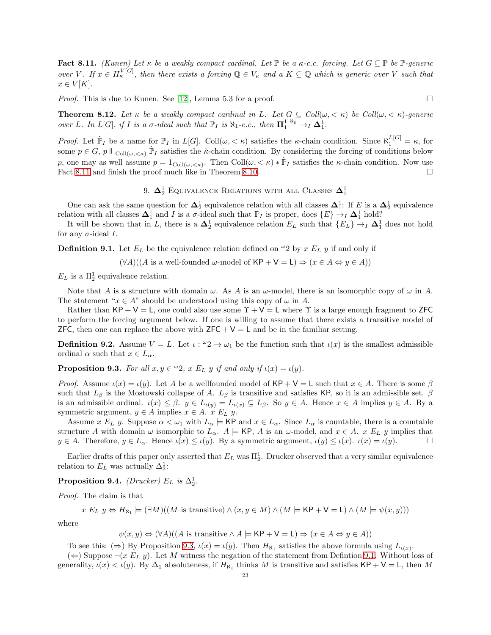<span id="page-22-1"></span>Fact 8.11. (Kunen) Let  $\kappa$  be a weakly compact cardinal. Let  $\mathbb P$  be a  $\kappa$ -c.c. forcing. Let  $G \subseteq \mathbb P$  be  $\mathbb P$ -generic over V. If  $x \in H_{\kappa}^{V[G]}$ , then there exists a forcing  $\mathbb{Q} \in V_{\kappa}$  and a  $K \subseteq \mathbb{Q}$  which is generic over V such that  $x \in V[K]$ .

*Proof.* This is due to Kunen. See [\[12\]](#page-27-16), Lemma 5.3 for a proof.  $\square$ 

<span id="page-22-4"></span>**Theorem 8.12.** Let  $\kappa$  be a weakly compact cardinal in L. Let  $G \subseteq Coll(\omega, < \kappa)$  be Coll $(\omega, < \kappa)$ -generic over L. In L[G], if I is a  $\sigma$ -ideal such that  $\mathbb{P}_I$  is  $\aleph_1$ -c.c., then  $\Pi_1^{1 \aleph_0} \rightarrow_I \Delta_1^1$ .

*Proof.* Let  $\dot{\mathbb{P}}_I$  be a name for  $\mathbb{P}_I$  in  $L[G]$ . Coll $(\omega, < \kappa)$  satisfies the  $\kappa$ -chain condition. Since  $\aleph_1^{L[G]} = \kappa$ , for some  $p \in G$ ,  $p \Vdash_{\mathrm{Coll}(\omega,<\kappa)} \dot{\mathbb{P}}_I$  satisfies the  $\kappa$ -chain condition. By considering the forcing of conditions below p, one may as well assume  $p = 1_{\text{Coll}(\omega, <\kappa)}$ . Then  $\text{Coll}(\omega, <\kappa) * \dot{\mathbb{P}}_I$  satisfies the  $\kappa$ -chain condition. Now use Fact [8.11](#page-22-1) and finish the proof much like in Theorem [8.10.](#page-21-0)

# 9.  $\Delta_2^1$  Equivalence Relations with all Classes  $\Delta_1^1$

<span id="page-22-0"></span>One can ask the same question for  $\Delta_2^1$  equivalence relation with all classes  $\Delta_1^1$ : If E is a  $\Delta_2^1$  equivalence relation with all classes  $\Delta_1^1$  and I is a  $\sigma$ -ideal such that  $\mathbb{P}_I$  is proper, does  $\{E\} \to_I \Delta_1^1$  hold?

It will be shown that in L, there is a  $\Delta_2^1$  equivalence relation  $E_L$  such that  $\{E_L\} \to_I \Delta_1^1$  does not hold for any  $\sigma$ -ideal I.

<span id="page-22-3"></span>**Definition 9.1.** Let  $E_L$  be the equivalence relation defined on  $\omega_2$  by x  $E_L$  y if and only if

 $(\forall A)((A \text{ is a well-founded } \omega \text{-model of } \mathsf{KP}+\mathsf{V}=\mathsf{L}) \Rightarrow (x \in A \Leftrightarrow y \in A))$ 

 $E_L$  is a  $\Pi_2^1$  equivalence relation.

Note that A is a structure with domain  $\omega$ . As A is an  $\omega$ -model, there is an isomorphic copy of  $\omega$  in A. The statement " $x \in A$ " should be understood using this copy of  $\omega$  in A.

Rather than  $KP + V = L$ , one could also use some  $\Upsilon + V = L$  where  $\Upsilon$  is a large enough fragment to ZFC to perform the forcing argument below. If one is willing to assume that there exists a transitive model of ZFC, then one can replace the above with  $ZFC + V = L$  and be in the familiar setting.

**Definition 9.2.** Assume  $V = L$ . Let  $\iota : \omega_2 \to \omega_1$  be the function such that  $\iota(x)$  is the smallest admissible ordinal  $\alpha$  such that  $x \in L_{\alpha}$ .

<span id="page-22-2"></span>**Proposition 9.3.** For all  $x, y \in \mathcal{L}2$ ,  $x \mathbb{E}_L y$  if and only if  $\iota(x) = \iota(y)$ .

*Proof.* Assume  $\iota(x) = \iota(y)$ . Let A be a wellfounded model of  $\mathsf{KP} + \mathsf{V} = \mathsf{L}$  such that  $x \in A$ . There is some  $\beta$ such that  $L_\beta$  is the Mostowski collapse of A.  $L_\beta$  is transitive and satisfies KP, so it is an admissible set.  $\beta$ is an admissible ordinal.  $\iota(x) \leq \beta$ .  $y \in L_{\iota(y)} = L_{\iota(x)} \subseteq L_{\beta}$ . So  $y \in A$ . Hence  $x \in A$  implies  $y \in A$ . By a symmetric argument,  $y \in A$  implies  $x \in A$ .  $x E_L y$ .

Assume x  $E_L$  y. Suppose  $\alpha < \omega_1$  with  $L_\alpha \models \mathsf{KP}$  and  $x \in L_\alpha$ . Since  $L_\alpha$  is countable, there is a countable structure A with domain  $\omega$  isomorphic to  $L_{\alpha}$ .  $A \models$  KP, A is an  $\omega$ -model, and  $x \in A$ .  $x E_L y$  implies that  $y \in A$ . Therefore,  $y \in L_{\alpha}$ . Hence  $\iota(x) \leq \iota(y)$ . By a symmetric argument,  $\iota(y) \leq \iota(x)$ .  $\iota(x) = \iota(y)$ .

Earlier drafts of this paper only asserted that  $E_L$  was  $\Pi_2^1$ . Drucker observed that a very similar equivalence relation to  $E_L$  was actually  $\Delta_2^1$ :

**Proposition 9.4.** *(Drucker)*  $E_L$  is  $\Delta_2^1$ .

Proof. The claim is that

 $x E_L y \Leftrightarrow H_{\aleph_1} \models (\exists M)((M \text{ is transitive}) \land (x, y \in M) \land (M \models \textsf{KP} + \textsf{V} = \textsf{L}) \land (M \models \psi(x, y)))$ 

where

 $\psi(x, y) \Leftrightarrow (\forall A)((A \text{ is transitive} \land A \models \textsf{KP} + \textsf{V} = \textsf{L}) \Rightarrow (x \in A \Leftrightarrow y \in A))$ 

To see this:  $(\Rightarrow)$  By Proposition [9.3,](#page-22-2)  $\iota(x) = \iota(y)$ . Then  $H_{\aleph_1}$  satisfies the above formula using  $L_{\iota(x)}$ .

 $(\Leftarrow)$  Suppose  $\neg(x E_L y)$ . Let M witness the negation of the statement from Defintion [9.1.](#page-22-3) Without loss of generality,  $\iota(x) < \iota(y)$ . By  $\Delta_1$  absoluteness, if  $H_{\aleph_1}$  thinks M is transitive and satisfies  $\mathsf{KP}+\mathsf{V}=\mathsf{L}$ , then M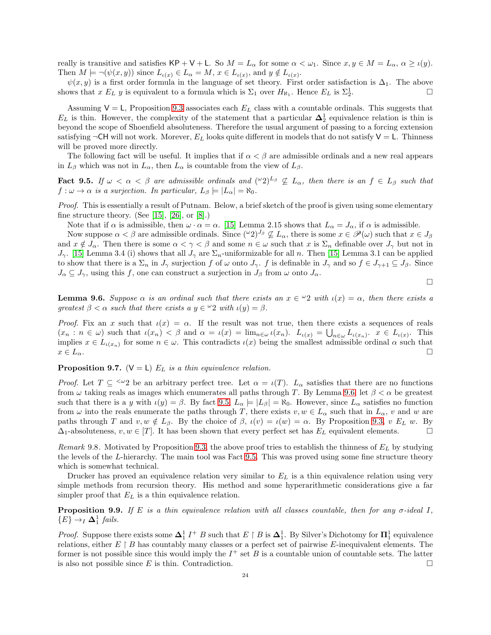really is transitive and satisfies  $\mathsf{KP} + \mathsf{V} + \mathsf{L}$ . So  $M = L_\alpha$  for some  $\alpha < \omega_1$ . Since  $x, y \in M = L_\alpha$ ,  $\alpha \geq \iota(y)$ . Then  $M \models \neg(\psi(x, y))$  since  $L_{\iota(x)} \in L_{\alpha} = M$ ,  $x \in L_{\iota(x)}$ , and  $y \notin L_{\iota(x)}$ .

 $\psi(x, y)$  is a first order formula in the language of set theory. First order satisfaction is  $\Delta_1$ . The above shows that x  $E_L$  y is equivalent to a formula which is  $\Sigma_1$  over  $H_{\aleph_1}$ . Hence  $E_L$  is  $\Sigma_2^1$ . — Процессиональные производствовались и производствовались и производствовались и производствовались и произ<br>В собстановки производствовались производствовались и производствовались производствовались и производствовали

Assuming  $V = L$ , Proposition [9.3](#page-22-2) associates each  $E<sub>L</sub>$  class with a countable ordinals. This suggests that  $E_L$  is thin. However, the complexity of the statement that a particular  $\Delta_2^1$  equivalence relation is thin is beyond the scope of Shoenfield absoluteness. Therefore the usual argument of passing to a forcing extension satisfying  $\neg$ CH will not work. Morever,  $E_L$  looks quite different in models that do not satisfy  $V = L$ . Thinness will be proved more directly.

The following fact will be useful. It implies that if  $\alpha < \beta$  are admissible ordinals and a new real appears in  $L_\beta$  which was not in  $L_\alpha$ , then  $L_\alpha$  is countable from the view of  $L_\beta$ .

<span id="page-23-1"></span>**Fact 9.5.** If  $\omega < \alpha < \beta$  are admissible ordinals and  $({}^{\omega}2)^{L_{\beta}} \nsubseteq L_{\alpha}$ , then there is an  $f \in L_{\beta}$  such that  $f: \omega \to \alpha$  is a surjection. In particular,  $L_{\beta} \models |L_{\alpha}| = \aleph_0$ .

Proof. This is essentially a result of Putnam. Below, a brief sketch of the proof is given using some elementary fine structure theory. (See [\[15\]](#page-27-17), [\[26\]](#page-28-8), or  $[8]$ .)

Note that if  $\alpha$  is admissible, then  $\omega \cdot \alpha = \alpha$ . [\[15\]](#page-27-17) Lemma 2.15 shows that  $L_{\alpha} = J_{\alpha}$ , if  $\alpha$  is admissible.

Now suppose  $\alpha < \beta$  are admissible ordinals. Since  $({}^{\omega}2)^{J_{\beta}} \nsubseteq L_{\alpha}$ , there is some  $x \in \mathscr{P}(\omega)$  such that  $x \in J_{\beta}$ and  $x \notin J_\alpha$ . Then there is some  $\alpha < \gamma < \beta$  and some  $n \in \omega$  such that x is  $\Sigma_n$  definable over  $J_\gamma$  but not in  $J_{\gamma}$ . [\[15\]](#page-27-17) Lemma 3.4 (i) shows that all  $J_{\gamma}$  are  $\Sigma_n$ -uniformizable for all n. Then [15] Lemma 3.1 can be applied to show that there is a  $\Sigma_n$  in  $J_\gamma$  surjection f of  $\omega$  onto  $J_\gamma$ . f is definable in  $J_\gamma$  and so  $f \in J_{\gamma+1} \subseteq J_\beta$ . Since  $J_{\alpha} \subseteq J_{\gamma}$ , using this f, one can construct a surjection in  $J_{\beta}$  from  $\omega$  onto  $J_{\alpha}$ .

 $\Box$ 

<span id="page-23-0"></span>**Lemma 9.6.** Suppose  $\alpha$  is an ordinal such that there exists an  $x \in \mathcal{L}$  with  $\iota(x) = \alpha$ , then there exists a greatest  $\beta < \alpha$  such that there exists  $a y \in \mathcal{Q}$  with  $\iota(y) = \beta$ .

*Proof.* Fix an x such that  $\iota(x) = \alpha$ . If the result was not true, then there exists a sequences of reals  $(x_n : n \in \omega)$  such that  $\iota(x_n) < \beta$  and  $\alpha = \iota(x) = \lim_{n \in \omega} \iota(x_n)$ .  $L_{\iota(x)} = \bigcup_{n \in \omega} L_{\iota(x_n)}$ .  $x \in L_{\iota(x)}$ . This implies  $x \in L_{\iota(x_n)}$  for some  $n \in \omega$ . This contradicts  $\iota(x)$  being the smallest admissible ordinal  $\alpha$  such that  $x \in L_{\alpha}$ .

**Proposition 9.7.** ( $V = L$ )  $E_L$  is a thin equivalence relation.

Proof. Let  $T \subseteq \langle \omega_2 \rangle$  be an arbitrary perfect tree. Let  $\alpha = \iota(T)$ .  $L_\alpha$  satisfies that there are no functions from  $\omega$  taking reals as images which enumerates all paths through T. By Lemma [9.6,](#page-23-0) let  $\beta < \alpha$  be greatest such that there is a y with  $\iota(y) = \beta$ . By fact [9.5,](#page-23-1)  $L_\alpha \models |L_\beta| = \aleph_0$ . However, since  $L_\alpha$  satisfies no function from  $\omega$  into the reals enumerate the paths through T, there exists  $v, w \in L_{\alpha}$  such that in  $L_{\alpha}$ , v and w are paths through T and  $v, w \notin L_\beta$ . By the choice of  $\beta$ ,  $\iota(v) = \iota(w) = \alpha$ . By Proposition [9.3,](#page-22-2) v  $E_L$  w. By  $\Delta_1$ -absoluteness,  $v, w \in [T]$ . It has been shown that every perfect set has  $E_L$  equivalent elements.

Remark 9.8. Motivated by Proposition [9.3,](#page-22-2) the above proof tries to establish the thinness of  $E_L$  by studying the levels of the L-hierarchy. The main tool was Fact [9.5.](#page-23-1) This was proved using some fine structure theory which is somewhat technical.

Drucker has proved an equivalence relation very similar to  $E<sub>L</sub>$  is a thin equivalence relation using very simple methods from recursion theory. His method and some hyperarithmetic considerations give a far simpler proof that  $E_L$  is a thin equivalence relation.

<span id="page-23-2"></span>**Proposition 9.9.** If E is a thin equivalence relation with all classes countable, then for any  $\sigma$ -ideal I,  ${E} \rightarrow I \Delta_1^1$  fails.

*Proof.* Suppose there exists some  $\Delta_1^1$   $I^+$  B such that  $E \upharpoonright B$  is  $\Delta_1^1$ . By Silver's Dichotomy for  $\Pi_1^1$  equivalence relations, either  $E \upharpoonright B$  has countably many classes or a perfect set of pairwise E-inequivalent elements. The former is not possible since this would imply the  $I^+$  set B is a countable union of countable sets. The latter is also not possible since E is thin. Contradiction.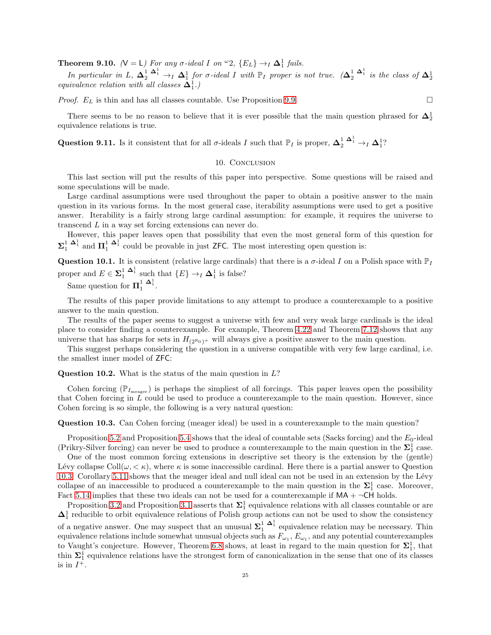<span id="page-24-0"></span>**Theorem 9.10.** ( $V = L$ ) For any  $\sigma$ -ideal I on  $\omega_2$ ,  $\{E_L\} \rightarrow_I \Delta_1^1$  fails. 1

In particular in L,  $\Delta_2^1$   $\Delta_1^1$   $\rightarrow_I$   $\Delta_1^1$  for  $\sigma$ -ideal I with  $\mathbb{P}_I$  proper is not true.  $(\Delta_2^1$   $\Delta_1^1$  is the class of  $\Delta_2^1$  equivalence relation with all classes  $\Delta_1^1$ .)

*Proof.*  $E_L$  is thin and has all classes countable. Use Proposition [9.9.](#page-23-2)

$$
\mathbb{Z}^2
$$

There seems to be no reason to believe that it is ever possible that the main question phrased for  $\Delta_2^1$ equivalence relations is true.

<span id="page-24-1"></span>Question 9.11. Is it consistent that for all  $\sigma$ -ideals I such that  $\mathbb{P}_I$  is proper,  $\mathbf{\Delta}_2^1 \xrightarrow{\mathbf{\Delta}_1^1} \mathbf{\Delta}_1^1$ ?

#### 10. CONCLUSION

This last section will put the results of this paper into perspective. Some questions will be raised and some speculations will be made.

Large cardinal assumptions were used throughout the paper to obtain a positive answer to the main question in its various forms. In the most general case, iterability assumptions were used to get a positive answer. Iterability is a fairly strong large cardinal assumption: for example, it requires the universe to transcend L in a way set forcing extensions can never do.

However, this paper leaves open that possibility that even the most general form of this question for  $\Sigma_1^1$   $\Delta_1^1$  and  $\Pi_1^1$   $\Delta_1^1$  could be provable in just ZFC. The most interesting open question is:

**Question 10.1.** It is consistent (relative large cardinals) that there is a  $\sigma$ -ideal I on a Polish space with  $\mathbb{P}_I$ proper and  $E \in \Sigma_1^1 \stackrel{\Delta_1^1}{\longrightarrow}$  such that  $\{E\} \to_I \Delta_1^1$  is false?

Same question for  $\Pi_1^1 \stackrel{\Delta_1^1}{\longrightarrow}$ .

The results of this paper provide limitations to any attempt to produce a counterexample to a positive answer to the main question.

The results of the paper seems to suggest a universe with few and very weak large cardinals is the ideal place to consider finding a counterexample. For example, Theorem [4.22](#page-13-0) and Theorem [7.12](#page-19-0) shows that any universe that has sharps for sets in  $H_{(2^{\aleph_0})^+}$  will always give a positive answer to the main question.

This suggest perhaps considering the question in a universe compatible with very few large cardinal, i.e. the smallest inner model of ZFC:

**Question 10.2.** What is the status of the main question in  $L$ ?

Cohen forcing  $(\mathbb{P}_{I_{\text{measure}}})$  is perhaps the simpliest of all forcings. This paper leaves open the possibility that Cohen forcing in L could be used to produce a counterexample to the main question. However, since Cohen forcing is so simple, the following is a very natural question:

<span id="page-24-2"></span>Question 10.3. Can Cohen forcing (meager ideal) be used in a counterexample to the main question?

Proposition [5.2](#page-13-2) and Proposition [5.4](#page-14-3) shows that the ideal of countable sets (Sacks forcing) and the  $E_0$ -ideal (Prikry-Silver forcing) can never be used to produce a counterexample to the main question in the  $\Sigma_1^1$  case.

One of the most common forcing extensions in descriptive set theory is the extension by the (gentle) Lévy collapse Coll $(\omega, < \kappa)$ , where  $\kappa$  is some inaccessible cardinal. Here there is a partial answer to Question [10.3:](#page-24-2) Corollary [5.11](#page-15-1) shows that the meager ideal and null ideal can not be used in an extension by the Lévy collapse of an inaccessible to produced a counterexample to the main question in the  $\Sigma_1^1$  case. Moreover, Fact [5.14](#page-15-2) implies that these two ideals can not be used for a counterexample if  $MA + \neg CH$  holds.

Proposition [3.2](#page-4-2) and Proposition [3.1](#page-4-1) asserts that  $\Sigma_1^1$  equivalence relations with all classes countable or are  $\Delta_1^1$  reducible to orbit equivalence relations of Polish group actions can not be used to show the consistency of a negative answer. One may suspect that an unusual  $\Sigma_1^1$   $\Delta_1^1$  equivalence relation may be necessary. Thin equivalence relations include somewhat unusual objects such as  $F_{\omega_1}$ ,  $E_{\omega_1}$ , and any potential counterexamples to Vaught's conjecture. However, Theorem [6.8](#page-17-0) shows, at least in regard to the main question for  $\Sigma_1^1$ , that thin  $\Sigma_1^1$  equivalence relations have the strongest form of canonicalization in the sense that one of its classes is in  $I^+$ .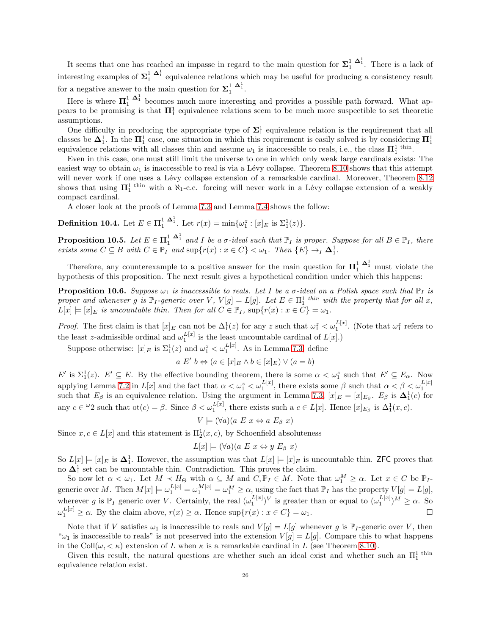It seems that one has reached an impasse in regard to the main question for  $\Sigma_1^1$   $\Delta_1^1$ . There is a lack of interesting examples of  $\Sigma_1^1$   $\Delta_1^1$  equivalence relations which may be useful for producing a consistency result for a negative answer to the main question for  $\Sigma_1^1$   $\Delta_1^1$ .

Here is where  $\mathbf{\Pi}_{1}^{1}$   $\mathbf{\Delta}_{1}^{1}$  becomes much more interesting and provides a possible path forward. What appears to be promising is that  $\Pi_1^1$  equivalence relations seem to be much more suspectible to set theoretic assumptions.

One difficulty in producing the appropriate type of  $\Sigma_1^1$  equivalence relation is the requirement that all classes be  $\Delta_1^1$ . In the  $\Pi_1^1$  case, one situation in which this requirement is easily solved is by considering  $\Pi_1^1$ equivalence relations with all classes thin and assume  $\omega_1$  is inaccessible to reals, i.e., the class  $\Pi_1^1$ <sup>thin</sup>.

Even in this case, one must still limit the universe to one in which only weak large cardinals exists: The easiest way to obtain  $\omega_1$  is inaccessible to real is via a Lévy collapse. Theorem [8.10](#page-21-0) shows that this attempt will never work if one uses a Lévy collapse extension of a remarkable cardinal. Moreover, Theorem [8.12](#page-22-4) shows that using  $\Pi_1^1$ <sup>thin</sup> with a  $\aleph_1$ -c.c. forcing will never work in a Lévy collapse extension of a weakly compact cardinal.

A closer look at the proofs of Lemma [7.3](#page-18-1) and Lemma [7.4](#page-18-0) shows the follow:

**Definition 10.4.** Let  $E \in \Pi_1^1 \stackrel{\Delta_1^1}{\longrightarrow}$ . Let  $r(x) = \min{\{\omega_1^z : [x]_E \text{ is } \Sigma_1^1(z)\}}$ .

**Proposition 10.5.** Let  $E \in \Pi_1^1$   $\overset{\Delta_1^1}{\longrightarrow}$  and I be a  $\sigma$ -ideal such that  $\mathbb{P}_I$  is proper. Suppose for all  $B \in \mathbb{P}_I$ , there exists some  $C \subseteq B$  with  $C \in \mathbb{P}_I$  and  $\sup\{r(x) : x \in C\} < \omega_1$ . Then  $\{E\} \to_I \Delta^1$ .

Therefore, any counterexample to a positive answer for the main question for  $\Pi_1^{1} \Delta_1^{1}$  must violate the hypothesis of this proposition. The next result gives a hypothetical condition under which this happens:

<span id="page-25-0"></span>**Proposition 10.6.** Suppose  $\omega_1$  is inaccessible to reals. Let I be a  $\sigma$ -ideal on a Polish space such that  $\mathbb{P}_I$  is proper and whenever g is  $\mathbb{P}_I$ -generic over V,  $V[g] = L[g]$ . Let  $E \in \Pi_1^1$  thin with the property that for all x,  $L[x] \models [x]_E$  is uncountable thin. Then for all  $C \in \mathbb{P}_I$ ,  $\sup\{r(x) : x \in C\} = \omega_1$ .

*Proof.* The first claim is that  $[x]_E$  can not be  $\Delta_1^1(z)$  for any z such that  $\omega_1^z < \omega_1^{L[x]}$ . (Note that  $\omega_1^z$  refers to the least z-admissible ordinal and  $\omega_1^{L[x]}$  is the least uncountable cardinal of  $L[x]$ .)

Suppose otherwise:  $[x]_E$  is  $\Sigma_1^1(z)$  and  $\omega_1^z < \omega_1^{L[x]}$ . As in Lemma [7.3,](#page-18-1) define

$$
a E' b \Leftrightarrow (a \in [x]_E \land b \in [x]_E) \lor (a = b)
$$

 $E'$  is  $\Sigma_1^1(z)$ .  $E' \subseteq E$ . By the effective bounding theorem, there is some  $\alpha < \omega_1^z$  such that  $E' \subseteq E_\alpha$ . Now applying Lemma [7.2](#page-17-2) in  $L[x]$  and the fact that  $\alpha < \omega_1^z < \omega_1^{L[x]}$ , there exists some  $\beta$  such that  $\alpha < \beta < \omega_1^{L[x]}$ <br>such that  $E_\beta$  is an equivalence relation. Using the argument in Lemma [7.3,](#page-18-1)  $[x]_E = [x]_{E_\beta}$ .  $E_\beta$  is any  $c \in \omega_2$  such that  $\mathrm{ot}(c) = \beta$ . Since  $\beta < \omega_1^{L[x]}$ , there exists such a  $c \in L[x]$ . Hence  $[x]_{E_\beta}$  is  $\Delta_1^1(x, c)$ .

$$
V \models (\forall a)(a \ E \ x \Leftrightarrow a \ E_{\beta} \ x)
$$

Since  $x, c \in L[x]$  and this statement is  $\Pi_2^1(x, c)$ , by Schoenfield absoluteness

$$
L[x] \models (\forall a)(a \ E \ x \Leftrightarrow y \ E_{\beta} \ x)
$$

So  $L[x] \models [x]_E$  is  $\Delta_1^1$ . However, the assumption was that  $L[x] \models [x]_E$  is uncountable thin. ZFC proves that no  $\mathbf{\Delta}^1_1$  set can be uncountable thin. Contradiction. This proves the claim.

So now let  $\alpha < \omega_1$ . Let  $M \prec H_{\Theta}$  with  $\alpha \subseteq M$  and  $C, \mathbb{P}_I \in M$ . Note that  $\omega_1^M \geq \alpha$ . Let  $x \in C$  be  $\mathbb{P}_I$ generic over M. Then  $M[x] \models \omega_1^{L[x]} = \omega_1^{M[x]} = \omega_1^M \ge \alpha$ , using the fact that  $\mathbb{P}_I$  has the property  $V[g] = L[g]$ , wherever g is  $\mathbb{P}_I$  generic over V. Certainly, the real  $(\omega_1^{L[x]})^V$  is greater than or equal to  $(\omega_1^{L[x]})^M \ge \alpha$ . So  $\omega_1^{L[x]} \ge \alpha$ . By the claim above,  $r(x) \ge \alpha$ . Hence  $\sup\{r(x) : x \in C\} = \omega_1$ .

Note that if V satisfies  $\omega_1$  is inaccessible to reals and  $V[q] = L[q]$  whenever g is  $\mathbb{P}_I$ -generic over V, then " $\omega_1$  is inaccessible to reals" is not preserved into the extension  $V[g] = L[g]$ . Compare this to what happens in the Coll $(\omega, < \kappa)$  extension of L when  $\kappa$  is a remarkable cardinal in L (see Theorem [8.10\)](#page-21-0).

Given this result, the natural questions are whether such an ideal exist and whether such an  $\Pi_1^1$ <sup>thin</sup> equivalence relation exist.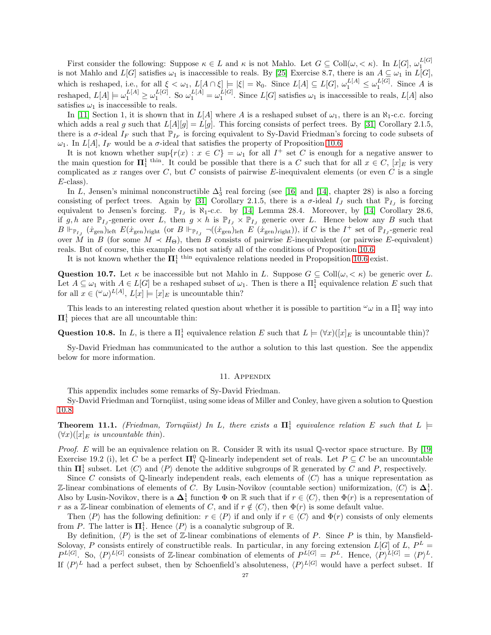First consider the following: Suppose  $\kappa \in L$  and  $\kappa$  is not Mahlo. Let  $G \subseteq \text{Coll}(\omega, < \kappa)$ . In  $L[G], \omega_1^{L[G]}$ is not Mahlo and  $L[G]$  satisfies  $\omega_1$  is inaccessible to reals. By [\[25\]](#page-28-1) Exercise 8.7, there is an  $A \subseteq \omega_1$  in  $L[G]$ , which is reshaped, i.e., for all  $\xi < \omega_1$ ,  $L[A \cap \xi] \models |\xi| = \aleph_0$ . Since  $L[A] \subseteq L[G]$ ,  $\omega_1^{L[A]} \leq \omega_1^{L[G]}$ . Since A is reshaped,  $L[A] \models \omega_1^{L[A]} \geq \omega_1^{L[G]}$ . So  $\omega_1^{L[A]} = \omega_1^{L[G]}$ . Since  $L[G]$  satisfies  $\omega_1$  is inaccessible to reals,  $L[A]$  also satisfies  $\omega_1$  is inaccessible to reals.

In [\[11\]](#page-27-19) Section 1, it is shown that in  $L[A]$  where A is a reshaped subset of  $\omega_1$ , there is an  $\aleph_1$ -c.c. forcing which adds a real g such that  $L[A][g] = L[g]$ . This forcing consists of perfect trees. By [\[31\]](#page-28-0) Corollary 2.1.5, there is a  $\sigma$ -ideal  $I_F$  such that  $\mathbb{P}_{I_F}$  is forcing equivalent to Sy-David Friedman's forcing to code subsets of  $\omega_1$ . In  $L[A]$ ,  $I_F$  would be a  $\sigma$ -ideal that satisfies the property of Proposition [10.6.](#page-25-0)

It is not known whether  $\sup\{r(x): x \in C\} = \omega_1$  for all  $I^+$  set C is enough for a negative answer to the main question for  $\Pi_1^1$ <sup>thin</sup>. It could be possible that there is a C such that for all  $x \in C$ ,  $[x]_E$  is very complicated as x ranges over C, but C consists of pairwise E-inequivalent elements (or even  $\overrightarrow{C}$  is a single  $E$ -class).

In L, Jensen's minimal nonconstructible  $\Delta_3^1$  real forcing (see [\[16\]](#page-27-20) and [\[14\]](#page-27-15), chapter 28) is also a forcing consisting of perfect trees. Again by [\[31\]](#page-28-0) Corollary 2.1.5, there is a  $\sigma$ -ideal  $I_J$  such that  $\mathbb{P}_{I_J}$  is forcing equivalent to Jensen's forcing.  $\mathbb{P}_{I_J}$  is  $\aleph_1$ -c.c. by [\[14\]](#page-27-15) Lemma 28.4. Moreover, by [14] Corollary 28.6, if g, h are  $\mathbb{P}_{I_J}$ -generic over L, then  $g \times h$  is  $\mathbb{P}_{I_J} \times \mathbb{P}_{I_J}$  generic over L. Hence below any B such that  $B \Vdash_{\mathbb{P}_{I_J}} (\dot{x}_{gen})_{\text{left}}$  (or  $B \Vdash_{\mathbb{P}_{I_J}} \neg((\dot{x}_{gen})_{\text{left}} E (\dot{x}_{gen})_{\text{right}})$ ), if C is the  $I^+$  set of  $\mathbb{P}_{I_J}$ -generic real over M in B (for some  $M \prec H_{\Theta}$ ), then B consists of pairwise E-inequivalent (or pairwise E-equivalent) reals. But of course, this example does not satisfy all of the conditions of Proposition [10.6.](#page-25-0)

It is not known whether the  $\mathbf{\Pi}^{1}$ <sup>thin</sup> equivalence relations needed in Propopsition [10.6](#page-25-0) exist.

<span id="page-26-1"></span>**Question 10.7.** Let  $\kappa$  be inaccessible but not Mahlo in L. Suppose  $G \subseteq \text{Coll}(\omega, \langle \kappa \rangle)$  be generic over L. Let  $A \subseteq \omega_1$  with  $A \in L[G]$  be a reshaped subset of  $\omega_1$ . Then is there a  $\Pi_1^1$  equivalence relation E such that for all  $x \in (\omega \omega)^{L[A]}, L[x] \models [x]_E$  is uncountable thin?

This leads to an interesting related question about whether it is possible to partition  $\omega_{\omega}$  in a  $\Pi_1^1$  way into  $\Pi_1^1$  pieces that are all uncountable thin:

<span id="page-26-0"></span>Question 10.8. In L, is there a  $\Pi_1^1$  equivalence relation E such that  $L \models (\forall x)([x]_E$  is uncountable thin)?

Sy-David Friedman has communicated to the author a solution to this last question. See the appendix below for more information.

#### 11. Appendix

This appendix includes some remarks of Sy-David Friedman.

Sy-David Friedman and Tornqüist, using some ideas of Miller and Conley, have given a solution to Question [10.8.](#page-26-0)

<span id="page-26-2"></span>**Theorem 11.1.** (Friedman, Tornqüist) In L, there exists a  $\Pi_1^1$  equivalence relation E such that  $L \models$  $(\forall x)(x|E)$  is uncountable thin.

*Proof.* E will be an equivalence relation on R. Consider R with its usual Q-vector space structure. By [\[19\]](#page-27-21) Exercise 19.2 (i), let C be a perfect  $\Pi_1^0$  Q-linearly independent set of reals. Let  $P \subseteq C$  be an uncountable thin  $\Pi_1^1$  subset. Let  $\langle C \rangle$  and  $\langle P \rangle$  denote the additive subgroups of R generated by C and P, respectively.

Since C consists of Q-linearly independent reals, each elements of  $\langle C \rangle$  has a unique representation as Z-linear combinations of elements of C. By Lusin-Novikov (countable section) uniformization,  $\langle C \rangle$  is  $\Delta_1^1$ . Also by Lusin-Novikov, there is a  $\Delta_1^1$  function  $\Phi$  on R such that if  $r \in \langle C \rangle$ , then  $\Phi(r)$  is a representation of r as a Z-linear combination of elements of C, and if  $r \notin \langle C \rangle$ , then  $\Phi(r)$  is some default value.

Then  $\langle P \rangle$  has the following definition:  $r \in \langle P \rangle$  if and only if  $r \in \langle C \rangle$  and  $\Phi(r)$  consists of only elements from P. The latter is  $\Pi_1^1$ . Hence  $\langle P \rangle$  is a coanalytic subgroup of R.

By definition,  $\langle P \rangle$  is the set of Z-linear combinations of elements of P. Since P is thin, by Mansfield-Solovay, P consists entirely of constructible reals. In particular, in any forcing extension  $L[G]$  of L,  $P<sup>L</sup>$  =  $P^{L[G]}$ . So,  $\langle P \rangle^{L[G]}$  consists of Z-linear combination of elements of  $P^{L[G]} = P^L$ . Hence,  $\langle P \rangle^{L[G]} = \langle P \rangle^L$ . If  $\langle P \rangle^L$  had a perfect subset, then by Schoenfield's absoluteness,  $\langle P \rangle^{L[G]}$  would have a perfect subset. If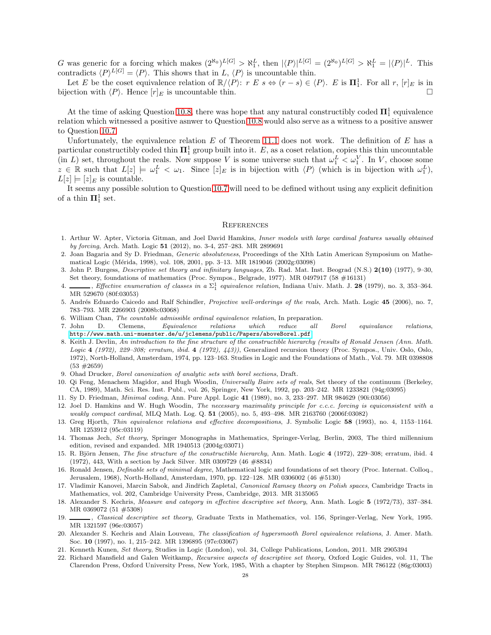G was generic for a forcing which makes  $(2^{\aleph_0})^{L[G]} > \aleph_1^L$ , then  $|\langle P \rangle|^{L[G]} = (2^{\aleph_0})^{L[G]} > \aleph_1^L = |\langle P \rangle|^L$ . This contradicts  $\langle P \rangle^{L[G]} = \langle P \rangle$ . This shows that in L,  $\langle P \rangle$  is uncountable thin.

Let E be the coset equivalence relation of  $\mathbb{R}/\langle P \rangle$ :  $r \to s \Leftrightarrow (r - s) \in \langle P \rangle$ . E is  $\Pi_1^1$ . For all  $r$ ,  $[r]_E$  is in bijection with  $\langle P \rangle$ . Hence  $[r]_E$  is uncountable thin.

At the time of asking Question [10.8,](#page-26-0) there was hope that any natural constructibly coded  $\mathbf{\Pi}^1_1$  equivalence relation which witnessed a positive asnwer to Question [10.8](#page-26-0) would also serve as a witness to a positive answer to Question [10.7.](#page-26-1)

Unfortunately, the equivalence relation  $E$  of Theorem [11.1](#page-26-2) does not work. The definition of  $E$  has a particular constructibly coded thin  $\mathbf{\Pi}^1_1$  group built into it. E, as a coset relation, copies this thin uncountable (in L) set, throughout the reals. Now suppose V is some universe such that  $\omega_1^L < \omega_1^V$ . In V, choose some  $z \in \mathbb{R}$  such that  $L[z] \models \omega_1^L < \omega_1$ . Since  $[z]_E$  is in bijection with  $\langle P \rangle$  (which is in bijection with  $\omega_1^L$ ),  $L[z] \models [z]_E$  is countable.

It seems any possible solution to Question [10.7](#page-26-1) will need to be defined without using any explicit definition of a thin  $\mathbf{\Pi}^1_1$  set.

#### **REFERENCES**

- <span id="page-27-9"></span>1. Arthur W. Apter, Victoria Gitman, and Joel David Hamkins, Inner models with large cardinal features usually obtained by forcing, Arch. Math. Logic 51 (2012), no. 3-4, 257–283. MR 2899691
- <span id="page-27-8"></span>2. Joan Bagaria and Sy D. Friedman, Generic absoluteness, Proceedings of the XIth Latin American Symposium on Mathematical Logic (M´erida, 1998), vol. 108, 2001, pp. 3–13. MR 1819046 (2002g:03098)
- <span id="page-27-6"></span>3. John P. Burgess, Descriptive set theory and infinitary languages, Zb. Rad. Mat. Inst. Beograd (N.S.) 2(10) (1977), 9–30, Set theory, foundations of mathematics (Proc. Sympos., Belgrade, 1977). MR 0497917 (58 #16131)
- <span id="page-27-13"></span>4.  $\frac{1}{2}$ , Effective enumeration of classes in a  $\Sigma_1^1$  equivalence relation, Indiana Univ. Math. J. 28 (1979), no. 3, 353–364. MR 529670 (80f:03053)
- <span id="page-27-11"></span>5. Andrés Eduardo Caicedo and Ralf Schindler, Projective well-orderings of the reals, Arch. Math. Logic 45 (2006), no. 7, 783–793. MR 2266903 (2008b:03068)
- <span id="page-27-4"></span><span id="page-27-3"></span>6. William Chan, The countable admissible ordinal equivalence relation, In preparation.
- 7. John D. Clemens, Equivalence relations which reduce all Borel equivalance relations, <http://www.math.uni-muenster.de/u/jclemens/public/Papers/aboveBorel.pdf>.
- <span id="page-27-18"></span>8. Keith J. Devlin, An introduction to the fine structure of the constructible hierarchy (results of Ronald Jensen (Ann. Math. Logic 4 (1972), 229–308; erratum, ibid. 4 (1972), 443)), Generalized recursion theory (Proc. Sympos., Univ. Oslo, Oslo, 1972), North-Holland, Amsterdam, 1974, pp. 123–163. Studies in Logic and the Foundations of Math., Vol. 79. MR 0398808  $(53 \ \#2659)$
- <span id="page-27-7"></span><span id="page-27-1"></span>9. Ohad Drucker, Borel canonization of analytic sets with borel sections, Draft.
- 10. Qi Feng, Menachem Magidor, and Hugh Woodin, Universally Baire sets of reals, Set theory of the continuum (Berkeley, CA, 1989), Math. Sci. Res. Inst. Publ., vol. 26, Springer, New York, 1992, pp. 203–242. MR 1233821 (94g:03095)
- <span id="page-27-19"></span><span id="page-27-16"></span>11. Sy D. Friedman, Minimal coding, Ann. Pure Appl. Logic 41 (1989), no. 3, 233–297. MR 984629 (90i:03056)
- 12. Joel D. Hamkins and W. Hugh Woodin, The necessary maximality principle for c.c.c. forcing is equiconsistent with a weakly compact cardinal, MLQ Math. Log. Q. 51 (2005), no. 5, 493–498. MR 2163760 (2006f:03082)
- <span id="page-27-14"></span>13. Greg Hjorth, Thin equivalence relations and effective decompositions, J. Symbolic Logic 58 (1993), no. 4, 1153–1164. MR 1253912 (95c:03119)
- <span id="page-27-15"></span>14. Thomas Jech, Set theory, Springer Monographs in Mathematics, Springer-Verlag, Berlin, 2003, The third millennium edition, revised and expanded. MR 1940513 (2004g:03071)
- <span id="page-27-17"></span>15. R. Björn Jensen, The fine structure of the constructible hierarchy, Ann. Math. Logic 4 (1972), 229-308; erratum, ibid. 4 (1972), 443, With a section by Jack Silver. MR 0309729 (46 #8834)
- <span id="page-27-20"></span>16. Ronald Jensen, Definable sets of minimal degree, Mathematical logic and foundations of set theory (Proc. Internat. Colloq., Jerusalem, 1968), North-Holland, Amsterdam, 1970, pp. 122–128. MR 0306002 (46 #5130)
- <span id="page-27-0"></span>17. Vladimir Kanovei, Marcin Sabok, and Jindřich Zapletal, Canonical Ramsey theory on Polish spaces, Cambridge Tracts in Mathematics, vol. 202, Cambridge University Press, Cambridge, 2013. MR 3135065
- <span id="page-27-12"></span>18. Alexander S. Kechris, Measure and category in effective descriptive set theory, Ann. Math. Logic 5 (1972/73), 337–384. MR 0369072 (51 #5308)
- <span id="page-27-21"></span>19. Classical descriptive set theory, Graduate Texts in Mathematics, vol. 156, Springer-Verlag, New York, 1995. MR 1321597 (96e:03057)
- <span id="page-27-5"></span>20. Alexander S. Kechris and Alain Louveau, The classification of hypersmooth Borel equivalence relations, J. Amer. Math. Soc. 10 (1997), no. 1, 215–242. MR 1396895 (97e:03067)
- <span id="page-27-10"></span><span id="page-27-2"></span>21. Kenneth Kunen, Set theory, Studies in Logic (London), vol. 34, College Publications, London, 2011. MR 2905394
- 22. Richard Mansfield and Galen Weitkamp, Recursive aspects of descriptive set theory, Oxford Logic Guides, vol. 11, The Clarendon Press, Oxford University Press, New York, 1985, With a chapter by Stephen Simpson. MR 786122 (86g:03003)